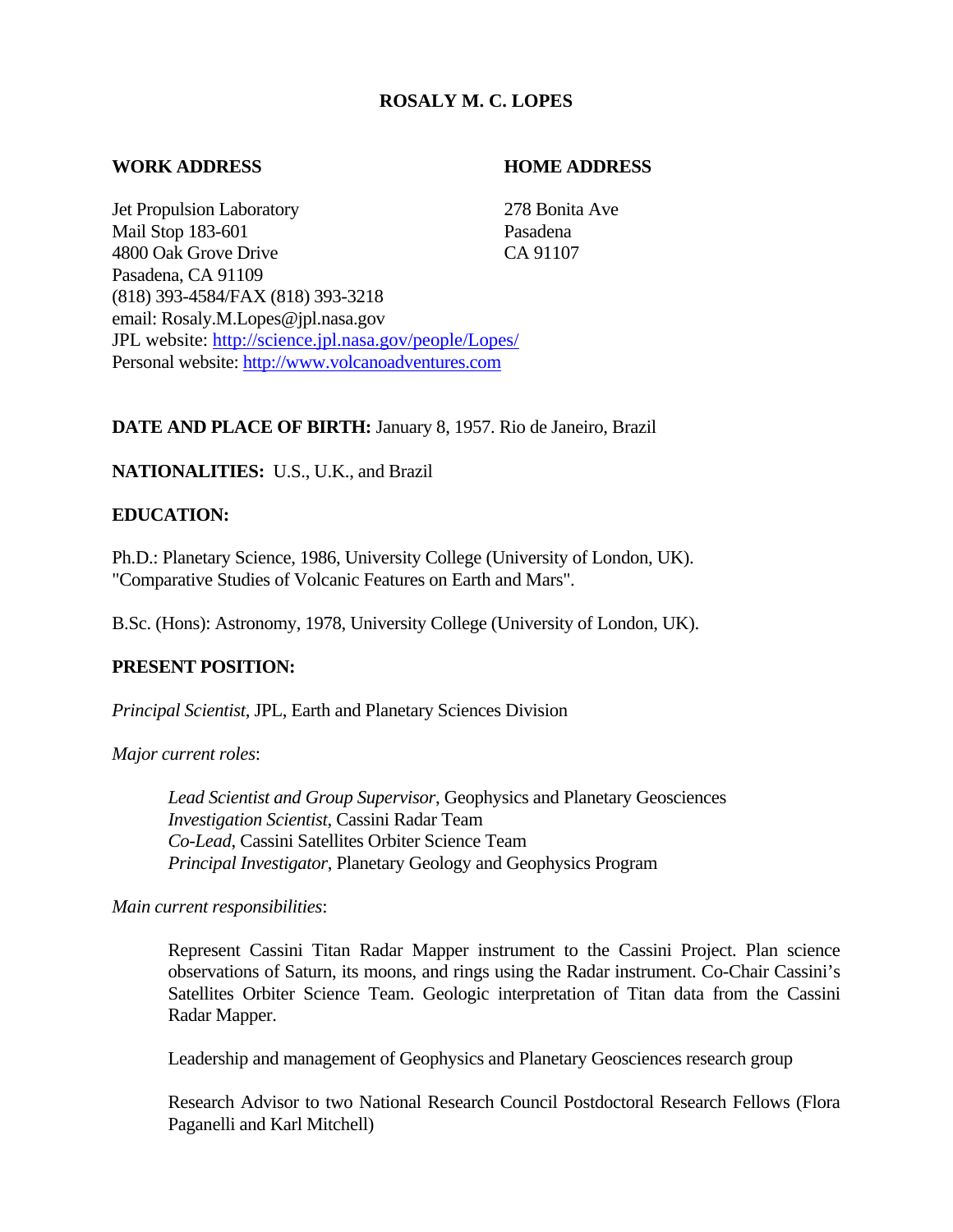# **ROSALY M. C. LOPES**

## **WORK ADDRESS HOME ADDRESS**

Jet Propulsion Laboratory 278 Bonita Ave Mail Stop 183-601 Pasadena 4800 Oak Grove Drive CA 91107 Pasadena, CA 91109 (818) 393-4584/FAX (818) 393-3218 email: Rosaly.M.Lopes@jpl.nasa.gov JPL website: <http://science.jpl.nasa.gov/people/Lopes/> Personal website: [http://www.volcanoadventures.com](http://www.volcanoadventures.com/)

# **DATE AND PLACE OF BIRTH:** January 8, 1957. Rio de Janeiro, Brazil

# **NATIONALITIES:** U.S., U.K., and Brazil

# **EDUCATION:**

Ph.D.: Planetary Science, 1986, University College (University of London, UK). "Comparative Studies of Volcanic Features on Earth and Mars".

B.Sc. (Hons): Astronomy, 1978, University College (University of London, UK).

# **PRESENT POSITION:**

*Principal Scientist*, JPL, Earth and Planetary Sciences Division

*Major current roles*:

*Lead Scientist and Group Supervisor*, Geophysics and Planetary Geosciences *Investigation Scientist*, Cassini Radar Team *Co-Lead*, Cassini Satellites Orbiter Science Team *Principal Investigator*, Planetary Geology and Geophysics Program

*Main current responsibilities*:

Represent Cassini Titan Radar Mapper instrument to the Cassini Project. Plan science observations of Saturn, its moons, and rings using the Radar instrument. Co-Chair Cassini's Satellites Orbiter Science Team. Geologic interpretation of Titan data from the Cassini Radar Mapper.

Leadership and management of Geophysics and Planetary Geosciences research group

Research Advisor to two National Research Council Postdoctoral Research Fellows (Flora Paganelli and Karl Mitchell)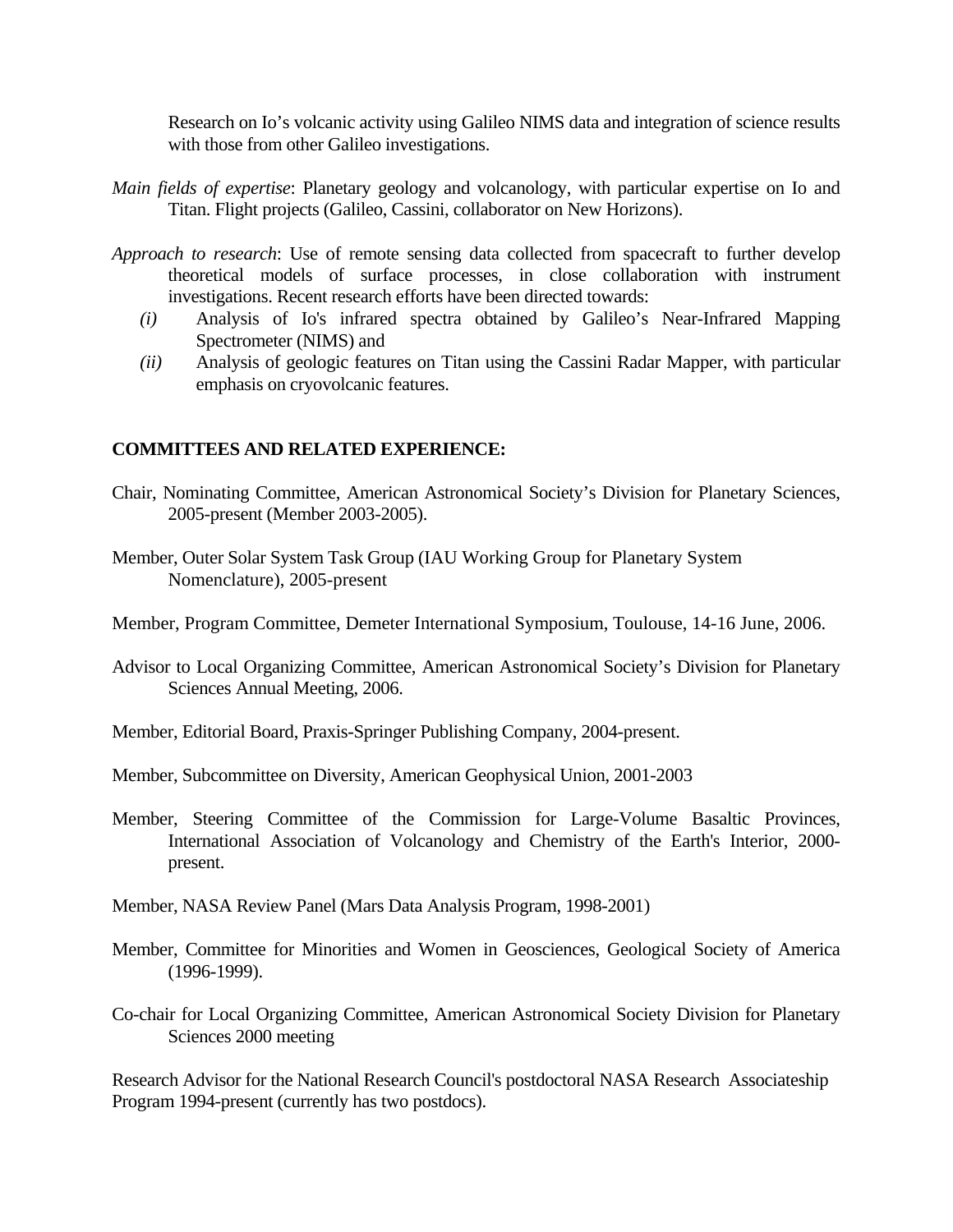Research on Io's volcanic activity using Galileo NIMS data and integration of science results with those from other Galileo investigations.

- *Main fields of expertise*: Planetary geology and volcanology, with particular expertise on Io and Titan. Flight projects (Galileo, Cassini, collaborator on New Horizons).
- *Approach to research*: Use of remote sensing data collected from spacecraft to further develop theoretical models of surface processes, in close collaboration with instrument investigations. Recent research efforts have been directed towards:
	- *(i)* Analysis of Io's infrared spectra obtained by Galileo's Near-Infrared Mapping Spectrometer (NIMS) and
	- *(ii)* Analysis of geologic features on Titan using the Cassini Radar Mapper, with particular emphasis on cryovolcanic features.

# **COMMITTEES AND RELATED EXPERIENCE:**

- Chair, Nominating Committee, American Astronomical Society's Division for Planetary Sciences, 2005-present (Member 2003-2005).
- Member, Outer Solar System Task Group (IAU Working Group for Planetary System Nomenclature), 2005-present
- Member, Program Committee, Demeter International Symposium, Toulouse, 14-16 June, 2006.
- Advisor to Local Organizing Committee, American Astronomical Society's Division for Planetary Sciences Annual Meeting, 2006.
- Member, Editorial Board, Praxis-Springer Publishing Company, 2004-present.
- Member, Subcommittee on Diversity, American Geophysical Union, 2001-2003
- Member, Steering Committee of the Commission for Large-Volume Basaltic Provinces, International Association of Volcanology and Chemistry of the Earth's Interior, 2000 present.
- Member, NASA Review Panel (Mars Data Analysis Program, 1998-2001)
- Member, Committee for Minorities and Women in Geosciences, Geological Society of America (1996-1999).
- Co-chair for Local Organizing Committee, American Astronomical Society Division for Planetary Sciences 2000 meeting

Research Advisor for the National Research Council's postdoctoral NASA Research Associateship Program 1994-present (currently has two postdocs).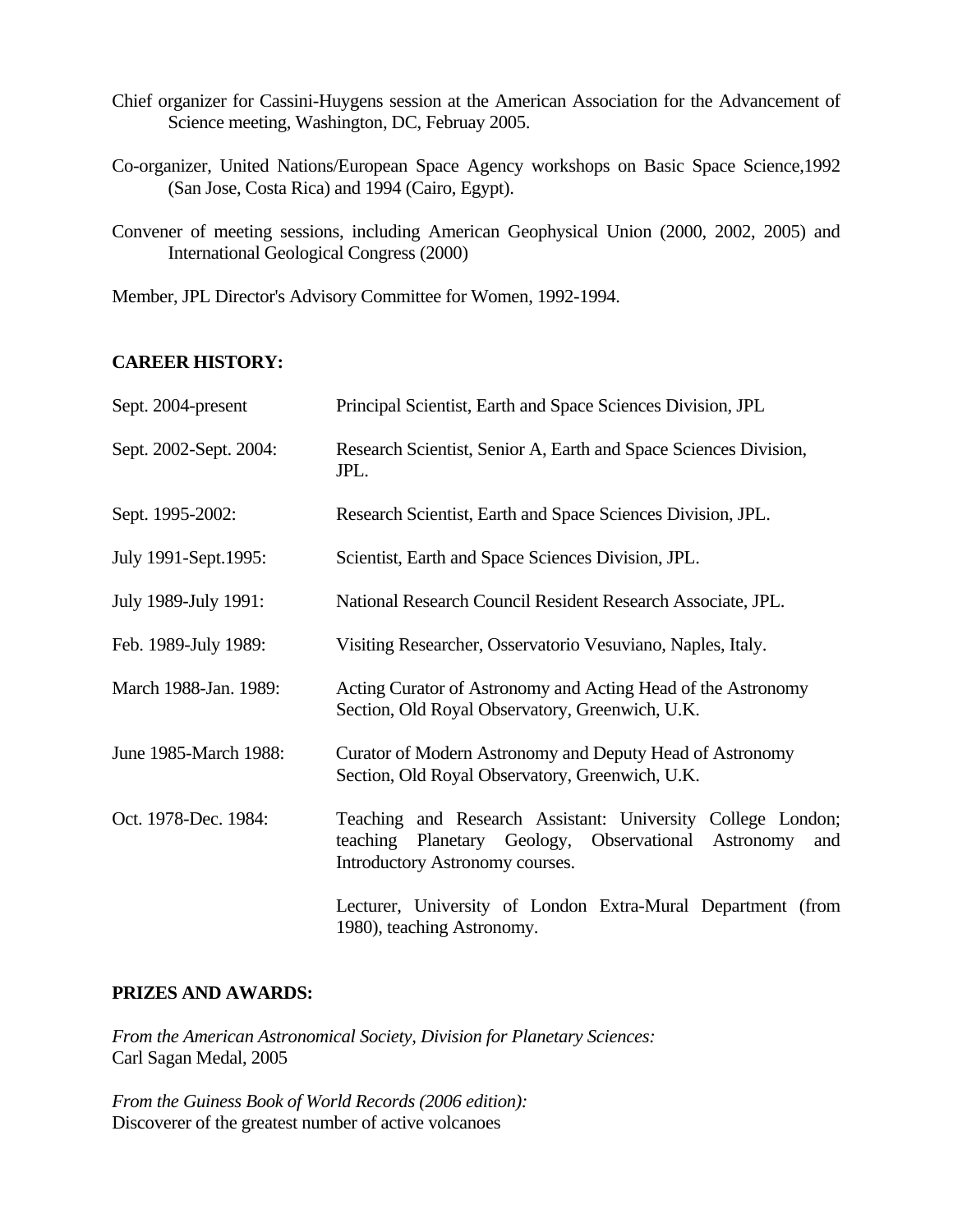- Chief organizer for Cassini-Huygens session at the American Association for the Advancement of Science meeting, Washington, DC, Februay 2005.
- Co-organizer, United Nations/European Space Agency workshops on Basic Space Science,1992 (San Jose, Costa Rica) and 1994 (Cairo, Egypt).
- Convener of meeting sessions, including American Geophysical Union (2000, 2002, 2005) and International Geological Congress (2000)

Member, JPL Director's Advisory Committee for Women, 1992-1994.

# **CAREER HISTORY:**

| Sept. 2004-present     | Principal Scientist, Earth and Space Sciences Division, JPL                                                                                                     |
|------------------------|-----------------------------------------------------------------------------------------------------------------------------------------------------------------|
| Sept. 2002-Sept. 2004: | Research Scientist, Senior A, Earth and Space Sciences Division,<br>JPL.                                                                                        |
| Sept. 1995-2002:       | Research Scientist, Earth and Space Sciences Division, JPL.                                                                                                     |
| July 1991-Sept.1995:   | Scientist, Earth and Space Sciences Division, JPL.                                                                                                              |
| July 1989-July 1991:   | National Research Council Resident Research Associate, JPL.                                                                                                     |
| Feb. 1989-July 1989:   | Visiting Researcher, Osservatorio Vesuviano, Naples, Italy.                                                                                                     |
| March 1988-Jan. 1989:  | Acting Curator of Astronomy and Acting Head of the Astronomy<br>Section, Old Royal Observatory, Greenwich, U.K.                                                 |
| June 1985-March 1988:  | Curator of Modern Astronomy and Deputy Head of Astronomy<br>Section, Old Royal Observatory, Greenwich, U.K.                                                     |
| Oct. 1978-Dec. 1984:   | Teaching and Research Assistant: University College London;<br>teaching Planetary Geology, Observational<br>Astronomy<br>and<br>Introductory Astronomy courses. |
|                        | Lecturer, University of London Extra-Mural Department (from<br>1980), teaching Astronomy.                                                                       |

## **PRIZES AND AWARDS:**

*From the American Astronomical Society, Division for Planetary Sciences:*  Carl Sagan Medal, 2005

*From the Guiness Book of World Records (2006 edition):*  Discoverer of the greatest number of active volcanoes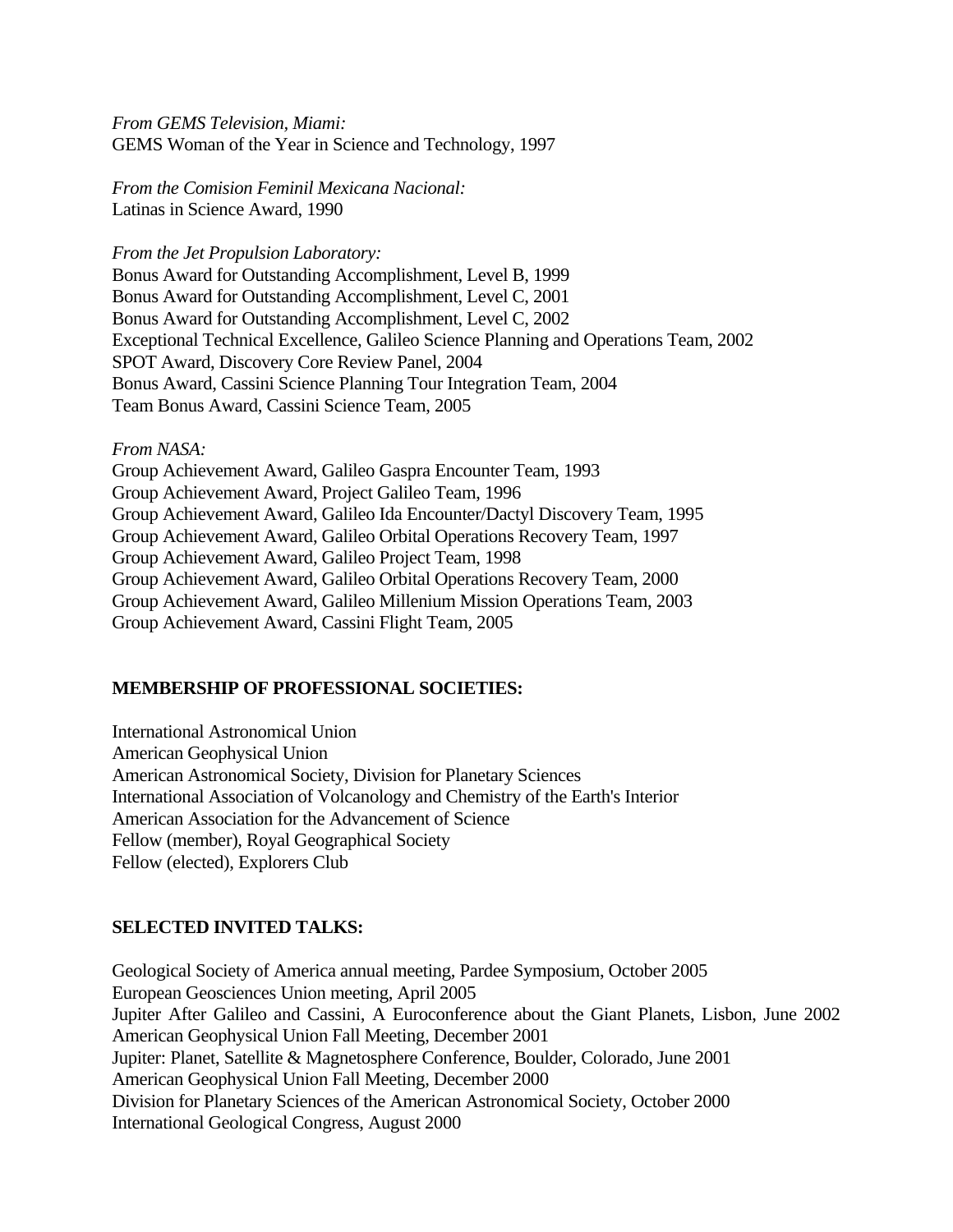*From GEMS Television, Miami:* GEMS Woman of the Year in Science and Technology, 1997

*From the Comision Feminil Mexicana Nacional:* Latinas in Science Award, 1990

*From the Jet Propulsion Laboratory:*

Bonus Award for Outstanding Accomplishment, Level B, 1999 Bonus Award for Outstanding Accomplishment, Level C, 2001 Bonus Award for Outstanding Accomplishment, Level C, 2002 Exceptional Technical Excellence, Galileo Science Planning and Operations Team, 2002 SPOT Award, Discovery Core Review Panel, 2004 Bonus Award, Cassini Science Planning Tour Integration Team, 2004 Team Bonus Award, Cassini Science Team, 2005

#### *From NASA:*

Group Achievement Award, Galileo Gaspra Encounter Team, 1993 Group Achievement Award, Project Galileo Team, 1996 Group Achievement Award, Galileo Ida Encounter/Dactyl Discovery Team, 1995 Group Achievement Award, Galileo Orbital Operations Recovery Team, 1997 Group Achievement Award, Galileo Project Team, 1998 Group Achievement Award, Galileo Orbital Operations Recovery Team, 2000 Group Achievement Award, Galileo Millenium Mission Operations Team, 2003 Group Achievement Award, Cassini Flight Team, 2005

#### **MEMBERSHIP OF PROFESSIONAL SOCIETIES:**

International Astronomical Union American Geophysical Union American Astronomical Society, Division for Planetary Sciences International Association of Volcanology and Chemistry of the Earth's Interior American Association for the Advancement of Science Fellow (member), Royal Geographical Society Fellow (elected), Explorers Club

#### **SELECTED INVITED TALKS:**

Geological Society of America annual meeting, Pardee Symposium, October 2005 European Geosciences Union meeting, April 2005 Jupiter After Galileo and Cassini, A Euroconference about the Giant Planets, Lisbon, June 2002 American Geophysical Union Fall Meeting, December 2001 Jupiter: Planet, Satellite & Magnetosphere Conference, Boulder, Colorado, June 2001 American Geophysical Union Fall Meeting, December 2000 Division for Planetary Sciences of the American Astronomical Society, October 2000 International Geological Congress, August 2000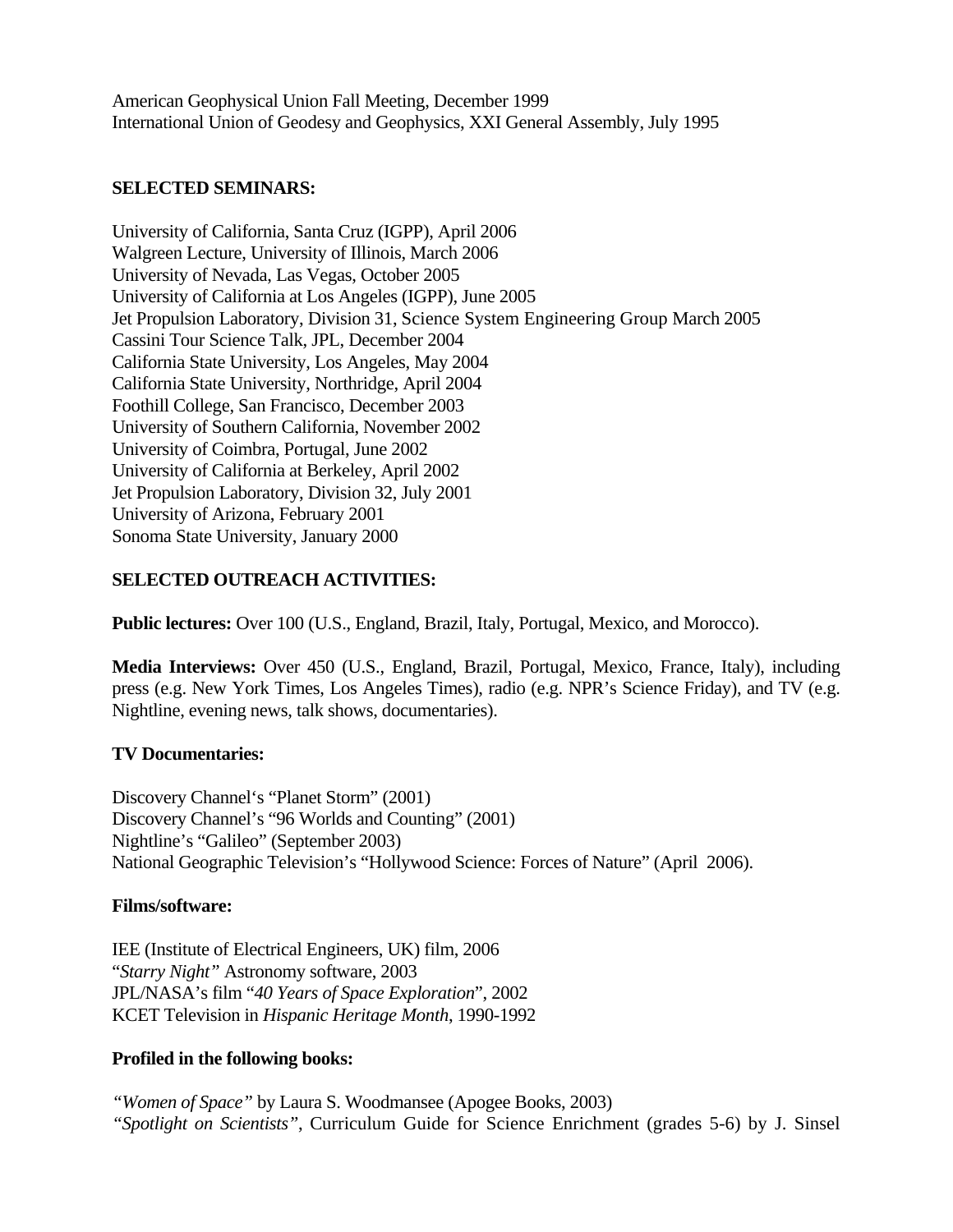American Geophysical Union Fall Meeting, December 1999 International Union of Geodesy and Geophysics, XXI General Assembly, July 1995

## **SELECTED SEMINARS:**

University of California, Santa Cruz (IGPP), April 2006 Walgreen Lecture, University of Illinois, March 2006 University of Nevada, Las Vegas, October 2005 University of California at Los Angeles (IGPP), June 2005 Jet Propulsion Laboratory, Division 31, Science System Engineering Group March 2005 Cassini Tour Science Talk, JPL, December 2004 California State University, Los Angeles, May 2004 California State University, Northridge, April 2004 Foothill College, San Francisco, December 2003 University of Southern California, November 2002 University of Coimbra, Portugal, June 2002 University of California at Berkeley, April 2002 Jet Propulsion Laboratory, Division 32, July 2001 University of Arizona, February 2001 Sonoma State University, January 2000

# **SELECTED OUTREACH ACTIVITIES:**

**Public lectures:** Over 100 (U.S., England, Brazil, Italy, Portugal, Mexico, and Morocco).

**Media Interviews:** Over 450 (U.S., England, Brazil, Portugal, Mexico, France, Italy), including press (e.g. New York Times, Los Angeles Times), radio (e.g. NPR's Science Friday), and TV (e.g. Nightline, evening news, talk shows, documentaries).

# **TV Documentaries:**

Discovery Channel's "Planet Storm" (2001) Discovery Channel's "96 Worlds and Counting" (2001) Nightline's "Galileo" (September 2003) National Geographic Television's "Hollywood Science: Forces of Nature" (April 2006).

# **Films/software:**

IEE (Institute of Electrical Engineers, UK) film, 2006 "*Starry Night"* Astronomy software, 2003 JPL/NASA's film "*40 Years of Space Exploration*", 2002 KCET Television in *Hispanic Heritage Month*, 1990-1992

# **Profiled in the following books:**

*"Women of Space"* by Laura S. Woodmansee (Apogee Books, 2003) *"Spotlight on Scientists"*, Curriculum Guide for Science Enrichment (grades 5-6) by J. Sinsel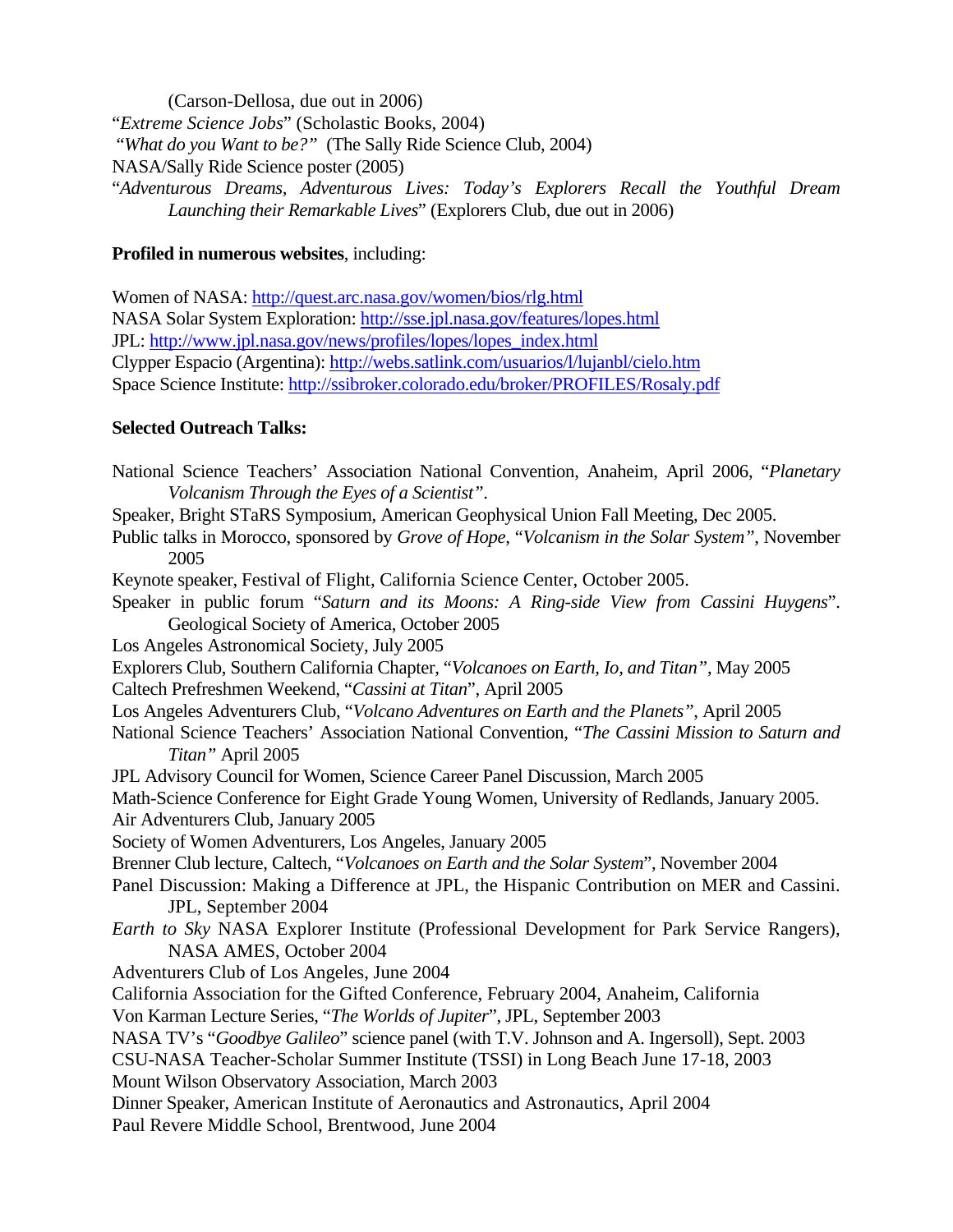(Carson-Dellosa, due out in 2006) "*Extreme Science Jobs*" (Scholastic Books, 2004) "*What do you Want to be?"* (The Sally Ride Science Club, 2004) NASA/Sally Ride Science poster (2005) "*Adventurous Dreams, Adventurous Lives: Today's Explorers Recall the Youthful Dream Launching their Remarkable Lives*" (Explorers Club, due out in 2006)

## **Profiled in numerous websites**, including:

Women of NASA:<http://quest.arc.nasa.gov/women/bios/rlg.html> NASA Solar System Exploration: <http://sse.jpl.nasa.gov/features/lopes.html> JPL: [http://www.jpl.nasa.gov/news/profiles/lopes/lopes\\_index.html](http://www.jpl.nasa.gov/news/profiles/lopes/lopes_index.html) Clypper Espacio (Argentina):<http://webs.satlink.com/usuarios/l/lujanbl/cielo.htm> Space Science Institute:<http://ssibroker.colorado.edu/broker/PROFILES/Rosaly.pdf>

# **Selected Outreach Talks:**

National Science Teachers' Association National Convention, Anaheim, April 2006, "*Planetary Volcanism Through the Eyes of a Scientist"*. Speaker, Bright STaRS Symposium, American Geophysical Union Fall Meeting, Dec 2005. Public talks in Morocco, sponsored by *Grove of Hope*, "*Volcanism in the Solar System"*, November 2005 Keynote speaker, Festival of Flight, California Science Center, October 2005. Speaker in public forum "*Saturn and its Moons: A Ring-side View from Cassini Huygens*". Geological Society of America, October 2005 Los Angeles Astronomical Society, July 2005 Explorers Club, Southern California Chapter, "*Volcanoes on Earth, Io, and Titan"*, May 2005 Caltech Prefreshmen Weekend, "*Cassini at Titan*", April 2005 Los Angeles Adventurers Club, "*Volcano Adventures on Earth and the Planets"*, April 2005 National Science Teachers' Association National Convention, "*The Cassini Mission to Saturn and Titan"* April 2005 JPL Advisory Council for Women, Science Career Panel Discussion, March 2005 Math-Science Conference for Eight Grade Young Women, University of Redlands, January 2005. Air Adventurers Club, January 2005 Society of Women Adventurers, Los Angeles, January 2005 Brenner Club lecture, Caltech, "*Volcanoes on Earth and the Solar System*", November 2004 Panel Discussion: Making a Difference at JPL, the Hispanic Contribution on MER and Cassini. JPL, September 2004 *Earth to Sky* NASA Explorer Institute (Professional Development for Park Service Rangers), NASA AMES, October 2004 Adventurers Club of Los Angeles, June 2004 California Association for the Gifted Conference, February 2004, Anaheim, California Von Karman Lecture Series, "*The Worlds of Jupiter*", JPL, September 2003 NASA TV's "*Goodbye Galileo*" science panel (with T.V. Johnson and A. Ingersoll), Sept. 2003 CSU-NASA Teacher-Scholar Summer Institute (TSSI) in Long Beach June 17-18, 2003 Mount Wilson Observatory Association, March 2003 Dinner Speaker, American Institute of Aeronautics and Astronautics, April 2004 Paul Revere Middle School, Brentwood, June 2004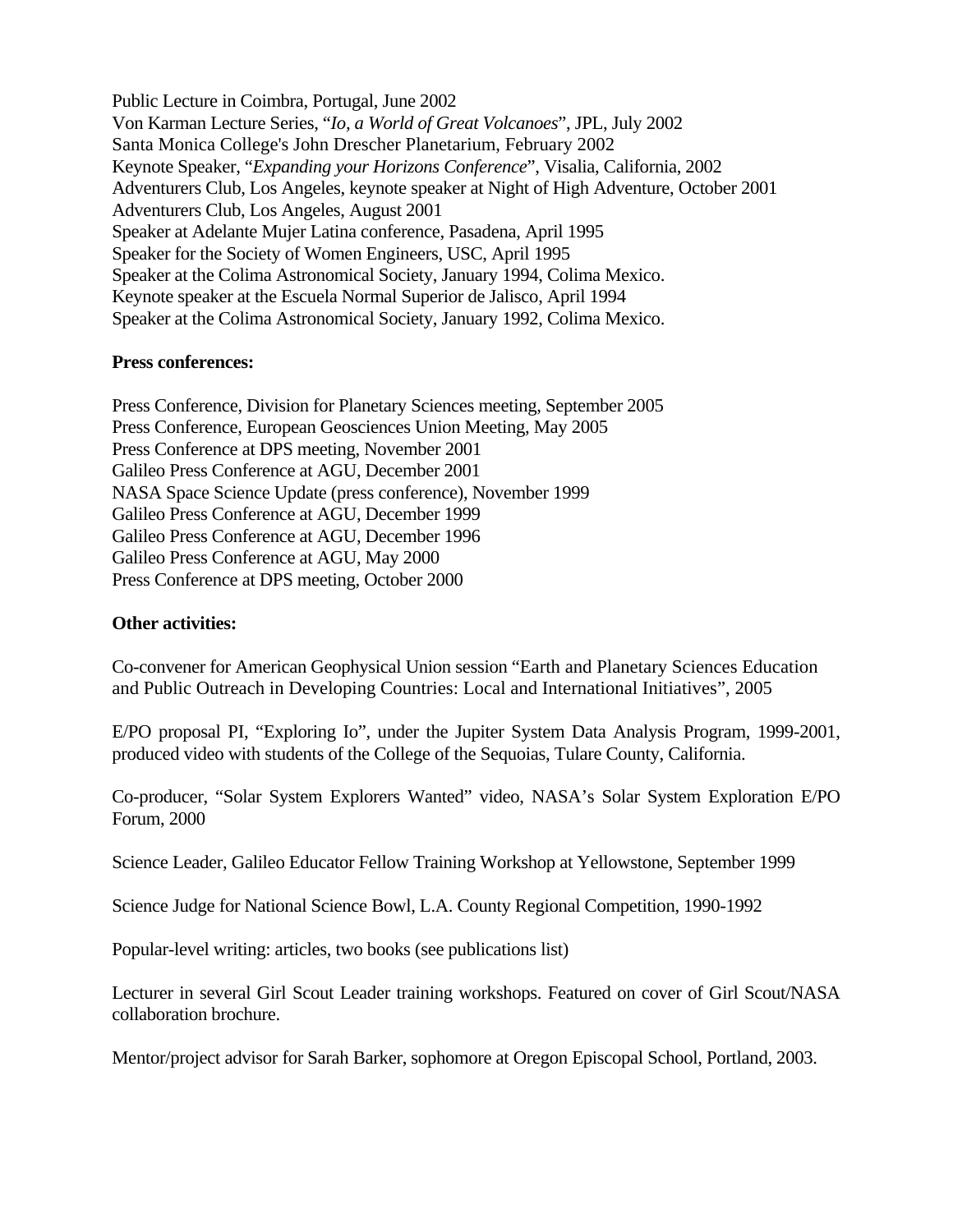Public Lecture in Coimbra, Portugal, June 2002 Von Karman Lecture Series, "*Io, a World of Great Volcanoes*", JPL, July 2002 Santa Monica College's John Drescher Planetarium, February 2002 Keynote Speaker, "*Expanding your Horizons Conference*", Visalia, California, 2002 Adventurers Club, Los Angeles, keynote speaker at Night of High Adventure, October 2001 Adventurers Club, Los Angeles, August 2001 Speaker at Adelante Mujer Latina conference, Pasadena, April 1995 Speaker for the Society of Women Engineers, USC, April 1995 Speaker at the Colima Astronomical Society, January 1994, Colima Mexico. Keynote speaker at the Escuela Normal Superior de Jalisco, April 1994 Speaker at the Colima Astronomical Society, January 1992, Colima Mexico.

# **Press conferences:**

Press Conference, Division for Planetary Sciences meeting, September 2005 Press Conference, European Geosciences Union Meeting, May 2005 Press Conference at DPS meeting, November 2001 Galileo Press Conference at AGU, December 2001 NASA Space Science Update (press conference), November 1999 Galileo Press Conference at AGU, December 1999 Galileo Press Conference at AGU, December 1996 Galileo Press Conference at AGU, May 2000 Press Conference at DPS meeting, October 2000

# **Other activities:**

Co-convener for American Geophysical Union session "Earth and Planetary Sciences Education and Public Outreach in Developing Countries: Local and International Initiatives", 2005

E/PO proposal PI, "Exploring Io", under the Jupiter System Data Analysis Program, 1999-2001, produced video with students of the College of the Sequoias, Tulare County, California.

Co-producer, "Solar System Explorers Wanted" video, NASA's Solar System Exploration E/PO Forum, 2000

Science Leader, Galileo Educator Fellow Training Workshop at Yellowstone, September 1999

Science Judge for National Science Bowl, L.A. County Regional Competition, 1990-1992

Popular-level writing: articles, two books (see publications list)

Lecturer in several Girl Scout Leader training workshops. Featured on cover of Girl Scout/NASA collaboration brochure.

Mentor/project advisor for Sarah Barker, sophomore at Oregon Episcopal School, Portland, 2003.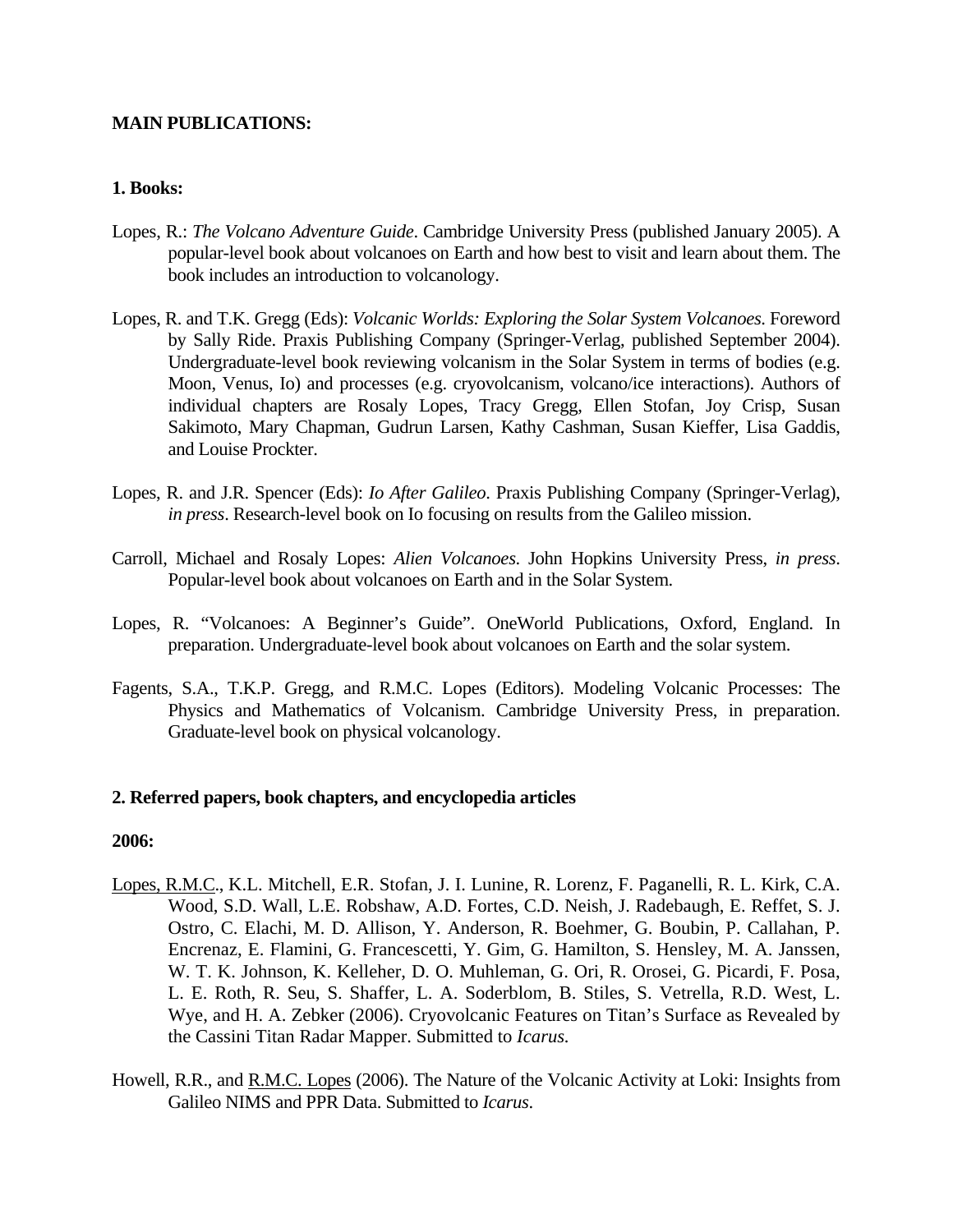# **MAIN PUBLICATIONS:**

## **1. Books:**

- Lopes, R.: *The Volcano Adventure Guide*. Cambridge University Press (published January 2005). A popular-level book about volcanoes on Earth and how best to visit and learn about them. The book includes an introduction to volcanology.
- Lopes, R. and T.K. Gregg (Eds): *Volcanic Worlds: Exploring the Solar System Volcanoes*. Foreword by Sally Ride. Praxis Publishing Company (Springer-Verlag, published September 2004). Undergraduate-level book reviewing volcanism in the Solar System in terms of bodies (e.g. Moon, Venus, Io) and processes (e.g. cryovolcanism, volcano/ice interactions). Authors of individual chapters are Rosaly Lopes, Tracy Gregg, Ellen Stofan, Joy Crisp, Susan Sakimoto, Mary Chapman, Gudrun Larsen, Kathy Cashman, Susan Kieffer, Lisa Gaddis, and Louise Prockter.
- Lopes, R. and J.R. Spencer (Eds): *Io After Galileo*. Praxis Publishing Company (Springer-Verlag), *in press*. Research-level book on Io focusing on results from the Galileo mission.
- Carroll, Michael and Rosaly Lopes: *Alien Volcanoes*. John Hopkins University Press, *in press*. Popular-level book about volcanoes on Earth and in the Solar System.
- Lopes, R. "Volcanoes: A Beginner's Guide". OneWorld Publications, Oxford, England. In preparation. Undergraduate-level book about volcanoes on Earth and the solar system.
- Fagents, S.A., T.K.P. Gregg, and R.M.C. Lopes (Editors). Modeling Volcanic Processes: The Physics and Mathematics of Volcanism. Cambridge University Press, in preparation. Graduate-level book on physical volcanology.

## **2. Referred papers, book chapters, and encyclopedia articles**

- Lopes, R.M.C., K.L. Mitchell, E.R. Stofan, J. I. Lunine, R. Lorenz, F. Paganelli, R. L. Kirk, C.A. Wood, S.D. Wall, L.E. Robshaw, A.D. Fortes, C.D. Neish, J. Radebaugh, E. Reffet, S. J. Ostro, C. Elachi, M. D. Allison, Y. Anderson, R. Boehmer, G. Boubin, P. Callahan, P. Encrenaz, E. Flamini, G. Francescetti, Y. Gim, G. Hamilton, S. Hensley, M. A. Janssen, W. T. K. Johnson, K. Kelleher, D. O. Muhleman, G. Ori, R. Orosei, G. Picardi, F. Posa, L. E. Roth, R. Seu, S. Shaffer, L. A. Soderblom, B. Stiles, S. Vetrella, R.D. West, L. Wye, and H. A. Zebker (2006). Cryovolcanic Features on Titan's Surface as Revealed by the Cassini Titan Radar Mapper. Submitted to *Icarus.*
- Howell, R.R., and R.M.C. Lopes (2006). The Nature of the Volcanic Activity at Loki: Insights from Galileo NIMS and PPR Data. Submitted to *Icarus*.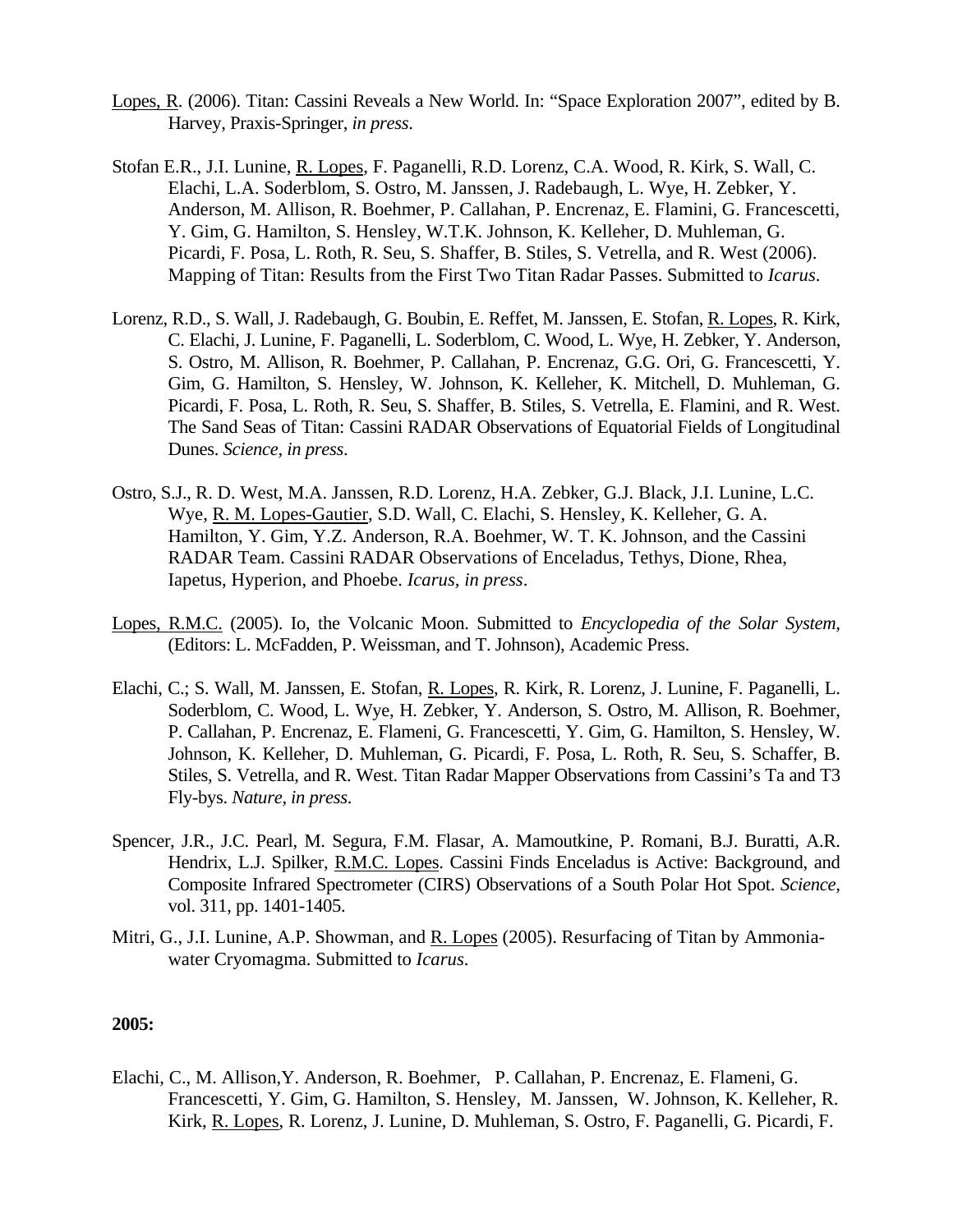- Lopes, R. (2006). Titan: Cassini Reveals a New World. In: "Space Exploration 2007", edited by B. Harvey, Praxis-Springer, *in press*.
- Stofan E.R., J.I. Lunine, R. Lopes, F. Paganelli, R.D. Lorenz, C.A. Wood, R. Kirk, S. Wall, C. Elachi, L.A. Soderblom, S. Ostro, M. Janssen, J. Radebaugh, L. Wye, H. Zebker, Y. Anderson, M. Allison, R. Boehmer, P. Callahan, P. Encrenaz, E. Flamini, G. Francescetti, Y. Gim, G. Hamilton, S. Hensley, W.T.K. Johnson, K. Kelleher, D. Muhleman, G. Picardi, F. Posa, L. Roth, R. Seu, S. Shaffer, B. Stiles, S. Vetrella, and R. West (2006). Mapping of Titan: Results from the First Two Titan Radar Passes. Submitted to *Icarus*.
- Lorenz, R.D., S. Wall, J. Radebaugh, G. Boubin, E. Reffet, M. Janssen, E. Stofan, R. Lopes, R. Kirk, C. Elachi, J. Lunine, F. Paganelli, L. Soderblom, C. Wood, L. Wye, H. Zebker, Y. Anderson, S. Ostro, M. Allison, R. Boehmer, P. Callahan, P. Encrenaz, G.G. Ori, G. Francescetti, Y. Gim, G. Hamilton, S. Hensley, W. Johnson, K. Kelleher, K. Mitchell, D. Muhleman, G. Picardi, F. Posa, L. Roth, R. Seu, S. Shaffer, B. Stiles, S. Vetrella, E. Flamini, and R. West. The Sand Seas of Titan: Cassini RADAR Observations of Equatorial Fields of Longitudinal Dunes. *Science, in press*.
- Ostro, S.J., R. D. West, M.A. Janssen, R.D. Lorenz, H.A. Zebker, G.J. Black, J.I. Lunine, L.C. Wye, R. M. Lopes-Gautier, S.D. Wall, C. Elachi, S. Hensley, K. Kelleher, G. A. Hamilton, Y. Gim, Y.Z. Anderson, R.A. Boehmer, W. T. K. Johnson, and the Cassini RADAR Team. Cassini RADAR Observations of Enceladus, Tethys, Dione, Rhea, Iapetus, Hyperion, and Phoebe. *Icarus, in press*.
- Lopes, R.M.C. (2005). Io, the Volcanic Moon. Submitted to *Encyclopedia of the Solar System,* (Editors: L. McFadden, P. Weissman, and T. Johnson), Academic Press.
- Elachi, C.; S. Wall, M. Janssen, E. Stofan, R. Lopes, R. Kirk, R. Lorenz, J. Lunine, F. Paganelli, L. Soderblom, C. Wood, L. Wye, H. Zebker, Y. Anderson, S. Ostro, M. Allison, R. Boehmer, P. Callahan, P. Encrenaz, E. Flameni, G. Francescetti, Y. Gim, G. Hamilton, S. Hensley, W. Johnson, K. Kelleher, D. Muhleman, G. Picardi, F. Posa, L. Roth, R. Seu, S. Schaffer, B. Stiles, S. Vetrella, and R. West. Titan Radar Mapper Observations from Cassini's Ta and T3 Fly-bys. *Nature, in press*.
- Spencer, J.R., J.C. Pearl, M. Segura, F.M. Flasar, A. Mamoutkine, P. Romani, B.J. Buratti, A.R. Hendrix, L.J. Spilker, R.M.C. Lopes. Cassini Finds Enceladus is Active: Background, and Composite Infrared Spectrometer (CIRS) Observations of a South Polar Hot Spot. *Science,*  vol. 311, pp. 1401-1405.
- Mitri, G., J.I. Lunine, A.P. Showman, and R. Lopes (2005). Resurfacing of Titan by Ammoniawater Cryomagma. Submitted to *Icarus*.

Elachi, C., M. Allison,Y. Anderson, R. Boehmer, P. Callahan, P. Encrenaz, E. Flameni, G. Francescetti, Y. Gim, G. Hamilton, S. Hensley, M. Janssen, W. Johnson, K. Kelleher, R. Kirk, R. Lopes, R. Lorenz, J. Lunine, D. Muhleman, S. Ostro, F. Paganelli, G. Picardi, F.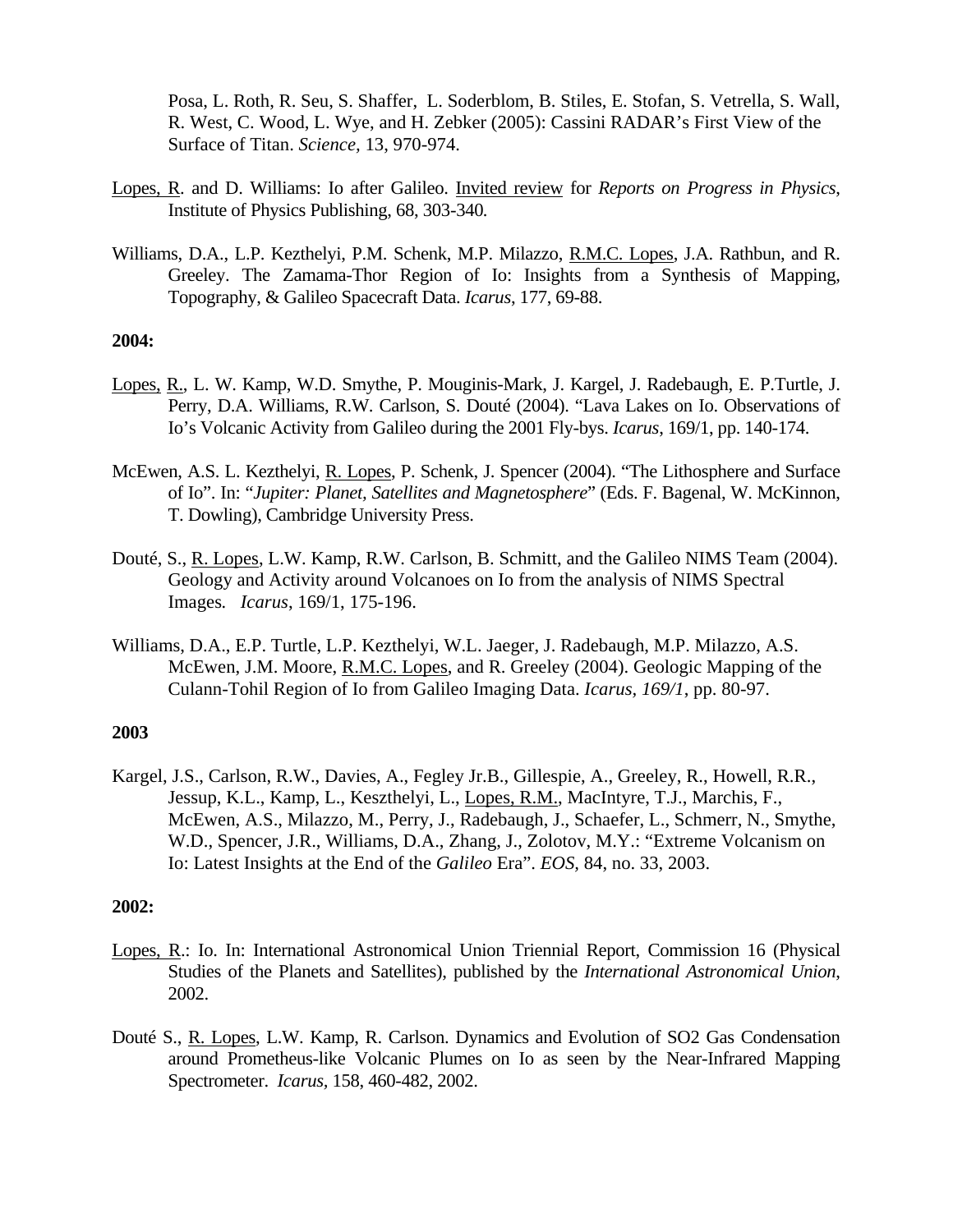Posa, L. Roth, R. Seu, S. Shaffer, L. Soderblom, B. Stiles, E. Stofan, S. Vetrella, S. Wall, R. West, C. Wood, L. Wye, and H. Zebker (2005): Cassini RADAR's First View of the Surface of Titan. *Science,* 13, 970-974.

- Lopes, R. and D. Williams: Io after Galileo. Invited review for *Reports on Progress in Physics*, Institute of Physics Publishing, 68, 303-340*.*
- Williams, D.A., L.P. Kezthelyi, P.M. Schenk, M.P. Milazzo, R.M.C. Lopes, J.A. Rathbun, and R. Greeley. The Zamama-Thor Region of Io: Insights from a Synthesis of Mapping, Topography, & Galileo Spacecraft Data. *Icarus*, 177, 69-88.

## **2004:**

- Lopes, R., L. W. Kamp, W.D. Smythe, P. Mouginis-Mark, J. Kargel, J. Radebaugh, E. P.Turtle, J. Perry, D.A. Williams, R.W. Carlson, S. Douté (2004). "Lava Lakes on Io. Observations of Io's Volcanic Activity from Galileo during the 2001 Fly-bys. *Icarus*, 169/1, pp. 140-174.
- McEwen, A.S. L. Kezthelyi, R. Lopes, P. Schenk, J. Spencer (2004). "The Lithosphere and Surface of Io". In: "*Jupiter: Planet, Satellites and Magnetosphere*" (Eds. F. Bagenal, W. McKinnon, T. Dowling), Cambridge University Press.
- Douté, S., R. Lopes, L.W. Kamp, R.W. Carlson, B. Schmitt, and the Galileo NIMS Team (2004). Geology and Activity around Volcanoes on Io from the analysis of NIMS Spectral Images*. Icarus*, 169/1, 175-196.
- Williams, D.A., E.P. Turtle, L.P. Kezthelyi, W.L. Jaeger, J. Radebaugh, M.P. Milazzo, A.S. McEwen, J.M. Moore, R.M.C. Lopes, and R. Greeley (2004). Geologic Mapping of the Culann-Tohil Region of Io from Galileo Imaging Data. *Icarus, 169/1*, pp. 80-97.

#### **2003**

Kargel, J.S., Carlson, R.W., Davies, A., Fegley Jr.B., Gillespie, A., Greeley, R., Howell, R.R., Jessup, K.L., Kamp, L., Keszthelyi, L., Lopes, R.M., MacIntyre, T.J., Marchis, F., McEwen, A.S., Milazzo, M., Perry, J., Radebaugh, J., Schaefer, L., Schmerr, N., Smythe, W.D., Spencer, J.R., Williams, D.A., Zhang, J., Zolotov, M.Y.: "Extreme Volcanism on Io: Latest Insights at the End of the *Galileo* Era". *EOS,* 84, no. 33, 2003.

- Lopes, R.: Io. In: International Astronomical Union Triennial Report, Commission 16 (Physical Studies of the Planets and Satellites), published by the *International Astronomical Union*, 2002.
- Douté S., R. Lopes, L.W. Kamp, R. Carlson. Dynamics and Evolution of SO2 Gas Condensation around Prometheus-like Volcanic Plumes on Io as seen by the Near-Infrared Mapping Spectrometer. *Icarus,* 158, 460-482, 2002.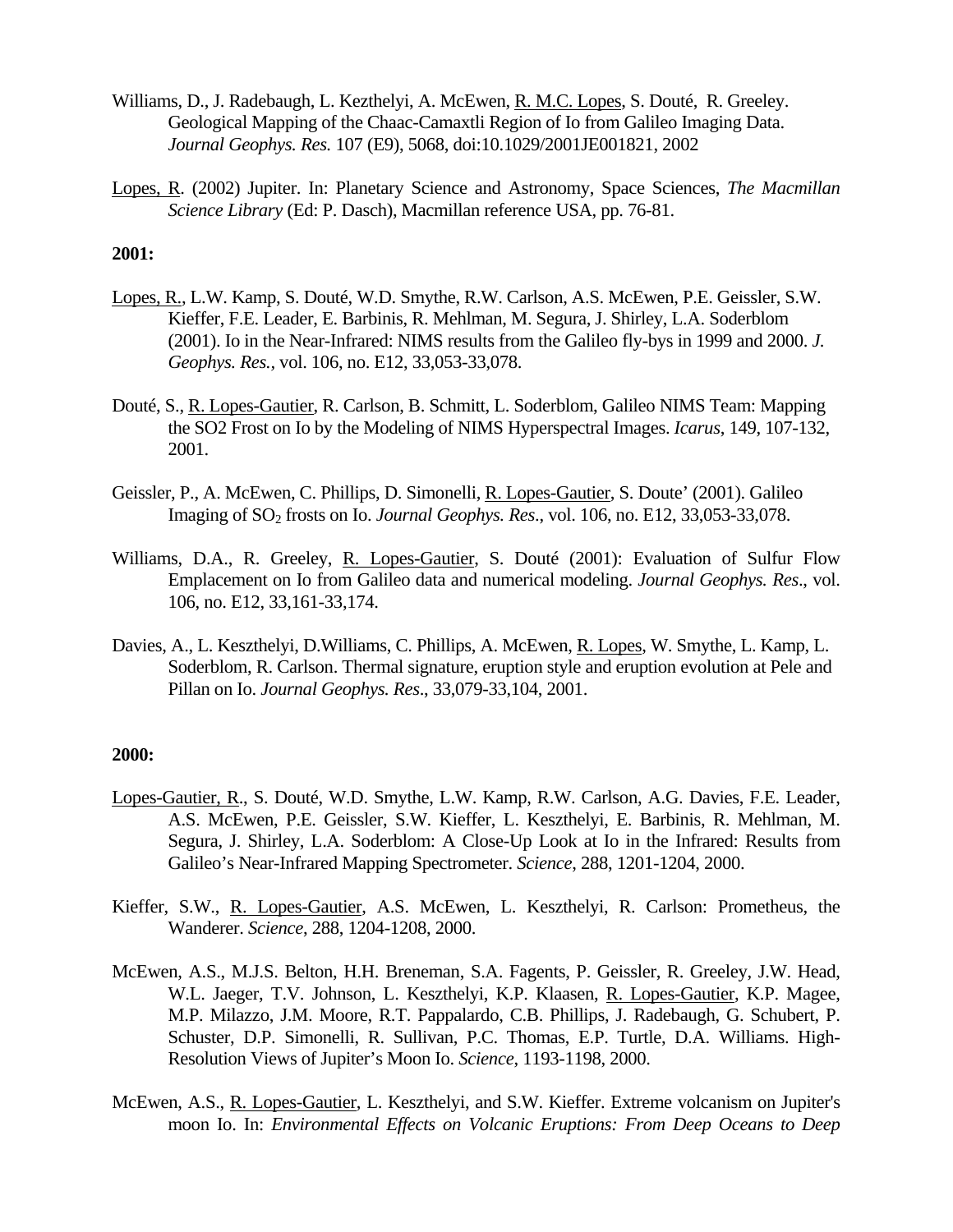- Williams, D., J. Radebaugh, L. Kezthelyi, A. McEwen, R. M.C. Lopes, S. Douté, R. Greeley. Geological Mapping of the Chaac-Camaxtli Region of Io from Galileo Imaging Data. *Journal Geophys. Res.* 107 (E9), 5068, doi:10.1029/2001JE001821, 2002
- Lopes, R. (2002) Jupiter. In: Planetary Science and Astronomy, Space Sciences, *The Macmillan Science Library* (Ed: P. Dasch), Macmillan reference USA, pp. 76-81.

- Lopes, R., L.W. Kamp, S. Douté, W.D. Smythe, R.W. Carlson, A.S. McEwen, P.E. Geissler, S.W. Kieffer, F.E. Leader, E. Barbinis, R. Mehlman, M. Segura, J. Shirley, L.A. Soderblom (2001). Io in the Near-Infrared: NIMS results from the Galileo fly-bys in 1999 and 2000. *J. Geophys. Res.,* vol. 106, no. E12, 33,053-33,078.
- Douté, S., R. Lopes-Gautier, R. Carlson, B. Schmitt, L. Soderblom, Galileo NIMS Team: Mapping the SO2 Frost on Io by the Modeling of NIMS Hyperspectral Images. *Icarus*, 149, 107-132, 2001.
- Geissler, P., A. McEwen, C. Phillips, D. Simonelli, R. Lopes-Gautier, S. Doute' (2001). Galileo Imaging of SO2 frosts on Io. *Journal Geophys. Res*., vol. 106, no. E12, 33,053-33,078.
- Williams, D.A., R. Greeley, R. Lopes-Gautier, S. Douté (2001): Evaluation of Sulfur Flow Emplacement on Io from Galileo data and numerical modeling. *Journal Geophys. Res*., vol. 106, no. E12, 33,161-33,174.
- Davies, A., L. Keszthelyi, D.Williams, C. Phillips, A. McEwen, R. Lopes, W. Smythe, L. Kamp, L. Soderblom, R. Carlson. Thermal signature, eruption style and eruption evolution at Pele and Pillan on Io. *Journal Geophys. Res*., 33,079-33,104, 2001.

- Lopes-Gautier, R., S. Douté, W.D. Smythe, L.W. Kamp, R.W. Carlson, A.G. Davies, F.E. Leader, A.S. McEwen, P.E. Geissler, S.W. Kieffer, L. Keszthelyi, E. Barbinis, R. Mehlman, M. Segura, J. Shirley, L.A. Soderblom: A Close-Up Look at Io in the Infrared: Results from Galileo's Near-Infrared Mapping Spectrometer. *Science*, 288, 1201-1204, 2000.
- Kieffer, S.W., R. Lopes-Gautier, A.S. McEwen, L. Keszthelyi, R. Carlson: Prometheus, the Wanderer. *Science*, 288, 1204-1208, 2000.
- McEwen, A.S., M.J.S. Belton, H.H. Breneman, S.A. Fagents, P. Geissler, R. Greeley, J.W. Head, W.L. Jaeger, T.V. Johnson, L. Keszthelyi, K.P. Klaasen, R. Lopes-Gautier, K.P. Magee, M.P. Milazzo, J.M. Moore, R.T. Pappalardo, C.B. Phillips, J. Radebaugh, G. Schubert, P. Schuster, D.P. Simonelli, R. Sullivan, P.C. Thomas, E.P. Turtle, D.A. Williams. High-Resolution Views of Jupiter's Moon Io. *Science*, 1193-1198, 2000.
- McEwen, A.S., R. Lopes-Gautier, L. Keszthelyi, and S.W. Kieffer. Extreme volcanism on Jupiter's moon Io. In: *Environmental Effects on Volcanic Eruptions: From Deep Oceans to Deep*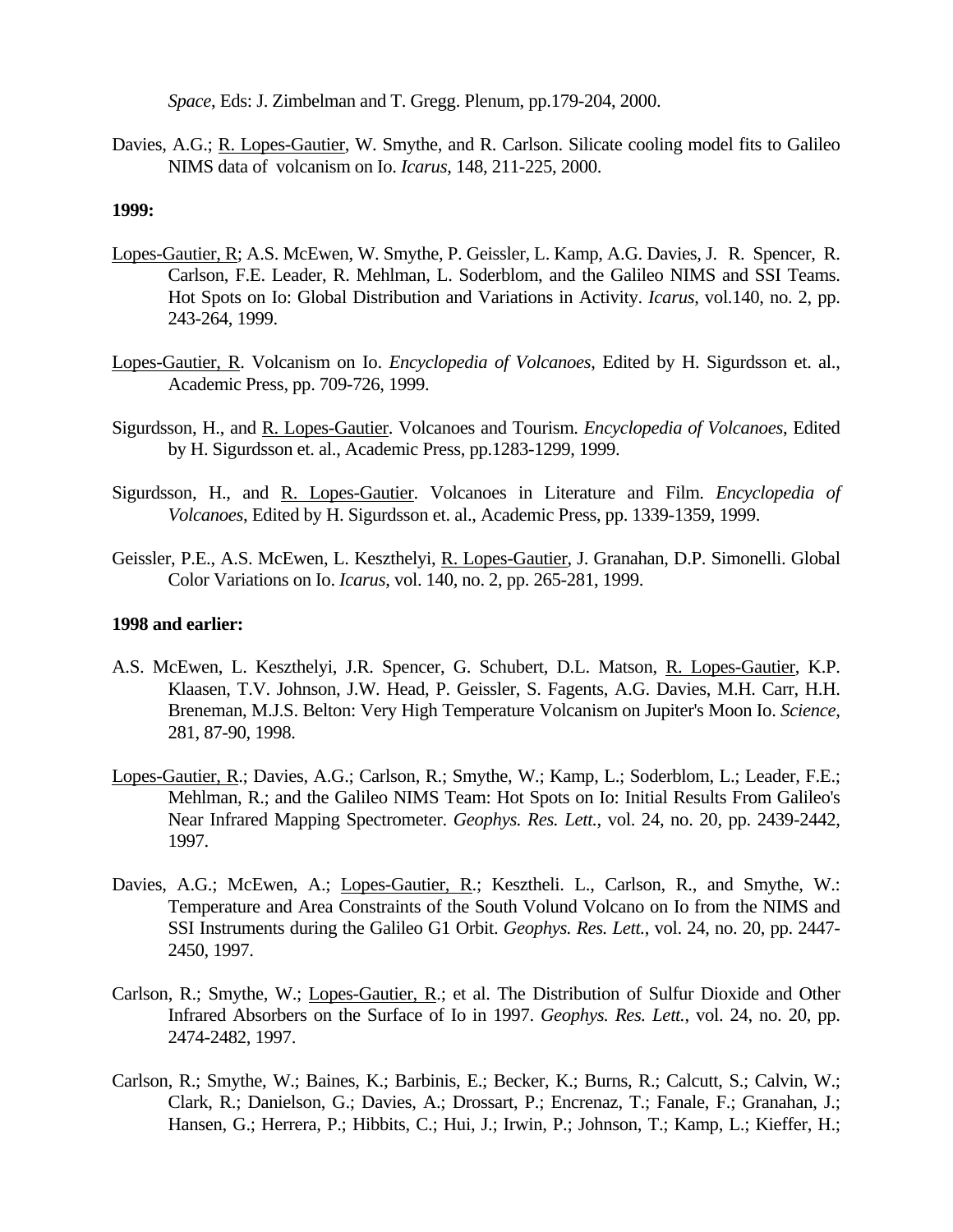*Space*, Eds: J. Zimbelman and T. Gregg. Plenum, pp.179-204, 2000.

Davies, A.G.; R. Lopes-Gautier, W. Smythe, and R. Carlson. Silicate cooling model fits to Galileo NIMS data of volcanism on Io. *Icarus*, 148, 211-225, 2000.

#### **1999:**

- Lopes-Gautier, R; A.S. McEwen, W. Smythe, P. Geissler, L. Kamp, A.G. Davies, J. R. Spencer, R. Carlson, F.E. Leader, R. Mehlman, L. Soderblom, and the Galileo NIMS and SSI Teams. Hot Spots on Io: Global Distribution and Variations in Activity. *Icarus*, vol.140, no. 2, pp. 243-264, 1999.
- Lopes-Gautier, R. Volcanism on Io. *Encyclopedia of Volcanoes*, Edited by H. Sigurdsson et. al., Academic Press, pp. 709-726, 1999.
- Sigurdsson, H., and R. Lopes-Gautier. Volcanoes and Tourism. *Encyclopedia of Volcanoes*, Edited by H. Sigurdsson et. al., Academic Press, pp.1283-1299, 1999.
- Sigurdsson, H., and R. Lopes-Gautier. Volcanoes in Literature and Film. *Encyclopedia of Volcanoes*, Edited by H. Sigurdsson et. al., Academic Press, pp. 1339-1359, 1999.
- Geissler, P.E., A.S. McEwen, L. Keszthelyi, R. Lopes-Gautier, J. Granahan, D.P. Simonelli. Global Color Variations on Io. *Icarus*, vol. 140, no. 2, pp. 265-281, 1999.

## **1998 and earlier:**

- A.S. McEwen, L. Keszthelyi, J.R. Spencer, G. Schubert, D.L. Matson, R. Lopes-Gautier, K.P. Klaasen, T.V. Johnson, J.W. Head, P. Geissler, S. Fagents, A.G. Davies, M.H. Carr, H.H. Breneman, M.J.S. Belton: Very High Temperature Volcanism on Jupiter's Moon Io. *Science,*  281, 87-90, 1998.
- Lopes-Gautier, R.; Davies, A.G.; Carlson, R.; Smythe, W.; Kamp, L.; Soderblom, L.; Leader, F.E.; Mehlman, R.; and the Galileo NIMS Team: Hot Spots on Io: Initial Results From Galileo's Near Infrared Mapping Spectrometer. *Geophys. Res. Lett.*, vol. 24, no. 20, pp. 2439-2442, 1997.
- Davies, A.G.; McEwen, A.; Lopes-Gautier, R.; Kesztheli. L., Carlson, R., and Smythe, W.: Temperature and Area Constraints of the South Volund Volcano on Io from the NIMS and SSI Instruments during the Galileo G1 Orbit. *Geophys. Res. Lett.*, vol. 24, no. 20, pp. 2447- 2450, 1997.
- Carlson, R.; Smythe, W.; Lopes-Gautier, R.; et al. The Distribution of Sulfur Dioxide and Other Infrared Absorbers on the Surface of Io in 1997. *Geophys. Res. Lett.*, vol. 24, no. 20, pp. 2474-2482, 1997.
- Carlson, R.; Smythe, W.; Baines, K.; Barbinis, E.; Becker, K.; Burns, R.; Calcutt, S.; Calvin, W.; Clark, R.; Danielson, G.; Davies, A.; Drossart, P.; Encrenaz, T.; Fanale, F.; Granahan, J.; Hansen, G.; Herrera, P.; Hibbits, C.; Hui, J.; Irwin, P.; Johnson, T.; Kamp, L.; Kieffer, H.;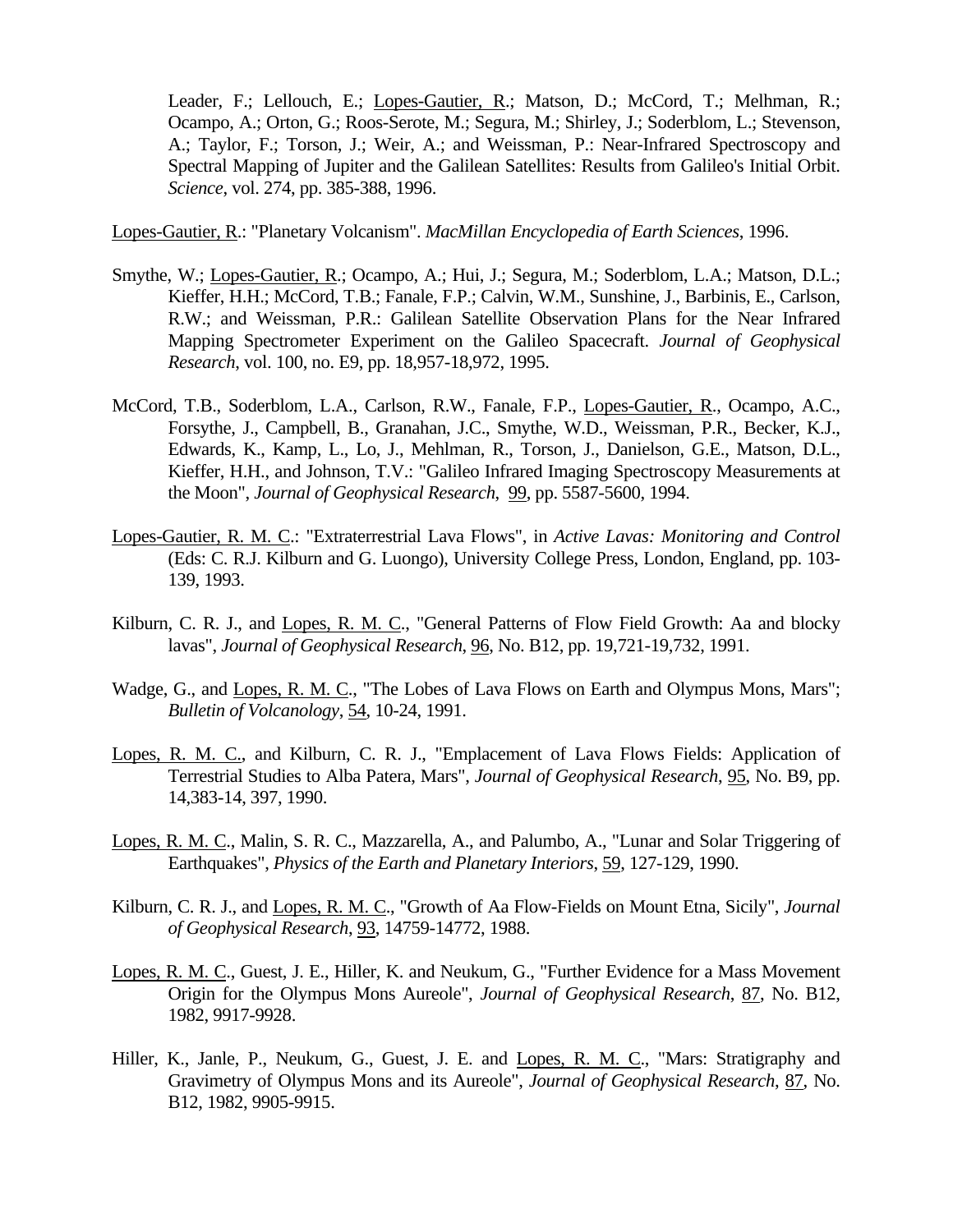Leader, F.; Lellouch, E.; Lopes-Gautier, R.; Matson, D.; McCord, T.; Melhman, R.; Ocampo, A.; Orton, G.; Roos-Serote, M.; Segura, M.; Shirley, J.; Soderblom, L.; Stevenson, A.; Taylor, F.; Torson, J.; Weir, A.; and Weissman, P.: Near-Infrared Spectroscopy and Spectral Mapping of Jupiter and the Galilean Satellites: Results from Galileo's Initial Orbit. *Science*, vol. 274, pp. 385-388, 1996.

Lopes-Gautier, R.: "Planetary Volcanism". *MacMillan Encyclopedia of Earth Sciences*, 1996.

- Smythe, W.; Lopes-Gautier, R.; Ocampo, A.; Hui, J.; Segura, M.; Soderblom, L.A.; Matson, D.L.; Kieffer, H.H.; McCord, T.B.; Fanale, F.P.; Calvin, W.M., Sunshine, J., Barbinis, E., Carlson, R.W.; and Weissman, P.R.: Galilean Satellite Observation Plans for the Near Infrared Mapping Spectrometer Experiment on the Galileo Spacecraft. *Journal of Geophysical Research*, vol. 100, no. E9, pp. 18,957-18,972, 1995.
- McCord, T.B., Soderblom, L.A., Carlson, R.W., Fanale, F.P., Lopes-Gautier, R., Ocampo, A.C., Forsythe, J., Campbell, B., Granahan, J.C., Smythe, W.D., Weissman, P.R., Becker, K.J., Edwards, K., Kamp, L., Lo, J., Mehlman, R., Torson, J., Danielson, G.E., Matson, D.L., Kieffer, H.H., and Johnson, T.V.: "Galileo Infrared Imaging Spectroscopy Measurements at the Moon", *Journal of Geophysical Research*, 99, pp. 5587-5600, 1994.
- Lopes-Gautier, R. M. C.: "Extraterrestrial Lava Flows", in *Active Lavas: Monitoring and Control* (Eds: C. R.J. Kilburn and G. Luongo), University College Press, London, England, pp. 103- 139, 1993.
- Kilburn, C. R. J., and Lopes, R. M. C., "General Patterns of Flow Field Growth: Aa and blocky lavas", *Journal of Geophysical Research*, 96, No. B12, pp. 19,721-19,732, 1991.
- Wadge, G., and Lopes, R. M. C., "The Lobes of Lava Flows on Earth and Olympus Mons, Mars"; *Bulletin of Volcanology*, 54, 10-24, 1991.
- Lopes, R. M. C., and Kilburn, C. R. J., "Emplacement of Lava Flows Fields: Application of Terrestrial Studies to Alba Patera, Mars", *Journal of Geophysical Research*, 95, No. B9, pp. 14,383-14, 397, 1990.
- Lopes, R. M. C., Malin, S. R. C., Mazzarella, A., and Palumbo, A., "Lunar and Solar Triggering of Earthquakes", *Physics of the Earth and Planetary Interiors*, 59, 127-129, 1990.
- Kilburn, C. R. J., and Lopes, R. M. C., "Growth of Aa Flow-Fields on Mount Etna, Sicily", *Journal of Geophysical Research*, 93, 14759-14772, 1988.
- Lopes, R. M. C., Guest, J. E., Hiller, K. and Neukum, G., "Further Evidence for a Mass Movement Origin for the Olympus Mons Aureole", *Journal of Geophysical Research*, 87, No. B12, 1982, 9917-9928.
- Hiller, K., Janle, P., Neukum, G., Guest, J. E. and Lopes, R. M. C., "Mars: Stratigraphy and Gravimetry of Olympus Mons and its Aureole", *Journal of Geophysical Research*, 87, No. B12, 1982, 9905-9915.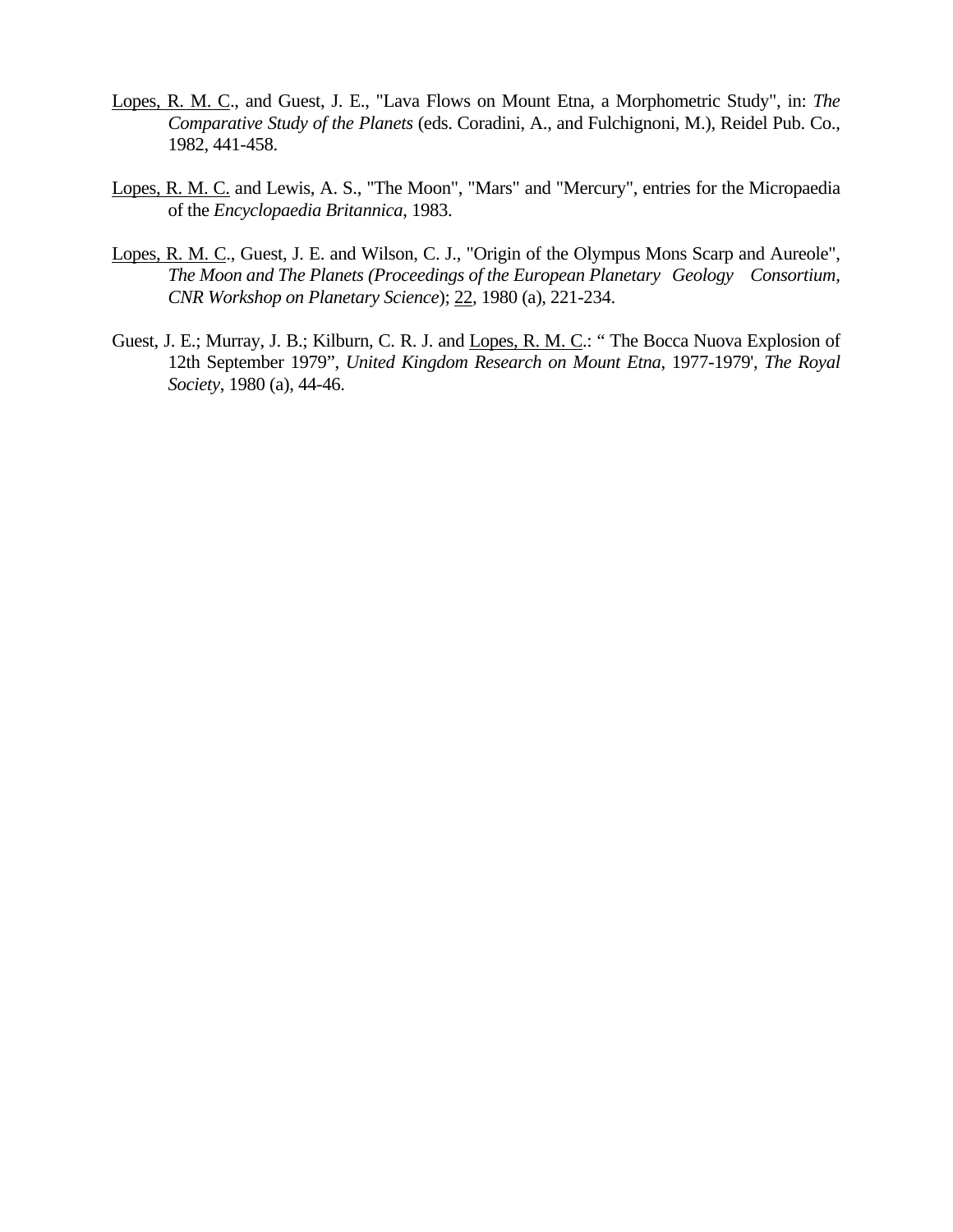- Lopes, R. M. C., and Guest, J. E., "Lava Flows on Mount Etna, a Morphometric Study", in: *The Comparative Study of the Planets* (eds. Coradini, A., and Fulchignoni, M.), Reidel Pub. Co., 1982, 441-458.
- Lopes, R. M. C. and Lewis, A. S., "The Moon", "Mars" and "Mercury", entries for the Micropaedia of the *Encyclopaedia Britannica*, 1983.
- Lopes, R. M. C., Guest, J. E. and Wilson, C. J., "Origin of the Olympus Mons Scarp and Aureole", *The Moon and The Planets (Proceedings of the European Planetary Geology Consortium, CNR Workshop on Planetary Science*); 22, 1980 (a), 221-234.
- Guest, J. E.; Murray, J. B.; Kilburn, C. R. J. and Lopes, R. M. C.: " The Bocca Nuova Explosion of 12th September 1979", *United Kingdom Research on Mount Etna*, 1977-1979', *The Royal Society*, 1980 (a), 44-46.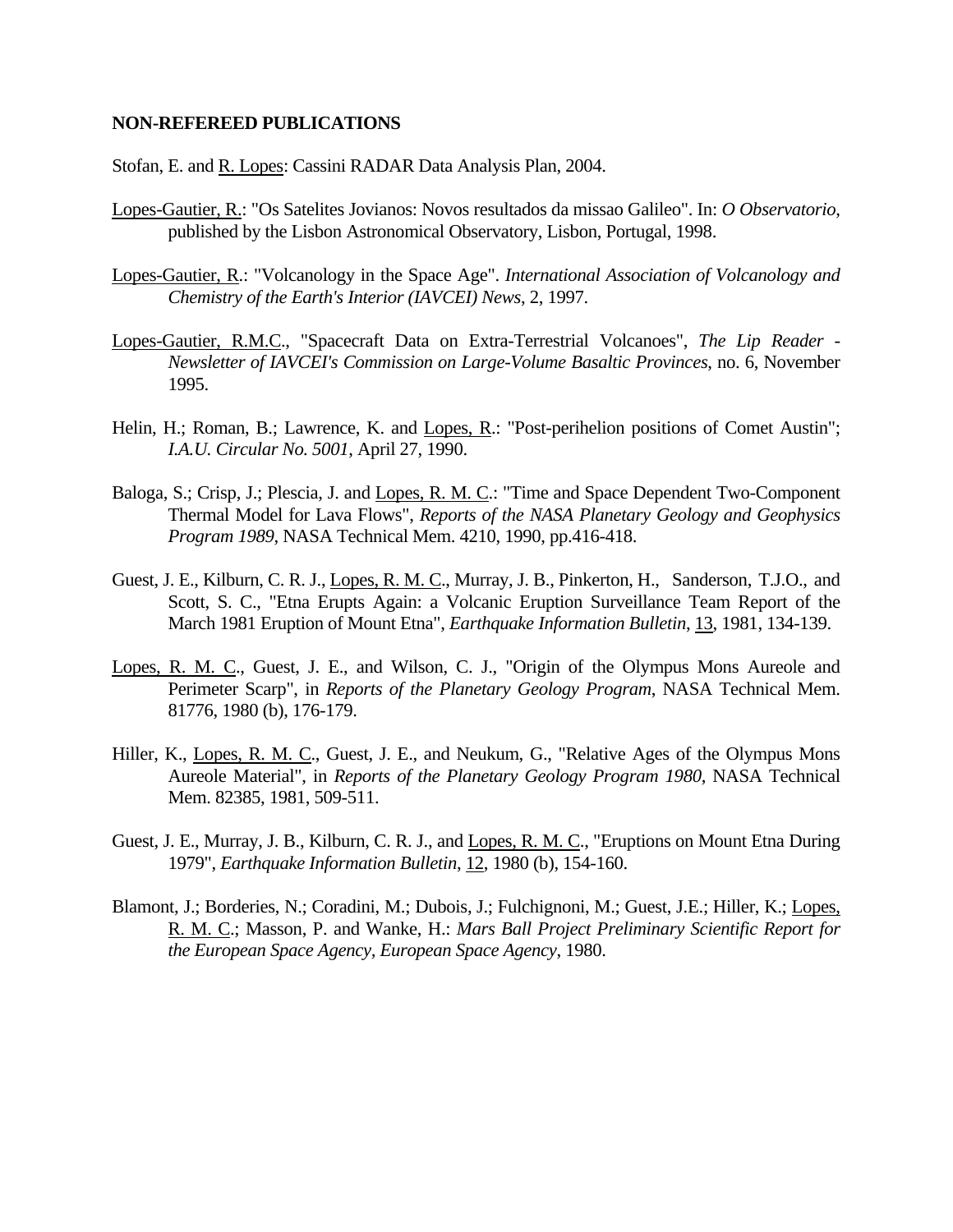#### **NON-REFEREED PUBLICATIONS**

Stofan, E. and R. Lopes: Cassini RADAR Data Analysis Plan, 2004.

- Lopes-Gautier, R.: "Os Satelites Jovianos: Novos resultados da missao Galileo". In: *O Observatorio*, published by the Lisbon Astronomical Observatory, Lisbon, Portugal, 1998.
- Lopes-Gautier, R.: "Volcanology in the Space Age". *International Association of Volcanology and Chemistry of the Earth's Interior (IAVCEI) News*, 2, 1997.
- Lopes-Gautier, R.M.C., "Spacecraft Data on Extra-Terrestrial Volcanoes", *The Lip Reader Newsletter of IAVCEI's Commission on Large-Volume Basaltic Provinces*, no. 6, November 1995.
- Helin, H.; Roman, B.; Lawrence, K. and Lopes, R.: "Post-perihelion positions of Comet Austin"; *I.A.U. Circular No. 5001*, April 27, 1990.
- Baloga, S.; Crisp, J.; Plescia, J. and Lopes, R. M. C.: "Time and Space Dependent Two-Component Thermal Model for Lava Flows", *Reports of the NASA Planetary Geology and Geophysics Program 1989*, NASA Technical Mem. 4210, 1990, pp.416-418.
- Guest, J. E., Kilburn, C. R. J., Lopes, R. M. C., Murray, J. B., Pinkerton, H., Sanderson, T.J.O., and Scott, S. C., "Etna Erupts Again: a Volcanic Eruption Surveillance Team Report of the March 1981 Eruption of Mount Etna", *Earthquake Information Bulletin*, 13, 1981, 134-139.
- Lopes, R. M. C., Guest, J. E., and Wilson, C. J., "Origin of the Olympus Mons Aureole and Perimeter Scarp", in *Reports of the Planetary Geology Program*, NASA Technical Mem. 81776, 1980 (b), 176-179.
- Hiller, K., Lopes, R. M. C., Guest, J. E., and Neukum, G., "Relative Ages of the Olympus Mons Aureole Material", in *Reports of the Planetary Geology Program 1980*, NASA Technical Mem. 82385, 1981, 509-511.
- Guest, J. E., Murray, J. B., Kilburn, C. R. J., and Lopes, R. M. C., "Eruptions on Mount Etna During 1979", *Earthquake Information Bulletin*, 12, 1980 (b), 154-160.
- Blamont, J.; Borderies, N.; Coradini, M.; Dubois, J.; Fulchignoni, M.; Guest, J.E.; Hiller, K.; Lopes, R. M. C.; Masson, P. and Wanke, H.: *Mars Ball Project Preliminary Scientific Report for the European Space Agency, European Space Agency*, 1980.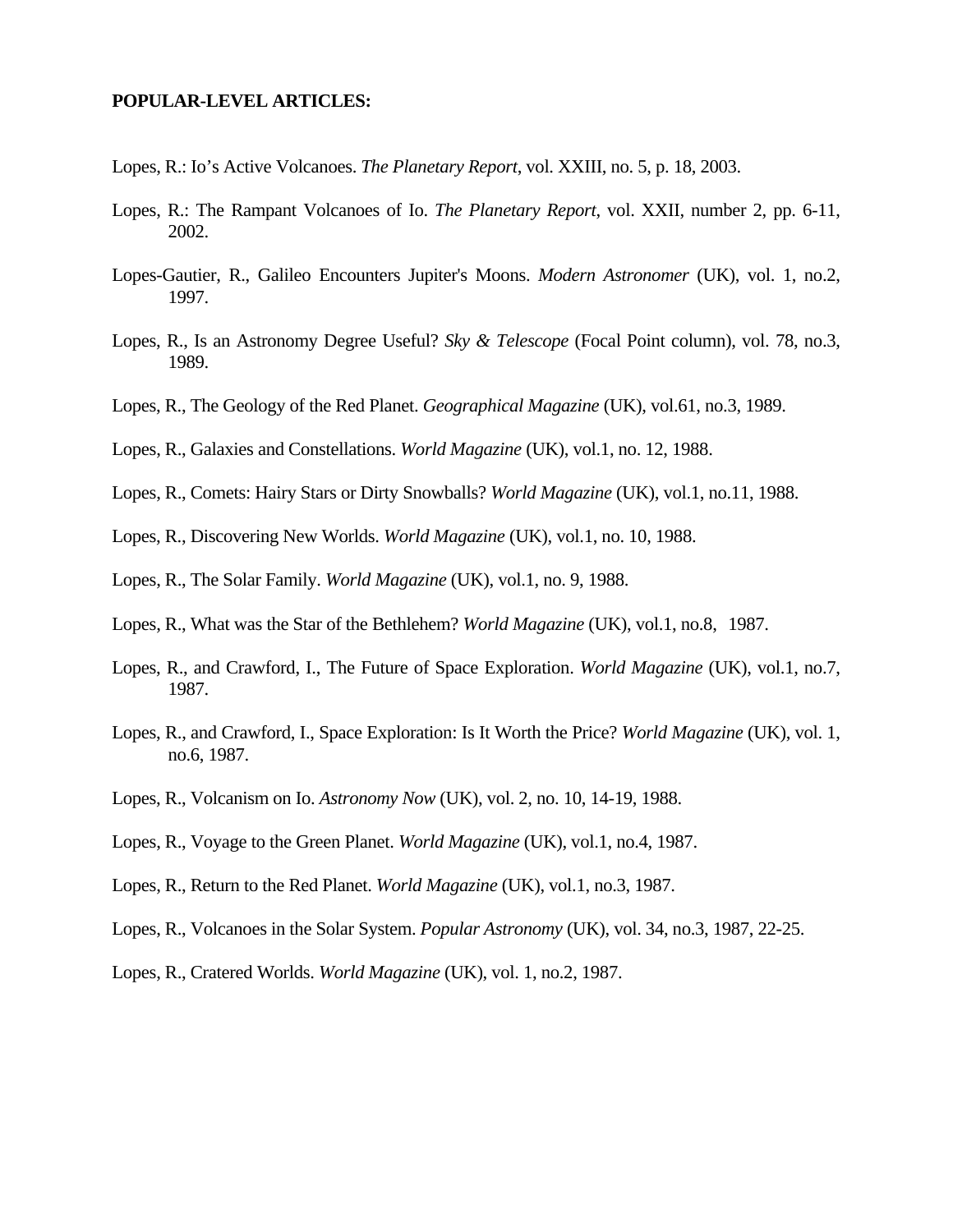#### **POPULAR-LEVEL ARTICLES:**

- Lopes, R.: Io's Active Volcanoes. *The Planetary Report*, vol. XXIII, no. 5, p. 18, 2003.
- Lopes, R.: The Rampant Volcanoes of Io. *The Planetary Report*, vol. XXII, number 2, pp. 6-11, 2002.
- Lopes-Gautier, R., Galileo Encounters Jupiter's Moons. *Modern Astronomer* (UK), vol. 1, no.2, 1997.
- Lopes, R., Is an Astronomy Degree Useful? *Sky & Telescope* (Focal Point column), vol. 78, no.3, 1989.
- Lopes, R., The Geology of the Red Planet. *Geographical Magazine* (UK), vol.61, no.3, 1989.
- Lopes, R., Galaxies and Constellations. *World Magazine* (UK), vol.1, no. 12, 1988.
- Lopes, R., Comets: Hairy Stars or Dirty Snowballs? *World Magazine* (UK), vol.1, no.11, 1988.
- Lopes, R., Discovering New Worlds. *World Magazine* (UK), vol.1, no. 10, 1988.
- Lopes, R., The Solar Family. *World Magazine* (UK), vol.1, no. 9, 1988.
- Lopes, R., What was the Star of the Bethlehem? *World Magazine* (UK), vol.1, no.8, 1987.
- Lopes, R., and Crawford, I., The Future of Space Exploration. *World Magazine* (UK), vol.1, no.7, 1987.
- Lopes, R., and Crawford, I., Space Exploration: Is It Worth the Price? *World Magazine* (UK), vol. 1, no.6, 1987.
- Lopes, R., Volcanism on Io. *Astronomy Now* (UK), vol. 2, no. 10, 14-19, 1988.
- Lopes, R., Voyage to the Green Planet. *World Magazine* (UK), vol.1, no.4, 1987.
- Lopes, R., Return to the Red Planet. *World Magazine* (UK), vol.1, no.3, 1987.
- Lopes, R., Volcanoes in the Solar System. *Popular Astronomy* (UK), vol. 34, no.3, 1987, 22-25.
- Lopes, R., Cratered Worlds. *World Magazine* (UK), vol. 1, no.2, 1987.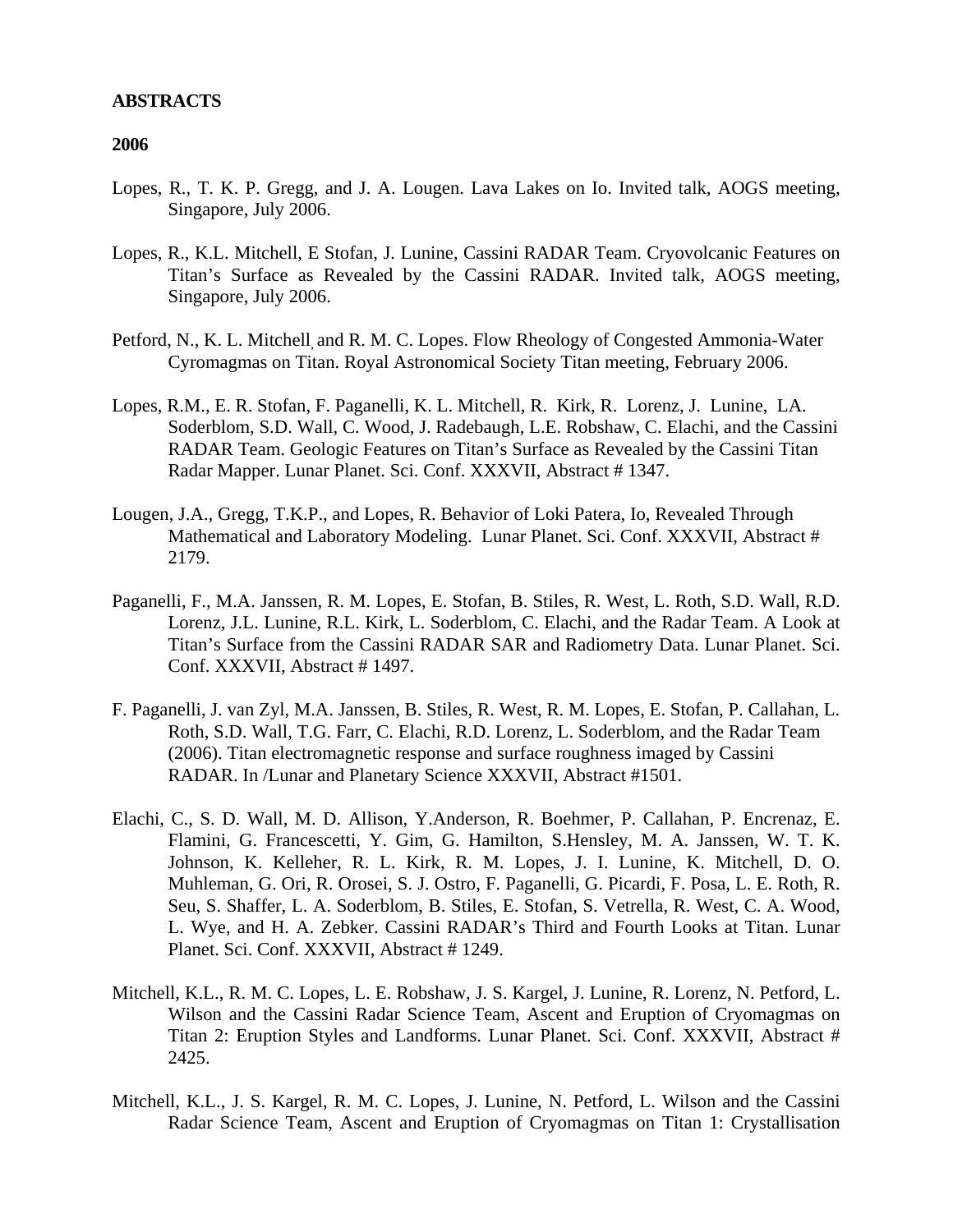#### **ABSTRACTS**

- Lopes, R., T. K. P. Gregg, and J. A. Lougen. Lava Lakes on Io. Invited talk, AOGS meeting, Singapore, July 2006.
- Lopes, R., K.L. Mitchell, E Stofan, J. Lunine, Cassini RADAR Team. Cryovolcanic Features on Titan's Surface as Revealed by the Cassini RADAR. Invited talk, AOGS meeting, Singapore, July 2006.
- Petford, N., K. L. Mitchell, and R. M. C. Lopes. Flow Rheology of Congested Ammonia-Water Cyromagmas on Titan. Royal Astronomical Society Titan meeting, February 2006.
- Lopes, R.M., E. R. Stofan, F. Paganelli, K. L. Mitchell, R. Kirk, R. Lorenz, J. Lunine, LA. Soderblom, S.D. Wall, C. Wood, J. Radebaugh, L.E. Robshaw, C. Elachi, and the Cassini RADAR Team. Geologic Features on Titan's Surface as Revealed by the Cassini Titan Radar Mapper. Lunar Planet. Sci. Conf. XXXVII, Abstract # 1347.
- Lougen, J.A., Gregg, T.K.P., and Lopes, R. Behavior of Loki Patera, Io, Revealed Through Mathematical and Laboratory Modeling. Lunar Planet. Sci. Conf. XXXVII, Abstract # 2179.
- Paganelli, F., M.A. Janssen, R. M. Lopes, E. Stofan, B. Stiles, R. West, L. Roth, S.D. Wall, R.D. Lorenz, J.L. Lunine, R.L. Kirk, L. Soderblom, C. Elachi, and the Radar Team. A Look at Titan's Surface from the Cassini RADAR SAR and Radiometry Data. Lunar Planet. Sci. Conf. XXXVII, Abstract # 1497.
- F. Paganelli, J. van Zyl, M.A. Janssen, B. Stiles, R. West, R. M. Lopes, E. Stofan, P. Callahan, L. Roth, S.D. Wall, T.G. Farr, C. Elachi, R.D. Lorenz, L. Soderblom, and the Radar Team (2006). Titan electromagnetic response and surface roughness imaged by Cassini RADAR. In /Lunar and Planetary Science XXXVII, Abstract #1501.
- Elachi, C., S. D. Wall, M. D. Allison, Y.Anderson, R. Boehmer, P. Callahan, P. Encrenaz, E. Flamini, G. Francescetti, Y. Gim, G. Hamilton, S.Hensley, M. A. Janssen, W. T. K. Johnson, K. Kelleher, R. L. Kirk, R. M. Lopes, J. I. Lunine, K. Mitchell, D. O. Muhleman, G. Ori, R. Orosei, S. J. Ostro, F. Paganelli, G. Picardi, F. Posa, L. E. Roth, R. Seu, S. Shaffer, L. A. Soderblom, B. Stiles, E. Stofan, S. Vetrella, R. West, C. A. Wood, L. Wye, and H. A. Zebker. Cassini RADAR's Third and Fourth Looks at Titan. Lunar Planet. Sci. Conf. XXXVII, Abstract #1249.
- Mitchell, K.L., R. M. C. Lopes, L. E. Robshaw, J. S. Kargel, J. Lunine, R. Lorenz, N. Petford, L. Wilson and the Cassini Radar Science Team, Ascent and Eruption of Cryomagmas on Titan 2: Eruption Styles and Landforms. Lunar Planet. Sci. Conf. XXXVII, Abstract # 2425.
- Mitchell, K.L., J. S. Kargel, R. M. C. Lopes, J. Lunine, N. Petford, L. Wilson and the Cassini Radar Science Team, Ascent and Eruption of Cryomagmas on Titan 1: Crystallisation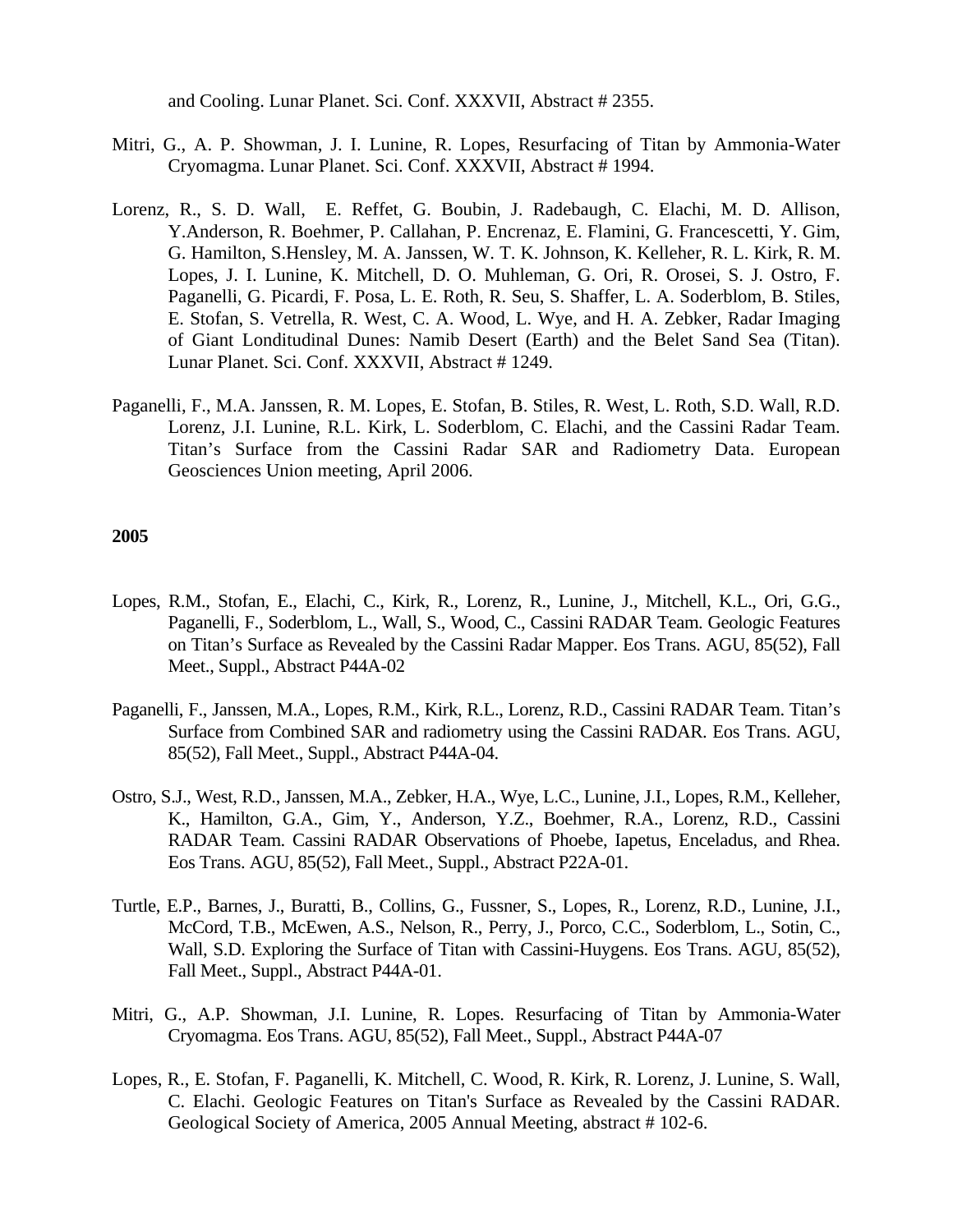and Cooling. Lunar Planet. Sci. Conf. XXXVII, Abstract # 2355.

- Mitri, G., A. P. Showman, J. I. Lunine, R. Lopes, Resurfacing of Titan by Ammonia-Water Cryomagma. Lunar Planet. Sci. Conf. XXXVII, Abstract # 1994.
- Lorenz, R., S. D. Wall, E. Reffet, G. Boubin, J. Radebaugh, C. Elachi, M. D. Allison, Y.Anderson, R. Boehmer, P. Callahan, P. Encrenaz, E. Flamini, G. Francescetti, Y. Gim, G. Hamilton, S.Hensley, M. A. Janssen, W. T. K. Johnson, K. Kelleher, R. L. Kirk, R. M. Lopes, J. I. Lunine, K. Mitchell, D. O. Muhleman, G. Ori, R. Orosei, S. J. Ostro, F. Paganelli, G. Picardi, F. Posa, L. E. Roth, R. Seu, S. Shaffer, L. A. Soderblom, B. Stiles, E. Stofan, S. Vetrella, R. West, C. A. Wood, L. Wye, and H. A. Zebker, Radar Imaging of Giant Londitudinal Dunes: Namib Desert (Earth) and the Belet Sand Sea (Titan). Lunar Planet. Sci. Conf. XXXVII, Abstract # 1249.
- Paganelli, F., M.A. Janssen, R. M. Lopes, E. Stofan, B. Stiles, R. West, L. Roth, S.D. Wall, R.D. Lorenz, J.I. Lunine, R.L. Kirk, L. Soderblom, C. Elachi, and the Cassini Radar Team. Titan's Surface from the Cassini Radar SAR and Radiometry Data. European Geosciences Union meeting, April 2006.

- Lopes, R.M., Stofan, E., Elachi, C., Kirk, R., Lorenz, R., Lunine, J., Mitchell, K.L., Ori, G.G., Paganelli, F., Soderblom, L., Wall, S., Wood, C., Cassini RADAR Team. Geologic Features on Titan's Surface as Revealed by the Cassini Radar Mapper. Eos Trans. AGU, 85(52), Fall Meet., Suppl., Abstract P44A-02
- Paganelli, F., Janssen, M.A., Lopes, R.M., Kirk, R.L., Lorenz, R.D., Cassini RADAR Team. Titan's Surface from Combined SAR and radiometry using the Cassini RADAR. Eos Trans. AGU, 85(52), Fall Meet., Suppl., Abstract P44A-04.
- Ostro, S.J., West, R.D., Janssen, M.A., Zebker, H.A., Wye, L.C., Lunine, J.I., Lopes, R.M., Kelleher, K., Hamilton, G.A., Gim, Y., Anderson, Y.Z., Boehmer, R.A., Lorenz, R.D., Cassini RADAR Team. Cassini RADAR Observations of Phoebe, Iapetus, Enceladus, and Rhea. Eos Trans. AGU, 85(52), Fall Meet., Suppl., Abstract P22A-01.
- Turtle, E.P., Barnes, J., Buratti, B., Collins, G., Fussner, S., Lopes, R., Lorenz, R.D., Lunine, J.I., McCord, T.B., McEwen, A.S., Nelson, R., Perry, J., Porco, C.C., Soderblom, L., Sotin, C., Wall, S.D. Exploring the Surface of Titan with Cassini-Huygens. Eos Trans. AGU, 85(52), Fall Meet., Suppl., Abstract P44A-01.
- Mitri, G., A.P. Showman, J.I. Lunine, R. Lopes. Resurfacing of Titan by Ammonia-Water Cryomagma. Eos Trans. AGU, 85(52), Fall Meet., Suppl., Abstract P44A-07
- Lopes, R., E. Stofan, F. Paganelli, K. Mitchell, C. Wood, R. Kirk, R. Lorenz, J. Lunine, S. Wall, C. Elachi. Geologic Features on Titan's Surface as Revealed by the Cassini RADAR. Geological Society of America, 2005 Annual Meeting, abstract #102-6.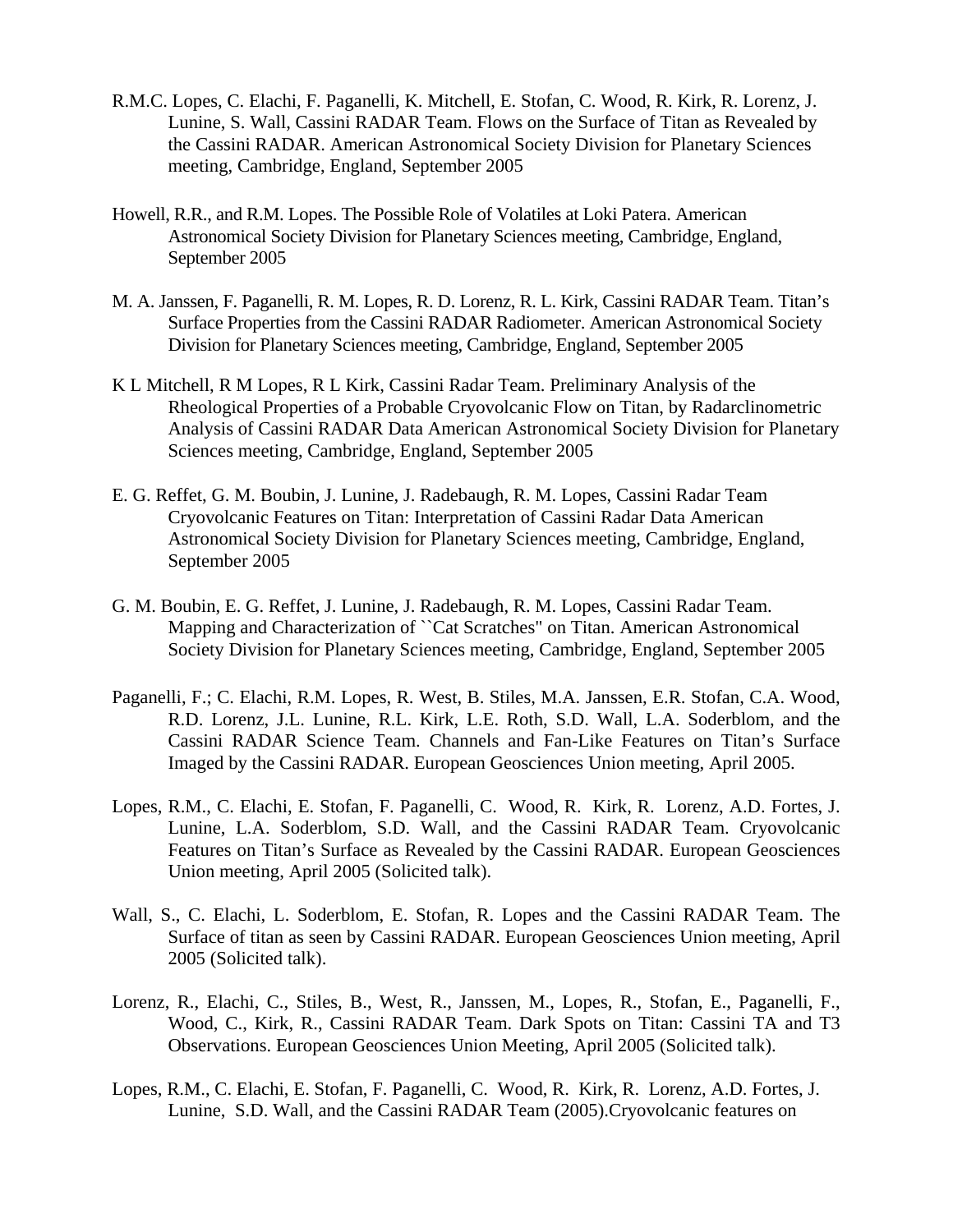- R.M.C. Lopes, C. Elachi, F. Paganelli, K. Mitchell, E. Stofan, C. Wood, R. Kirk, R. Lorenz, J. Lunine, S. Wall, Cassini RADAR Team. Flows on the Surface of Titan as Revealed by the Cassini RADAR. American Astronomical Society Division for Planetary Sciences meeting, Cambridge, England, September 2005
- Howell, R.R., and R.M. Lopes. The Possible Role of Volatiles at Loki Patera. American Astronomical Society Division for Planetary Sciences meeting, Cambridge, England, September 2005
- M. A. Janssen, F. Paganelli, R. M. Lopes, R. D. Lorenz, R. L. Kirk, Cassini RADAR Team. Titan's Surface Properties from the Cassini RADAR Radiometer. American Astronomical Society Division for Planetary Sciences meeting, Cambridge, England, September 2005
- K L Mitchell, R M Lopes, R L Kirk, Cassini Radar Team. Preliminary Analysis of the Rheological Properties of a Probable Cryovolcanic Flow on Titan, by Radarclinometric Analysis of Cassini RADAR Data American Astronomical Society Division for Planetary Sciences meeting, Cambridge, England, September 2005
- E. G. Reffet, G. M. Boubin, J. Lunine, J. Radebaugh, R. M. Lopes, Cassini Radar Team Cryovolcanic Features on Titan: Interpretation of Cassini Radar Data American Astronomical Society Division for Planetary Sciences meeting, Cambridge, England, September 2005
- G. M. Boubin, E. G. Reffet, J. Lunine, J. Radebaugh, R. M. Lopes, Cassini Radar Team. Mapping and Characterization of ``Cat Scratches" on Titan. American Astronomical Society Division for Planetary Sciences meeting, Cambridge, England, September 2005
- Paganelli, F.; C. Elachi, R.M. Lopes, R. West, B. Stiles, M.A. Janssen, E.R. Stofan, C.A. Wood, R.D. Lorenz, J.L. Lunine, R.L. Kirk, L.E. Roth, S.D. Wall, L.A. Soderblom, and the Cassini RADAR Science Team. Channels and Fan-Like Features on Titan's Surface Imaged by the Cassini RADAR. European Geosciences Union meeting, April 2005.
- Lopes, R.M., C. Elachi, E. Stofan, F. Paganelli, C. Wood, R. Kirk, R. Lorenz, A.D. Fortes, J. Lunine, L.A. Soderblom, S.D. Wall, and the Cassini RADAR Team. Cryovolcanic Features on Titan's Surface as Revealed by the Cassini RADAR. European Geosciences Union meeting, April 2005 (Solicited talk).
- Wall, S., C. Elachi, L. Soderblom, E. Stofan, R. Lopes and the Cassini RADAR Team. The Surface of titan as seen by Cassini RADAR. European Geosciences Union meeting, April 2005 (Solicited talk).
- Lorenz, R., Elachi, C., Stiles, B., West, R., Janssen, M., Lopes, R., Stofan, E., Paganelli, F., Wood, C., Kirk, R., Cassini RADAR Team. Dark Spots on Titan: Cassini TA and T3 Observations. European Geosciences Union Meeting, April 2005 (Solicited talk).
- Lopes, R.M., C. Elachi, E. Stofan, F. Paganelli, C. Wood, R. Kirk, R. Lorenz, A.D. Fortes, J. Lunine, S.D. Wall, and the Cassini RADAR Team (2005).Cryovolcanic features on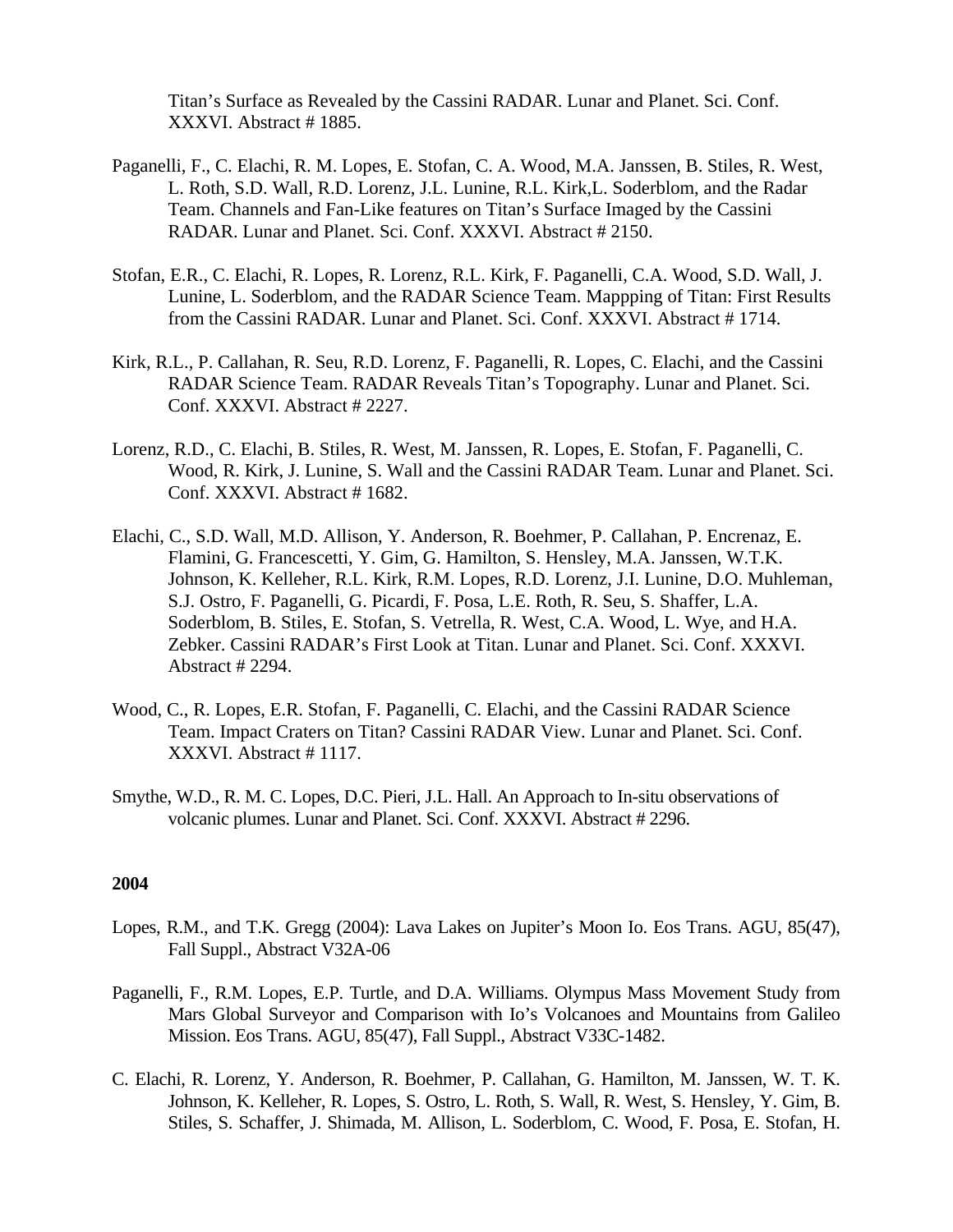Titan's Surface as Revealed by the Cassini RADAR. Lunar and Planet. Sci. Conf. XXXVI. Abstract # 1885.

- Paganelli, F., C. Elachi, R. M. Lopes, E. Stofan, C. A. Wood, M.A. Janssen, B. Stiles, R. West, L. Roth, S.D. Wall, R.D. Lorenz, J.L. Lunine, R.L. Kirk,L. Soderblom, and the Radar Team. Channels and Fan-Like features on Titan's Surface Imaged by the Cassini RADAR. Lunar and Planet. Sci. Conf. XXXVI. Abstract # 2150.
- Stofan, E.R., C. Elachi, R. Lopes, R. Lorenz, R.L. Kirk, F. Paganelli, C.A. Wood, S.D. Wall, J. Lunine, L. Soderblom, and the RADAR Science Team. Mappping of Titan: First Results from the Cassini RADAR. Lunar and Planet. Sci. Conf. XXXVI. Abstract # 1714.
- Kirk, R.L., P. Callahan, R. Seu, R.D. Lorenz, F. Paganelli, R. Lopes, C. Elachi, and the Cassini RADAR Science Team. RADAR Reveals Titan's Topography. Lunar and Planet. Sci. Conf. XXXVI. Abstract # 2227.
- Lorenz, R.D., C. Elachi, B. Stiles, R. West, M. Janssen, R. Lopes, E. Stofan, F. Paganelli, C. Wood, R. Kirk, J. Lunine, S. Wall and the Cassini RADAR Team. Lunar and Planet. Sci. Conf. XXXVI. Abstract # 1682.
- Elachi, C., S.D. Wall, M.D. Allison, Y. Anderson, R. Boehmer, P. Callahan, P. Encrenaz, E. Flamini, G. Francescetti, Y. Gim, G. Hamilton, S. Hensley, M.A. Janssen, W.T.K. Johnson, K. Kelleher, R.L. Kirk, R.M. Lopes, R.D. Lorenz, J.I. Lunine, D.O. Muhleman, S.J. Ostro, F. Paganelli, G. Picardi, F. Posa, L.E. Roth, R. Seu, S. Shaffer, L.A. Soderblom, B. Stiles, E. Stofan, S. Vetrella, R. West, C.A. Wood, L. Wye, and H.A. Zebker. Cassini RADAR's First Look at Titan. Lunar and Planet. Sci. Conf. XXXVI. Abstract # 2294.
- Wood, C., R. Lopes, E.R. Stofan, F. Paganelli, C. Elachi, and the Cassini RADAR Science Team. Impact Craters on Titan? Cassini RADAR View. Lunar and Planet. Sci. Conf. XXXVI. Abstract # 1117.
- Smythe, W.D., R. M. C. Lopes, D.C. Pieri, J.L. Hall. An Approach to In-situ observations of volcanic plumes. Lunar and Planet. Sci. Conf. XXXVI. Abstract # 2296.

- Lopes, R.M., and T.K. Gregg (2004): Lava Lakes on Jupiter's Moon Io. Eos Trans. AGU, 85(47), Fall Suppl., Abstract V32A-06
- Paganelli, F., R.M. Lopes, E.P. Turtle, and D.A. Williams. Olympus Mass Movement Study from Mars Global Surveyor and Comparison with Io's Volcanoes and Mountains from Galileo Mission. Eos Trans. AGU, 85(47), Fall Suppl., Abstract V33C-1482.
- C. Elachi, R. Lorenz, Y. Anderson, R. Boehmer, P. Callahan, G. Hamilton, M. Janssen, W. T. K. Johnson, K. Kelleher, R. Lopes, S. Ostro, L. Roth, S. Wall, R. West, S. Hensley, Y. Gim, B. Stiles, S. Schaffer, J. Shimada, M. Allison, L. Soderblom, C. Wood, F. Posa, E. Stofan, H.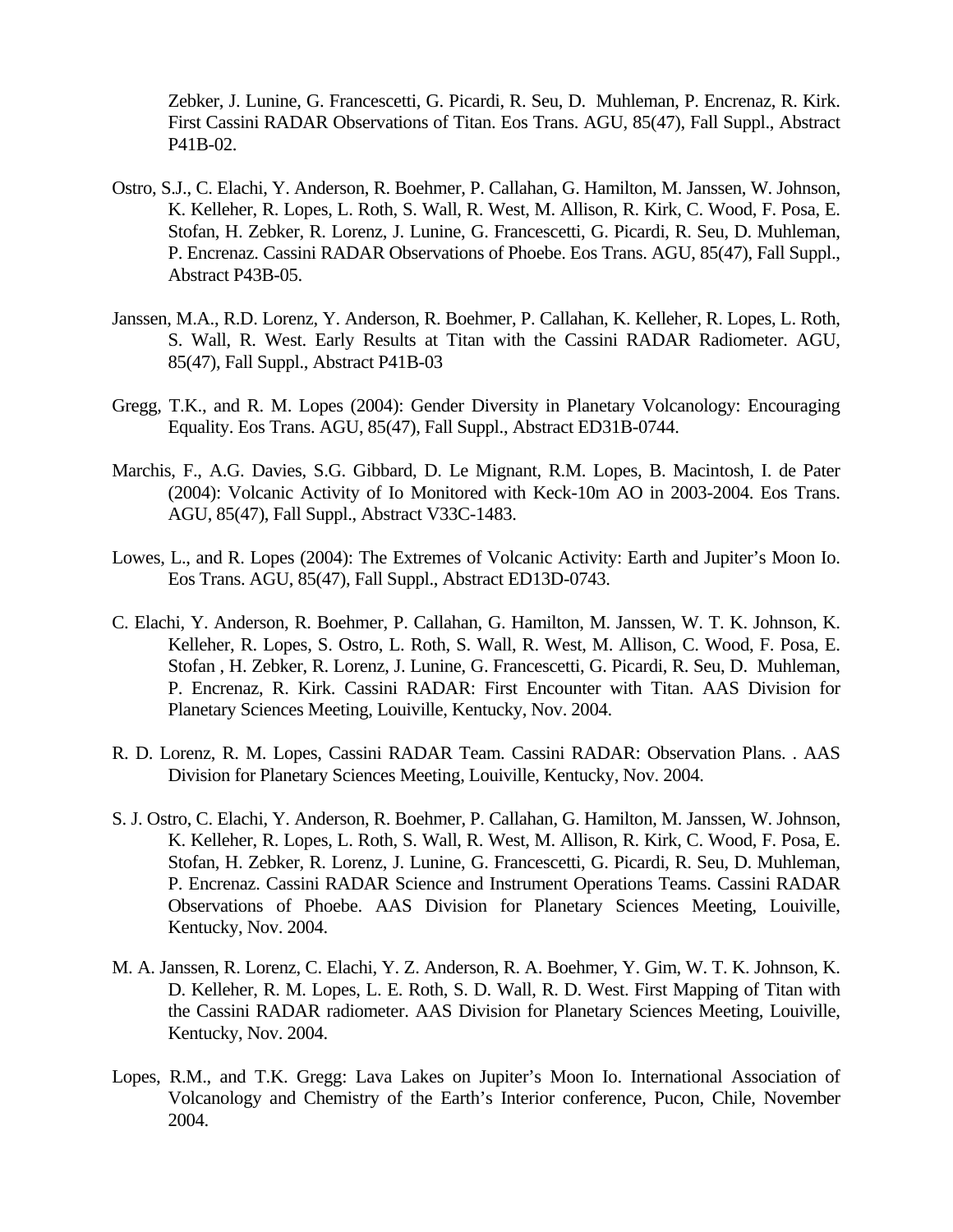Zebker, J. Lunine, G. Francescetti, G. Picardi, R. Seu, D. Muhleman, P. Encrenaz, R. Kirk. First Cassini RADAR Observations of Titan. Eos Trans. AGU, 85(47), Fall Suppl., Abstract P41B-02.

- Ostro, S.J., C. Elachi, Y. Anderson, R. Boehmer, P. Callahan, G. Hamilton, M. Janssen, W. Johnson, K. Kelleher, R. Lopes, L. Roth, S. Wall, R. West, M. Allison, R. Kirk, C. Wood, F. Posa, E. Stofan, H. Zebker, R. Lorenz, J. Lunine, G. Francescetti, G. Picardi, R. Seu, D. Muhleman, P. Encrenaz. Cassini RADAR Observations of Phoebe. Eos Trans. AGU, 85(47), Fall Suppl., Abstract P43B-05.
- Janssen, M.A., R.D. Lorenz, Y. Anderson, R. Boehmer, P. Callahan, K. Kelleher, R. Lopes, L. Roth, S. Wall, R. West. Early Results at Titan with the Cassini RADAR Radiometer. AGU, 85(47), Fall Suppl., Abstract P41B-03
- Gregg, T.K., and R. M. Lopes (2004): Gender Diversity in Planetary Volcanology: Encouraging Equality. Eos Trans. AGU, 85(47), Fall Suppl., Abstract ED31B-0744.
- Marchis, F., A.G. Davies, S.G. Gibbard, D. Le Mignant, R.M. Lopes, B. Macintosh, I. de Pater (2004): Volcanic Activity of Io Monitored with Keck-10m AO in 2003-2004. Eos Trans. AGU, 85(47), Fall Suppl., Abstract V33C-1483.
- Lowes, L., and R. Lopes (2004): The Extremes of Volcanic Activity: Earth and Jupiter's Moon Io. Eos Trans. AGU, 85(47), Fall Suppl., Abstract ED13D-0743.
- C. Elachi, Y. Anderson, R. Boehmer, P. Callahan, G. Hamilton, M. Janssen, W. T. K. Johnson, K. Kelleher, R. Lopes, S. Ostro, L. Roth, S. Wall, R. West, M. Allison, C. Wood, F. Posa, E. Stofan , H. Zebker, R. Lorenz, J. Lunine, G. Francescetti, G. Picardi, R. Seu, D. Muhleman, P. Encrenaz, R. Kirk. Cassini RADAR: First Encounter with Titan. AAS Division for Planetary Sciences Meeting, Louiville, Kentucky, Nov. 2004.
- R. D. Lorenz, R. M. Lopes, Cassini RADAR Team. Cassini RADAR: Observation Plans. . AAS Division for Planetary Sciences Meeting, Louiville, Kentucky, Nov. 2004.
- S. J. Ostro, C. Elachi, Y. Anderson, R. Boehmer, P. Callahan, G. Hamilton, M. Janssen, W. Johnson, K. Kelleher, R. Lopes, L. Roth, S. Wall, R. West, M. Allison, R. Kirk, C. Wood, F. Posa, E. Stofan, H. Zebker, R. Lorenz, J. Lunine, G. Francescetti, G. Picardi, R. Seu, D. Muhleman, P. Encrenaz. Cassini RADAR Science and Instrument Operations Teams. Cassini RADAR Observations of Phoebe. AAS Division for Planetary Sciences Meeting, Louiville, Kentucky, Nov. 2004.
- M. A. Janssen, R. Lorenz, C. Elachi, Y. Z. Anderson, R. A. Boehmer, Y. Gim, W. T. K. Johnson, K. D. Kelleher, R. M. Lopes, L. E. Roth, S. D. Wall, R. D. West. First Mapping of Titan with the Cassini RADAR radiometer. AAS Division for Planetary Sciences Meeting, Louiville, Kentucky, Nov. 2004.
- Lopes, R.M., and T.K. Gregg: Lava Lakes on Jupiter's Moon Io. International Association of Volcanology and Chemistry of the Earth's Interior conference, Pucon, Chile, November 2004.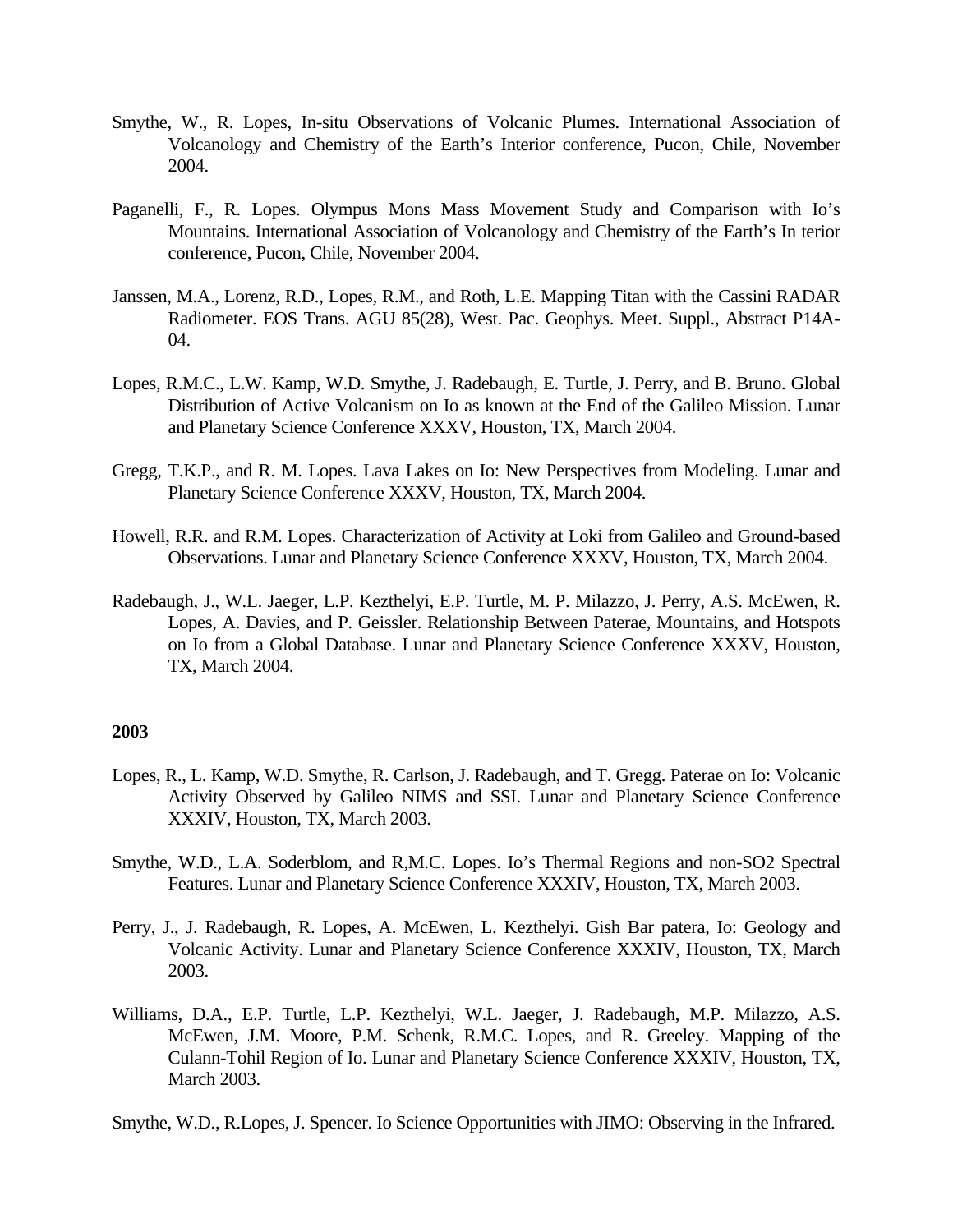- Smythe, W., R. Lopes, In-situ Observations of Volcanic Plumes. International Association of Volcanology and Chemistry of the Earth's Interior conference, Pucon, Chile, November 2004.
- Paganelli, F., R. Lopes. Olympus Mons Mass Movement Study and Comparison with Io's Mountains. International Association of Volcanology and Chemistry of the Earth's In terior conference, Pucon, Chile, November 2004.
- Janssen, M.A., Lorenz, R.D., Lopes, R.M., and Roth, L.E. Mapping Titan with the Cassini RADAR Radiometer. EOS Trans. AGU 85(28), West. Pac. Geophys. Meet. Suppl., Abstract P14A-04.
- Lopes, R.M.C., L.W. Kamp, W.D. Smythe, J. Radebaugh, E. Turtle, J. Perry, and B. Bruno. Global Distribution of Active Volcanism on Io as known at the End of the Galileo Mission. Lunar and Planetary Science Conference XXXV, Houston, TX, March 2004.
- Gregg, T.K.P., and R. M. Lopes. Lava Lakes on Io: New Perspectives from Modeling. Lunar and Planetary Science Conference XXXV, Houston, TX, March 2004.
- Howell, R.R. and R.M. Lopes. Characterization of Activity at Loki from Galileo and Ground-based Observations. Lunar and Planetary Science Conference XXXV, Houston, TX, March 2004.
- Radebaugh, J., W.L. Jaeger, L.P. Kezthelyi, E.P. Turtle, M. P. Milazzo, J. Perry, A.S. McEwen, R. Lopes, A. Davies, and P. Geissler. Relationship Between Paterae, Mountains, and Hotspots on Io from a Global Database. Lunar and Planetary Science Conference XXXV, Houston, TX, March 2004.

- Lopes, R., L. Kamp, W.D. Smythe, R. Carlson, J. Radebaugh, and T. Gregg. Paterae on Io: Volcanic Activity Observed by Galileo NIMS and SSI. Lunar and Planetary Science Conference XXXIV, Houston, TX, March 2003.
- Smythe, W.D., L.A. Soderblom, and R,M.C. Lopes. Io's Thermal Regions and non-SO2 Spectral Features. Lunar and Planetary Science Conference XXXIV, Houston, TX, March 2003.
- Perry, J., J. Radebaugh, R. Lopes, A. McEwen, L. Kezthelyi. Gish Bar patera, Io: Geology and Volcanic Activity. Lunar and Planetary Science Conference XXXIV, Houston, TX, March 2003.
- Williams, D.A., E.P. Turtle, L.P. Kezthelyi, W.L. Jaeger, J. Radebaugh, M.P. Milazzo, A.S. McEwen, J.M. Moore, P.M. Schenk, R.M.C. Lopes, and R. Greeley. Mapping of the Culann-Tohil Region of Io. Lunar and Planetary Science Conference XXXIV, Houston, TX, March 2003.
- Smythe, W.D., R.Lopes, J. Spencer. Io Science Opportunities with JIMO: Observing in the Infrared.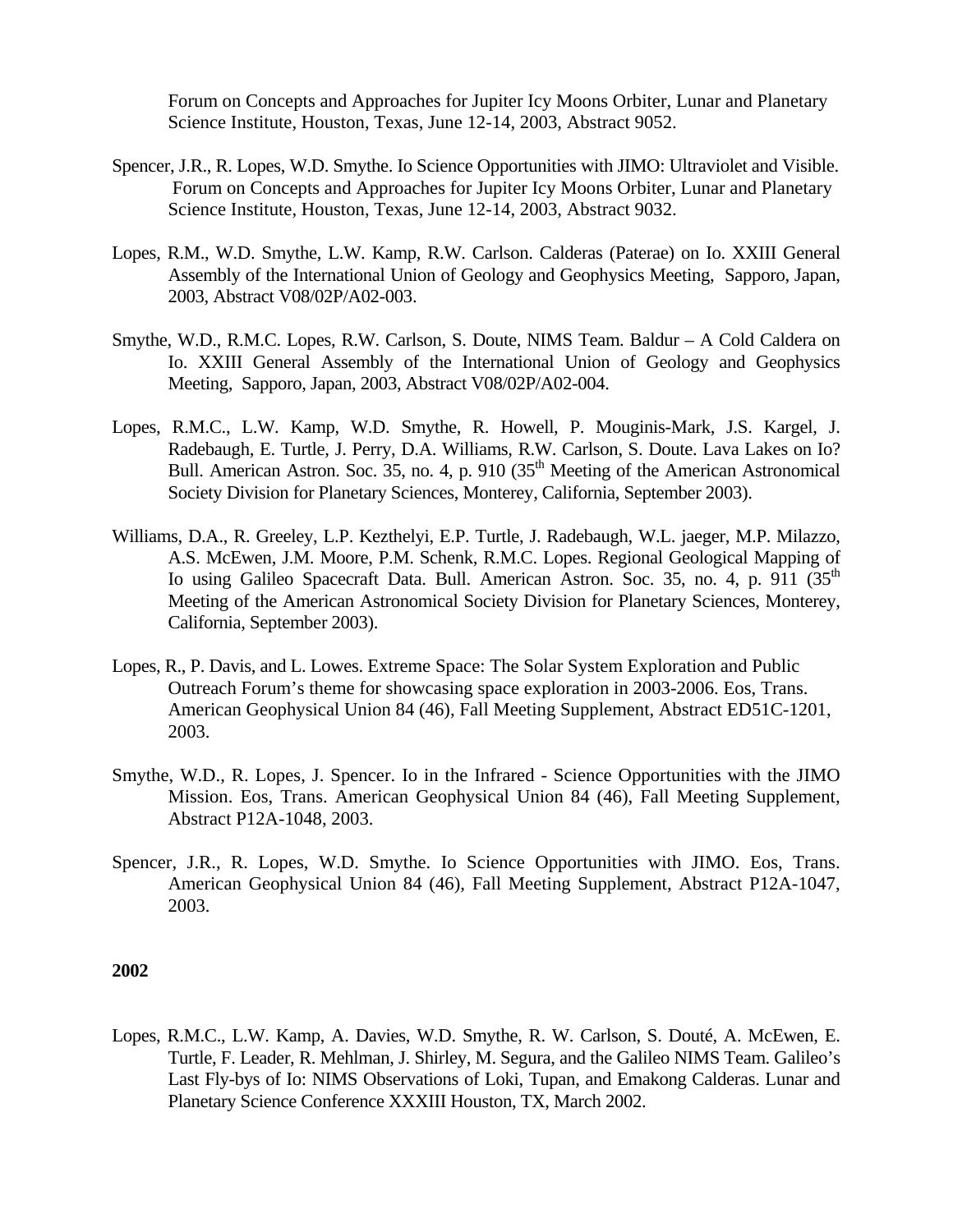Forum on Concepts and Approaches for Jupiter Icy Moons Orbiter, Lunar and Planetary Science Institute, Houston, Texas, June 12-14, 2003, Abstract 9052.

- Spencer, J.R., R. Lopes, W.D. Smythe. Io Science Opportunities with JIMO: Ultraviolet and Visible. Forum on Concepts and Approaches for Jupiter Icy Moons Orbiter, Lunar and Planetary Science Institute, Houston, Texas, June 12-14, 2003, Abstract 9032.
- Lopes, R.M., W.D. Smythe, L.W. Kamp, R.W. Carlson. Calderas (Paterae) on Io. XXIII General Assembly of the International Union of Geology and Geophysics Meeting, Sapporo, Japan, 2003, Abstract V08/02P/A02-003.
- Smythe, W.D., R.M.C. Lopes, R.W. Carlson, S. Doute, NIMS Team. Baldur A Cold Caldera on Io. XXIII General Assembly of the International Union of Geology and Geophysics Meeting, Sapporo, Japan, 2003, Abstract V08/02P/A02-004.
- Lopes, R.M.C., L.W. Kamp, W.D. Smythe, R. Howell, P. Mouginis-Mark, J.S. Kargel, J. Radebaugh, E. Turtle, J. Perry, D.A. Williams, R.W. Carlson, S. Doute. Lava Lakes on Io? Bull. American Astron. Soc. 35, no. 4, p. 910 ( $35<sup>th</sup>$  Meeting of the American Astronomical Society Division for Planetary Sciences, Monterey, California, September 2003).
- Williams, D.A., R. Greeley, L.P. Kezthelyi, E.P. Turtle, J. Radebaugh, W.L. jaeger, M.P. Milazzo, A.S. McEwen, J.M. Moore, P.M. Schenk, R.M.C. Lopes. Regional Geological Mapping of Io using Galileo Spacecraft Data. Bull. American Astron. Soc. 35, no. 4, p. 911 (35<sup>th</sup>) Meeting of the American Astronomical Society Division for Planetary Sciences, Monterey, California, September 2003).
- Lopes, R., P. Davis, and L. Lowes. Extreme Space: The Solar System Exploration and Public Outreach Forum's theme for showcasing space exploration in 2003-2006. Eos, Trans. American Geophysical Union 84 (46), Fall Meeting Supplement, Abstract ED51C-1201, 2003.
- Smythe, W.D., R. Lopes, J. Spencer. Io in the Infrared Science Opportunities with the JIMO Mission. Eos, Trans. American Geophysical Union 84 (46), Fall Meeting Supplement, Abstract P12A-1048, 2003.
- Spencer, J.R., R. Lopes, W.D. Smythe. Io Science Opportunities with JIMO. Eos, Trans. American Geophysical Union 84 (46), Fall Meeting Supplement, Abstract P12A-1047, 2003.

#### **2002**

Lopes, R.M.C., L.W. Kamp, A. Davies, W.D. Smythe, R. W. Carlson, S. Douté, A. McEwen, E. Turtle, F. Leader, R. Mehlman, J. Shirley, M. Segura, and the Galileo NIMS Team. Galileo's Last Fly-bys of Io: NIMS Observations of Loki, Tupan, and Emakong Calderas. Lunar and Planetary Science Conference XXXIII Houston, TX, March 2002.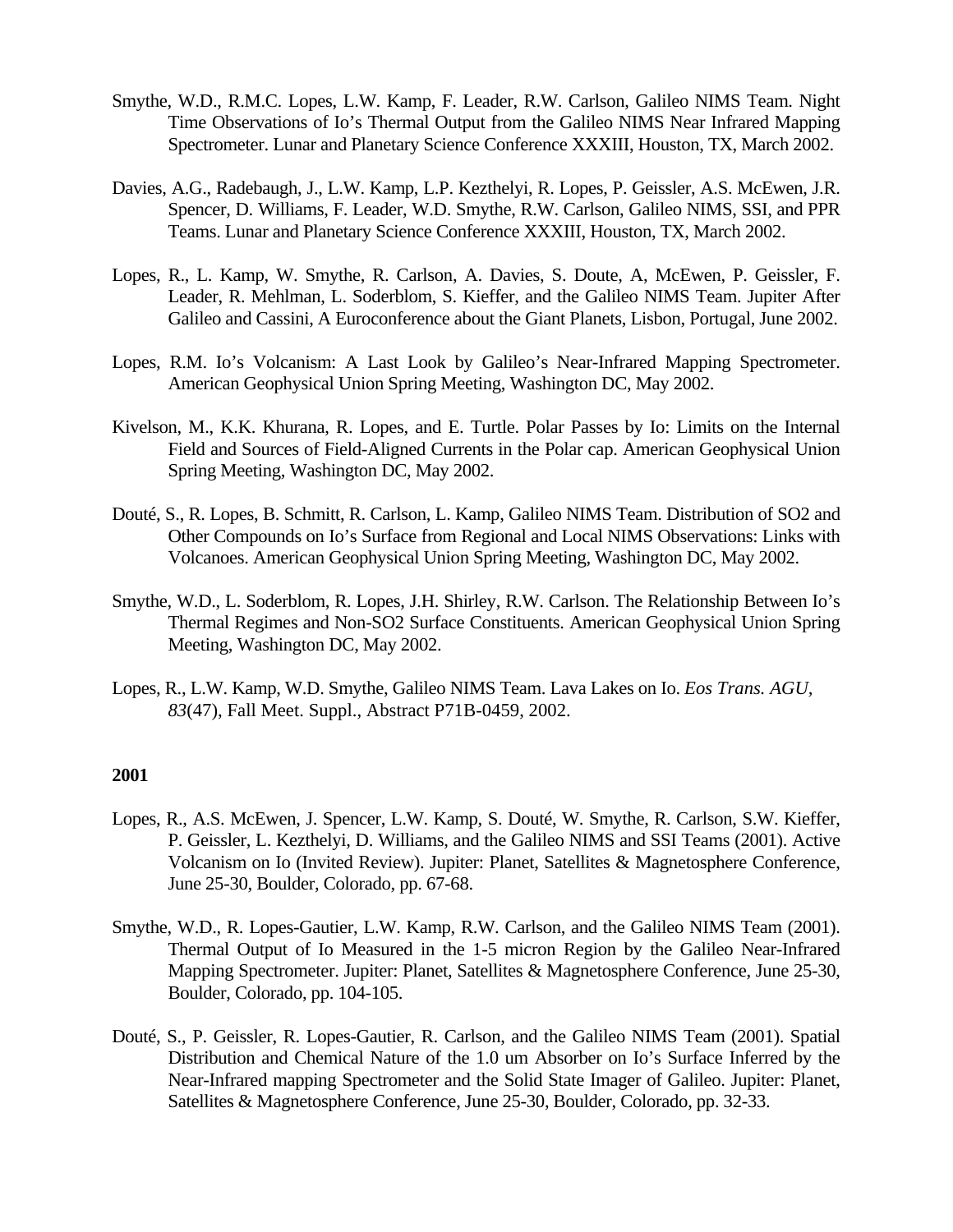- Smythe, W.D., R.M.C. Lopes, L.W. Kamp, F. Leader, R.W. Carlson, Galileo NIMS Team. Night Time Observations of Io's Thermal Output from the Galileo NIMS Near Infrared Mapping Spectrometer. Lunar and Planetary Science Conference XXXIII, Houston, TX, March 2002.
- Davies, A.G., Radebaugh, J., L.W. Kamp, L.P. Kezthelyi, R. Lopes, P. Geissler, A.S. McEwen, J.R. Spencer, D. Williams, F. Leader, W.D. Smythe, R.W. Carlson, Galileo NIMS, SSI, and PPR Teams. Lunar and Planetary Science Conference XXXIII, Houston, TX, March 2002.
- Lopes, R., L. Kamp, W. Smythe, R. Carlson, A. Davies, S. Doute, A, McEwen, P. Geissler, F. Leader, R. Mehlman, L. Soderblom, S. Kieffer, and the Galileo NIMS Team. Jupiter After Galileo and Cassini, A Euroconference about the Giant Planets, Lisbon, Portugal, June 2002.
- Lopes, R.M. Io's Volcanism: A Last Look by Galileo's Near-Infrared Mapping Spectrometer. American Geophysical Union Spring Meeting, Washington DC, May 2002.
- Kivelson, M., K.K. Khurana, R. Lopes, and E. Turtle. Polar Passes by Io: Limits on the Internal Field and Sources of Field-Aligned Currents in the Polar cap. American Geophysical Union Spring Meeting, Washington DC, May 2002.
- Douté, S., R. Lopes, B. Schmitt, R. Carlson, L. Kamp, Galileo NIMS Team. Distribution of SO2 and Other Compounds on Io's Surface from Regional and Local NIMS Observations: Links with Volcanoes. American Geophysical Union Spring Meeting, Washington DC, May 2002.
- Smythe, W.D., L. Soderblom, R. Lopes, J.H. Shirley, R.W. Carlson. The Relationship Between Io's Thermal Regimes and Non-SO2 Surface Constituents. American Geophysical Union Spring Meeting, Washington DC, May 2002.
- Lopes, R., L.W. Kamp, W.D. Smythe, Galileo NIMS Team. Lava Lakes on Io. *Eos Trans. AGU, 83*(47), Fall Meet. Suppl., Abstract P71B-0459, 2002.

- Lopes, R., A.S. McEwen, J. Spencer, L.W. Kamp, S. Douté, W. Smythe, R. Carlson, S.W. Kieffer, P. Geissler, L. Kezthelyi, D. Williams, and the Galileo NIMS and SSI Teams (2001). Active Volcanism on Io (Invited Review). Jupiter: Planet, Satellites & Magnetosphere Conference, June 25-30, Boulder, Colorado, pp. 67-68.
- Smythe, W.D., R. Lopes-Gautier, L.W. Kamp, R.W. Carlson, and the Galileo NIMS Team (2001). Thermal Output of Io Measured in the 1-5 micron Region by the Galileo Near-Infrared Mapping Spectrometer. Jupiter: Planet, Satellites & Magnetosphere Conference, June 25-30, Boulder, Colorado, pp. 104-105.
- Douté, S., P. Geissler, R. Lopes-Gautier, R. Carlson, and the Galileo NIMS Team (2001). Spatial Distribution and Chemical Nature of the 1.0 um Absorber on Io's Surface Inferred by the Near-Infrared mapping Spectrometer and the Solid State Imager of Galileo. Jupiter: Planet, Satellites & Magnetosphere Conference, June 25-30, Boulder, Colorado, pp. 32-33.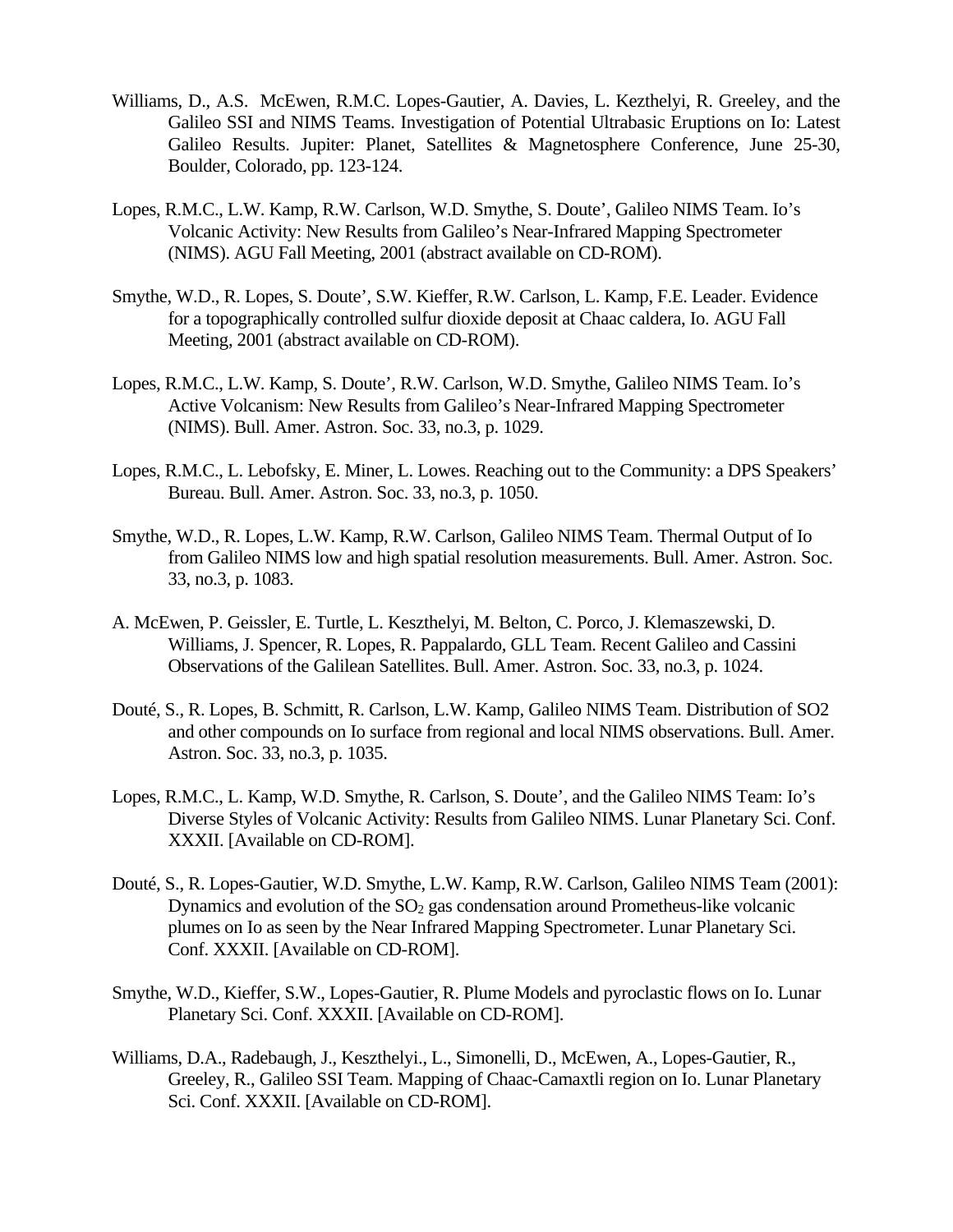- Williams, D., A.S. McEwen, R.M.C. Lopes-Gautier, A. Davies, L. Kezthelyi, R. Greeley, and the Galileo SSI and NIMS Teams. Investigation of Potential Ultrabasic Eruptions on Io: Latest Galileo Results. Jupiter: Planet, Satellites & Magnetosphere Conference, June 25-30, Boulder, Colorado, pp. 123-124.
- Lopes, R.M.C., L.W. Kamp, R.W. Carlson, W.D. Smythe, S. Doute', Galileo NIMS Team. Io's Volcanic Activity: New Results from Galileo's Near-Infrared Mapping Spectrometer (NIMS). AGU Fall Meeting, 2001 (abstract available on CD-ROM).
- Smythe, W.D., R. Lopes, S. Doute', S.W. Kieffer, R.W. Carlson, L. Kamp, F.E. Leader. Evidence for a topographically controlled sulfur dioxide deposit at Chaac caldera, Io. AGU Fall Meeting, 2001 (abstract available on CD-ROM).
- Lopes, R.M.C., L.W. Kamp, S. Doute', R.W. Carlson, W.D. Smythe, Galileo NIMS Team. Io's Active Volcanism: New Results from Galileo's Near-Infrared Mapping Spectrometer (NIMS). Bull. Amer. Astron. Soc. 33, no.3, p. 1029.
- Lopes, R.M.C., L. Lebofsky, E. Miner, L. Lowes. Reaching out to the Community: a DPS Speakers' Bureau. Bull. Amer. Astron. Soc. 33, no.3, p. 1050.
- Smythe, W.D., R. Lopes, L.W. Kamp, R.W. Carlson, Galileo NIMS Team. Thermal Output of Io from Galileo NIMS low and high spatial resolution measurements. Bull. Amer. Astron. Soc. 33, no.3, p. 1083.
- A. McEwen, P. Geissler, E. Turtle, L. Keszthelyi, M. Belton, C. Porco, J. Klemaszewski, D. Williams, J. Spencer, R. Lopes, R. Pappalardo, GLL Team. Recent Galileo and Cassini Observations of the Galilean Satellites. Bull. Amer. Astron. Soc. 33, no.3, p. 1024.
- Douté, S., R. Lopes, B. Schmitt, R. Carlson, L.W. Kamp, Galileo NIMS Team. Distribution of SO2 and other compounds on Io surface from regional and local NIMS observations. Bull. Amer. Astron. Soc. 33, no.3, p. 1035.
- Lopes, R.M.C., L. Kamp, W.D. Smythe, R. Carlson, S. Doute', and the Galileo NIMS Team: Io's Diverse Styles of Volcanic Activity: Results from Galileo NIMS. Lunar Planetary Sci. Conf. XXXII. [Available on CD-ROM].
- Douté, S., R. Lopes-Gautier, W.D. Smythe, L.W. Kamp, R.W. Carlson, Galileo NIMS Team (2001): Dynamics and evolution of the  $SO<sub>2</sub>$  gas condensation around Prometheus-like volcanic plumes on Io as seen by the Near Infrared Mapping Spectrometer. Lunar Planetary Sci. Conf. XXXII. [Available on CD-ROM].
- Smythe, W.D., Kieffer, S.W., Lopes-Gautier, R. Plume Models and pyroclastic flows on Io. Lunar Planetary Sci. Conf. XXXII. [Available on CD-ROM].
- Williams, D.A., Radebaugh, J., Keszthelyi., L., Simonelli, D., McEwen, A., Lopes-Gautier, R., Greeley, R., Galileo SSI Team. Mapping of Chaac-Camaxtli region on Io. Lunar Planetary Sci. Conf. XXXII. [Available on CD-ROM].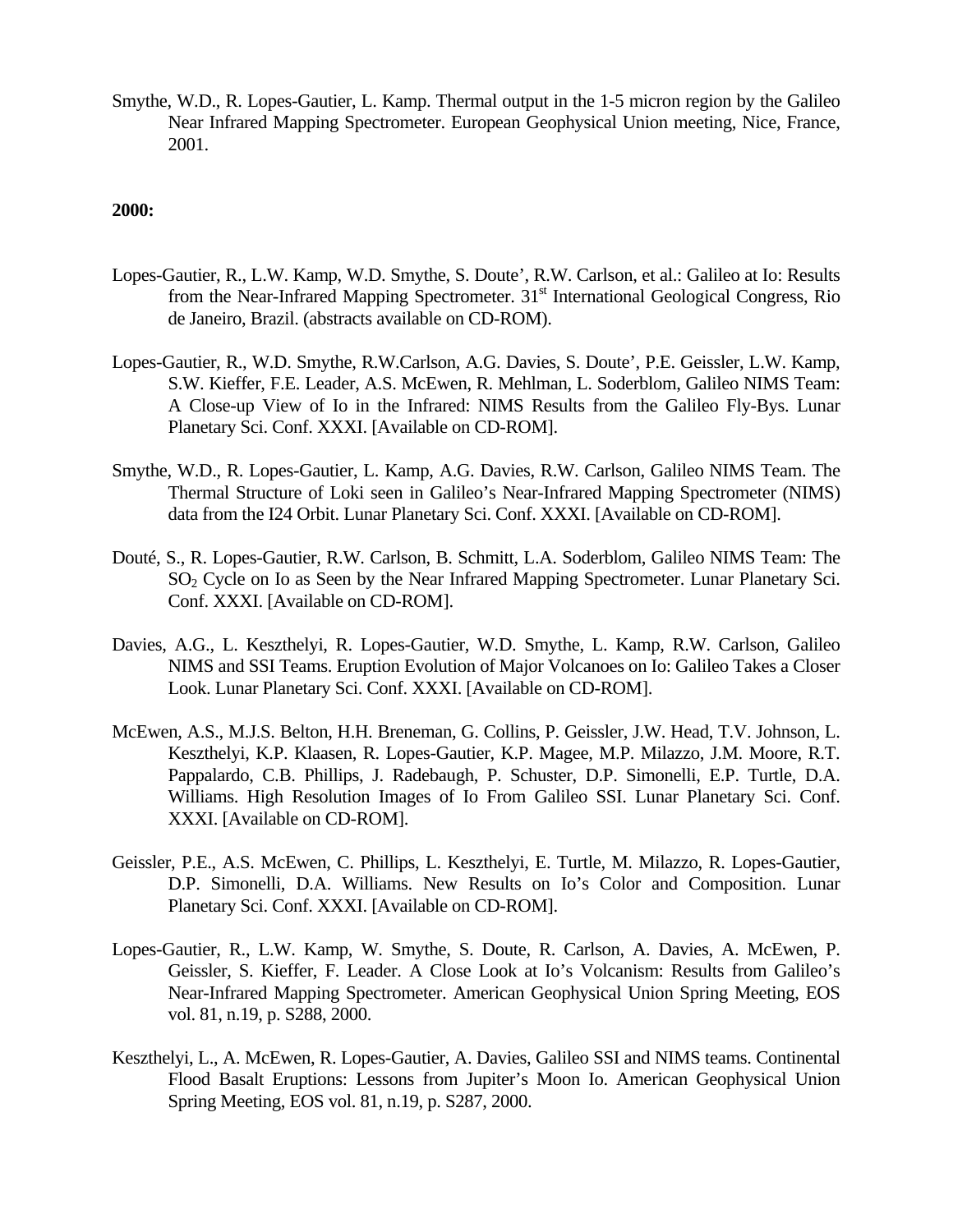Smythe, W.D., R. Lopes-Gautier, L. Kamp. Thermal output in the 1-5 micron region by the Galileo Near Infrared Mapping Spectrometer. European Geophysical Union meeting, Nice, France, 2001.

- Lopes-Gautier, R., L.W. Kamp, W.D. Smythe, S. Doute', R.W. Carlson, et al.: Galileo at Io: Results from the Near-Infrared Mapping Spectrometer. 31<sup>st</sup> International Geological Congress, Rio de Janeiro, Brazil. (abstracts available on CD-ROM).
- Lopes-Gautier, R., W.D. Smythe, R.W.Carlson, A.G. Davies, S. Doute', P.E. Geissler, L.W. Kamp, S.W. Kieffer, F.E. Leader, A.S. McEwen, R. Mehlman, L. Soderblom, Galileo NIMS Team: A Close-up View of Io in the Infrared: NIMS Results from the Galileo Fly-Bys. Lunar Planetary Sci. Conf. XXXI. [Available on CD-ROM].
- Smythe, W.D., R. Lopes-Gautier, L. Kamp, A.G. Davies, R.W. Carlson, Galileo NIMS Team. The Thermal Structure of Loki seen in Galileo's Near-Infrared Mapping Spectrometer (NIMS) data from the I24 Orbit. Lunar Planetary Sci. Conf. XXXI. [Available on CD-ROM].
- Douté, S., R. Lopes-Gautier, R.W. Carlson, B. Schmitt, L.A. Soderblom, Galileo NIMS Team: The SO2 Cycle on Io as Seen by the Near Infrared Mapping Spectrometer. Lunar Planetary Sci. Conf. XXXI. [Available on CD-ROM].
- Davies, A.G., L. Keszthelyi, R. Lopes-Gautier, W.D. Smythe, L. Kamp, R.W. Carlson, Galileo NIMS and SSI Teams. Eruption Evolution of Major Volcanoes on Io: Galileo Takes a Closer Look. Lunar Planetary Sci. Conf. XXXI. [Available on CD-ROM].
- McEwen, A.S., M.J.S. Belton, H.H. Breneman, G. Collins, P. Geissler, J.W. Head, T.V. Johnson, L. Keszthelyi, K.P. Klaasen, R. Lopes-Gautier, K.P. Magee, M.P. Milazzo, J.M. Moore, R.T. Pappalardo, C.B. Phillips, J. Radebaugh, P. Schuster, D.P. Simonelli, E.P. Turtle, D.A. Williams. High Resolution Images of Io From Galileo SSI. Lunar Planetary Sci. Conf. XXXI. [Available on CD-ROM].
- Geissler, P.E., A.S. McEwen, C. Phillips, L. Keszthelyi, E. Turtle, M. Milazzo, R. Lopes-Gautier, D.P. Simonelli, D.A. Williams. New Results on Io's Color and Composition. Lunar Planetary Sci. Conf. XXXI. [Available on CD-ROM].
- Lopes-Gautier, R., L.W. Kamp, W. Smythe, S. Doute, R. Carlson, A. Davies, A. McEwen, P. Geissler, S. Kieffer, F. Leader. A Close Look at Io's Volcanism: Results from Galileo's Near-Infrared Mapping Spectrometer. American Geophysical Union Spring Meeting, EOS vol. 81, n.19, p. S288, 2000.
- Keszthelyi, L., A. McEwen, R. Lopes-Gautier, A. Davies, Galileo SSI and NIMS teams. Continental Flood Basalt Eruptions: Lessons from Jupiter's Moon Io. American Geophysical Union Spring Meeting, EOS vol. 81, n.19, p. S287, 2000.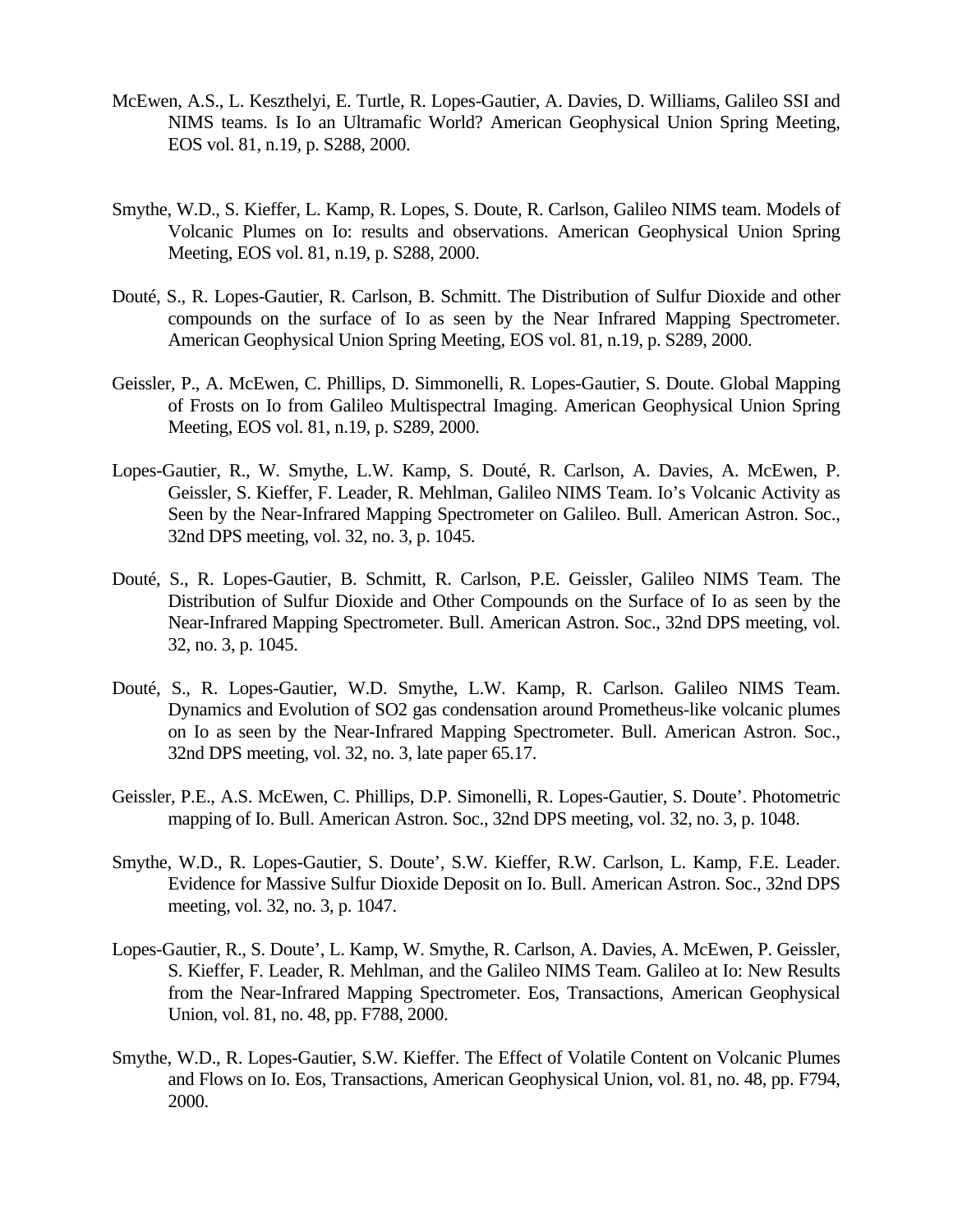- McEwen, A.S., L. Keszthelyi, E. Turtle, R. Lopes-Gautier, A. Davies, D. Williams, Galileo SSI and NIMS teams. Is Io an Ultramafic World? American Geophysical Union Spring Meeting, EOS vol. 81, n.19, p. S288, 2000.
- Smythe, W.D., S. Kieffer, L. Kamp, R. Lopes, S. Doute, R. Carlson, Galileo NIMS team. Models of Volcanic Plumes on Io: results and observations. American Geophysical Union Spring Meeting, EOS vol. 81, n.19, p. S288, 2000.
- Douté, S., R. Lopes-Gautier, R. Carlson, B. Schmitt. The Distribution of Sulfur Dioxide and other compounds on the surface of Io as seen by the Near Infrared Mapping Spectrometer. American Geophysical Union Spring Meeting, EOS vol. 81, n.19, p. S289, 2000.
- Geissler, P., A. McEwen, C. Phillips, D. Simmonelli, R. Lopes-Gautier, S. Doute. Global Mapping of Frosts on Io from Galileo Multispectral Imaging. American Geophysical Union Spring Meeting, EOS vol. 81, n.19, p. S289, 2000.
- Lopes-Gautier, R., W. Smythe, L.W. Kamp, S. Douté, R. Carlson, A. Davies, A. McEwen, P. Geissler, S. Kieffer, F. Leader, R. Mehlman, Galileo NIMS Team. Io's Volcanic Activity as Seen by the Near-Infrared Mapping Spectrometer on Galileo. Bull. American Astron. Soc., 32nd DPS meeting, vol. 32, no. 3, p. 1045.
- Douté, S., R. Lopes-Gautier, B. Schmitt, R. Carlson, P.E. Geissler, Galileo NIMS Team. The Distribution of Sulfur Dioxide and Other Compounds on the Surface of Io as seen by the Near-Infrared Mapping Spectrometer. Bull. American Astron. Soc., 32nd DPS meeting, vol. 32, no. 3, p. 1045.
- Douté, S., R. Lopes-Gautier, W.D. Smythe, L.W. Kamp, R. Carlson. Galileo NIMS Team. Dynamics and Evolution of SO2 gas condensation around Prometheus-like volcanic plumes on Io as seen by the Near-Infrared Mapping Spectrometer. Bull. American Astron. Soc., 32nd DPS meeting, vol. 32, no. 3, late paper 65.17.
- Geissler, P.E., A.S. McEwen, C. Phillips, D.P. Simonelli, R. Lopes-Gautier, S. Doute'. Photometric mapping of Io. Bull. American Astron. Soc., 32nd DPS meeting, vol. 32, no. 3, p. 1048.
- Smythe, W.D., R. Lopes-Gautier, S. Doute', S.W. Kieffer, R.W. Carlson, L. Kamp, F.E. Leader. Evidence for Massive Sulfur Dioxide Deposit on Io. Bull. American Astron. Soc., 32nd DPS meeting, vol. 32, no. 3, p. 1047.
- Lopes-Gautier, R., S. Doute', L. Kamp, W. Smythe, R. Carlson, A. Davies, A. McEwen, P. Geissler, S. Kieffer, F. Leader, R. Mehlman, and the Galileo NIMS Team. Galileo at Io: New Results from the Near-Infrared Mapping Spectrometer. Eos, Transactions, American Geophysical Union, vol. 81, no. 48, pp. F788, 2000.
- Smythe, W.D., R. Lopes-Gautier, S.W. Kieffer. The Effect of Volatile Content on Volcanic Plumes and Flows on Io. Eos, Transactions, American Geophysical Union, vol. 81, no. 48, pp. F794, 2000.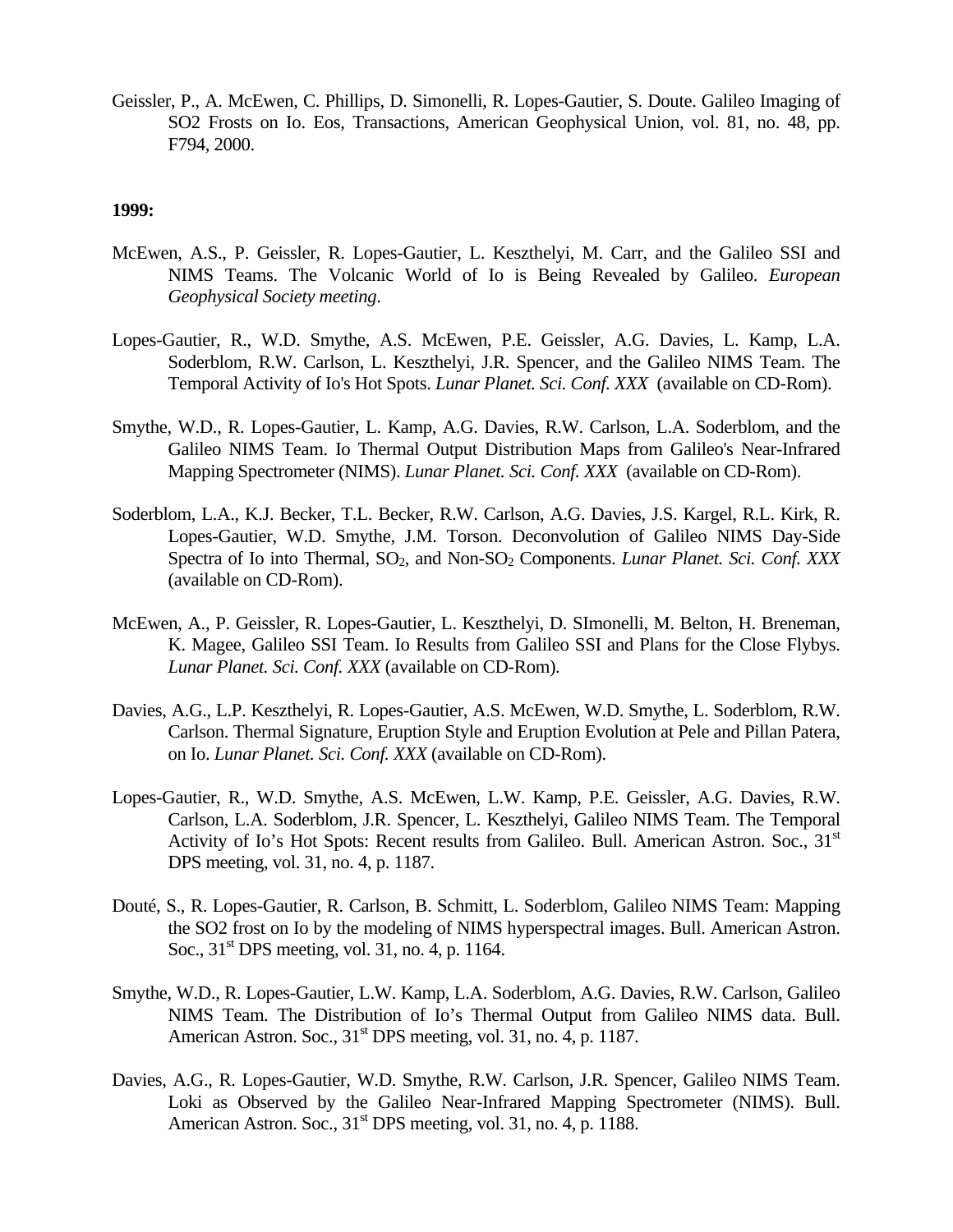Geissler, P., A. McEwen, C. Phillips, D. Simonelli, R. Lopes-Gautier, S. Doute. Galileo Imaging of SO2 Frosts on Io. Eos, Transactions, American Geophysical Union, vol. 81, no. 48, pp. F794, 2000.

- McEwen, A.S., P. Geissler, R. Lopes-Gautier, L. Keszthelyi, M. Carr, and the Galileo SSI and NIMS Teams. The Volcanic World of Io is Being Revealed by Galileo. *European Geophysical Society meeting*.
- Lopes-Gautier, R., W.D. Smythe, A.S. McEwen, P.E. Geissler, A.G. Davies, L. Kamp, L.A. Soderblom, R.W. Carlson, L. Keszthelyi, J.R. Spencer, and the Galileo NIMS Team. The Temporal Activity of Io's Hot Spots. *Lunar Planet. Sci. Conf. XXX* (available on CD-Rom).
- Smythe, W.D., R. Lopes-Gautier, L. Kamp, A.G. Davies, R.W. Carlson, L.A. Soderblom, and the Galileo NIMS Team. Io Thermal Output Distribution Maps from Galileo's Near-Infrared Mapping Spectrometer (NIMS). *Lunar Planet. Sci. Conf. XXX* (available on CD-Rom).
- Soderblom, L.A., K.J. Becker, T.L. Becker, R.W. Carlson, A.G. Davies, J.S. Kargel, R.L. Kirk, R. Lopes-Gautier, W.D. Smythe, J.M. Torson. Deconvolution of Galileo NIMS Day-Side Spectra of Io into Thermal, SO<sub>2</sub>, and Non-SO<sub>2</sub> Components. *Lunar Planet. Sci. Conf. XXX* (available on CD-Rom).
- McEwen, A., P. Geissler, R. Lopes-Gautier, L. Keszthelyi, D. SImonelli, M. Belton, H. Breneman, K. Magee, Galileo SSI Team. Io Results from Galileo SSI and Plans for the Close Flybys. *Lunar Planet. Sci. Conf. XXX* (available on CD-Rom).
- Davies, A.G., L.P. Keszthelyi, R. Lopes-Gautier, A.S. McEwen, W.D. Smythe, L. Soderblom, R.W. Carlson. Thermal Signature, Eruption Style and Eruption Evolution at Pele and Pillan Patera, on Io. *Lunar Planet. Sci. Conf. XXX* (available on CD-Rom).
- Lopes-Gautier, R., W.D. Smythe, A.S. McEwen, L.W. Kamp, P.E. Geissler, A.G. Davies, R.W. Carlson, L.A. Soderblom, J.R. Spencer, L. Keszthelyi, Galileo NIMS Team. The Temporal Activity of Io's Hot Spots: Recent results from Galileo. Bull. American Astron. Soc., 31<sup>st</sup> DPS meeting, vol. 31, no. 4, p. 1187.
- Douté, S., R. Lopes-Gautier, R. Carlson, B. Schmitt, L. Soderblom, Galileo NIMS Team: Mapping the SO2 frost on Io by the modeling of NIMS hyperspectral images. Bull. American Astron. Soc.,  $31<sup>st</sup>$  DPS meeting, vol. 31, no. 4, p. 1164.
- Smythe, W.D., R. Lopes-Gautier, L.W. Kamp, L.A. Soderblom, A.G. Davies, R.W. Carlson, Galileo NIMS Team. The Distribution of Io's Thermal Output from Galileo NIMS data. Bull. American Astron. Soc.,  $31<sup>st</sup>$  DPS meeting, vol. 31, no. 4, p. 1187.
- Davies, A.G., R. Lopes-Gautier, W.D. Smythe, R.W. Carlson, J.R. Spencer, Galileo NIMS Team. Loki as Observed by the Galileo Near-Infrared Mapping Spectrometer (NIMS). Bull. American Astron. Soc.,  $31<sup>st</sup>$  DPS meeting, vol. 31, no. 4, p. 1188.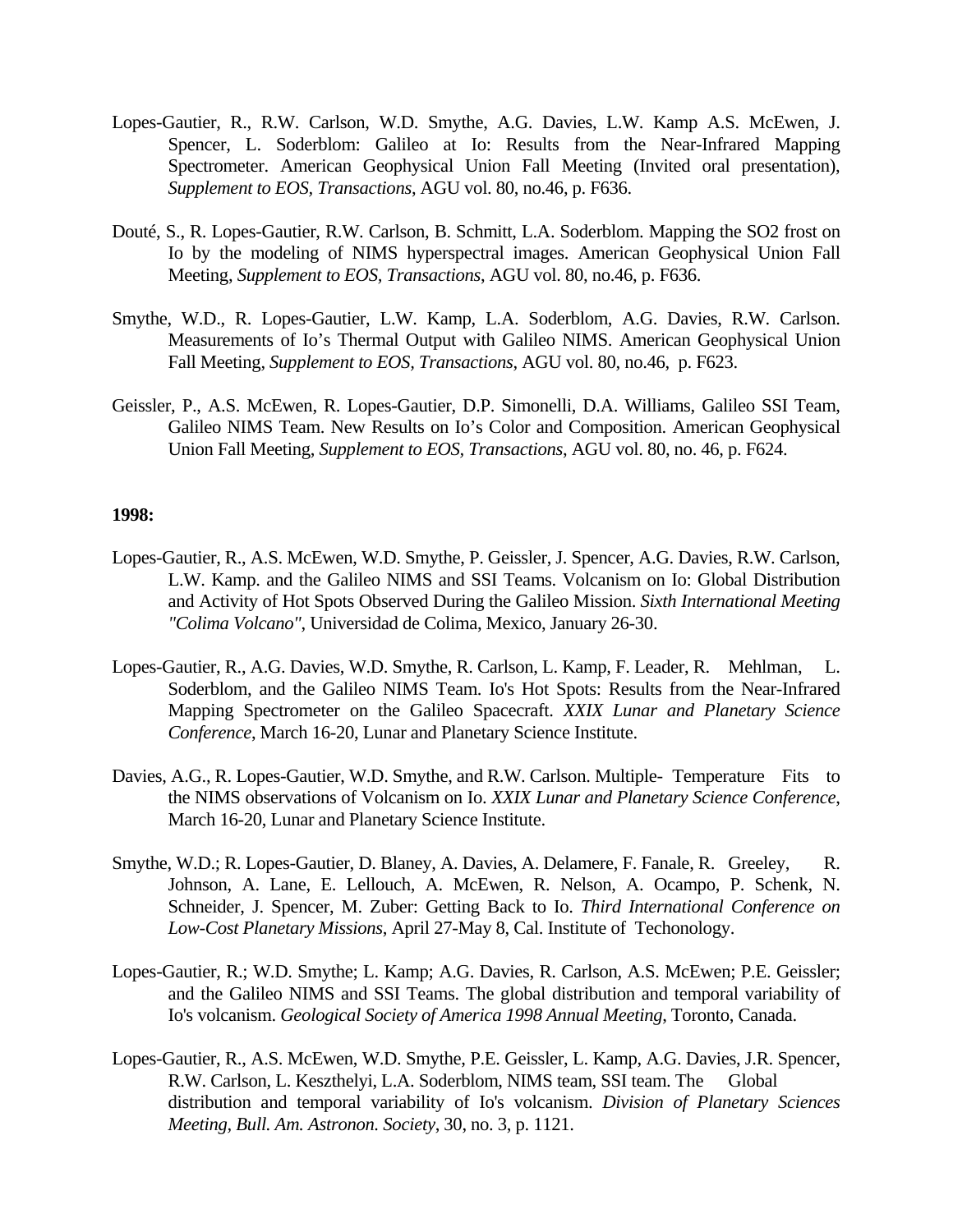- Lopes-Gautier, R., R.W. Carlson, W.D. Smythe, A.G. Davies, L.W. Kamp A.S. McEwen, J. Spencer, L. Soderblom: Galileo at Io: Results from the Near-Infrared Mapping Spectrometer. American Geophysical Union Fall Meeting (Invited oral presentation), *Supplement to EOS, Transactions*, AGU vol. 80, no.46, p. F636.
- Douté, S., R. Lopes-Gautier, R.W. Carlson, B. Schmitt, L.A. Soderblom. Mapping the SO2 frost on Io by the modeling of NIMS hyperspectral images. American Geophysical Union Fall Meeting, *Supplement to EOS, Transactions*, AGU vol. 80, no.46, p. F636.
- Smythe, W.D., R. Lopes-Gautier, L.W. Kamp, L.A. Soderblom, A.G. Davies, R.W. Carlson. Measurements of Io's Thermal Output with Galileo NIMS. American Geophysical Union Fall Meeting, *Supplement to EOS, Transactions*, AGU vol. 80, no.46, p. F623.
- Geissler, P., A.S. McEwen, R. Lopes-Gautier, D.P. Simonelli, D.A. Williams, Galileo SSI Team, Galileo NIMS Team. New Results on Io's Color and Composition. American Geophysical Union Fall Meeting, *Supplement to EOS, Transactions*, AGU vol. 80, no. 46, p. F624.

- Lopes-Gautier, R., A.S. McEwen, W.D. Smythe, P. Geissler, J. Spencer, A.G. Davies, R.W. Carlson, L.W. Kamp. and the Galileo NIMS and SSI Teams. Volcanism on Io: Global Distribution and Activity of Hot Spots Observed During the Galileo Mission. *Sixth International Meeting "Colima Volcano"*, Universidad de Colima, Mexico, January 26-30.
- Lopes-Gautier, R., A.G. Davies, W.D. Smythe, R. Carlson, L. Kamp, F. Leader, R. Mehlman, L. Soderblom, and the Galileo NIMS Team. Io's Hot Spots: Results from the Near-Infrared Mapping Spectrometer on the Galileo Spacecraft. *XXIX Lunar and Planetary Science Conference*, March 16-20, Lunar and Planetary Science Institute.
- Davies, A.G., R. Lopes-Gautier, W.D. Smythe, and R.W. Carlson. Multiple- Temperature Fits to the NIMS observations of Volcanism on Io. *XXIX Lunar and Planetary Science Conference*, March 16-20, Lunar and Planetary Science Institute.
- Smythe, W.D.; R. Lopes-Gautier, D. Blaney, A. Davies, A. Delamere, F. Fanale, R. Greeley, R. Johnson, A. Lane, E. Lellouch, A. McEwen, R. Nelson, A. Ocampo, P. Schenk, N. Schneider, J. Spencer, M. Zuber: Getting Back to Io. *Third International Conference on Low-Cost Planetary Missions*, April 27-May 8, Cal. Institute of Techonology.
- Lopes-Gautier, R.; W.D. Smythe; L. Kamp; A.G. Davies, R. Carlson, A.S. McEwen; P.E. Geissler; and the Galileo NIMS and SSI Teams. The global distribution and temporal variability of Io's volcanism. *Geological Society of America 1998 Annual Meeting*, Toronto, Canada.
- Lopes-Gautier, R., A.S. McEwen, W.D. Smythe, P.E. Geissler, L. Kamp, A.G. Davies, J.R. Spencer, R.W. Carlson, L. Keszthelyi, L.A. Soderblom, NIMS team, SSI team. The Global distribution and temporal variability of Io's volcanism. *Division of Planetary Sciences Meeting, Bull. Am. Astronon. Society*, 30, no. 3, p. 1121.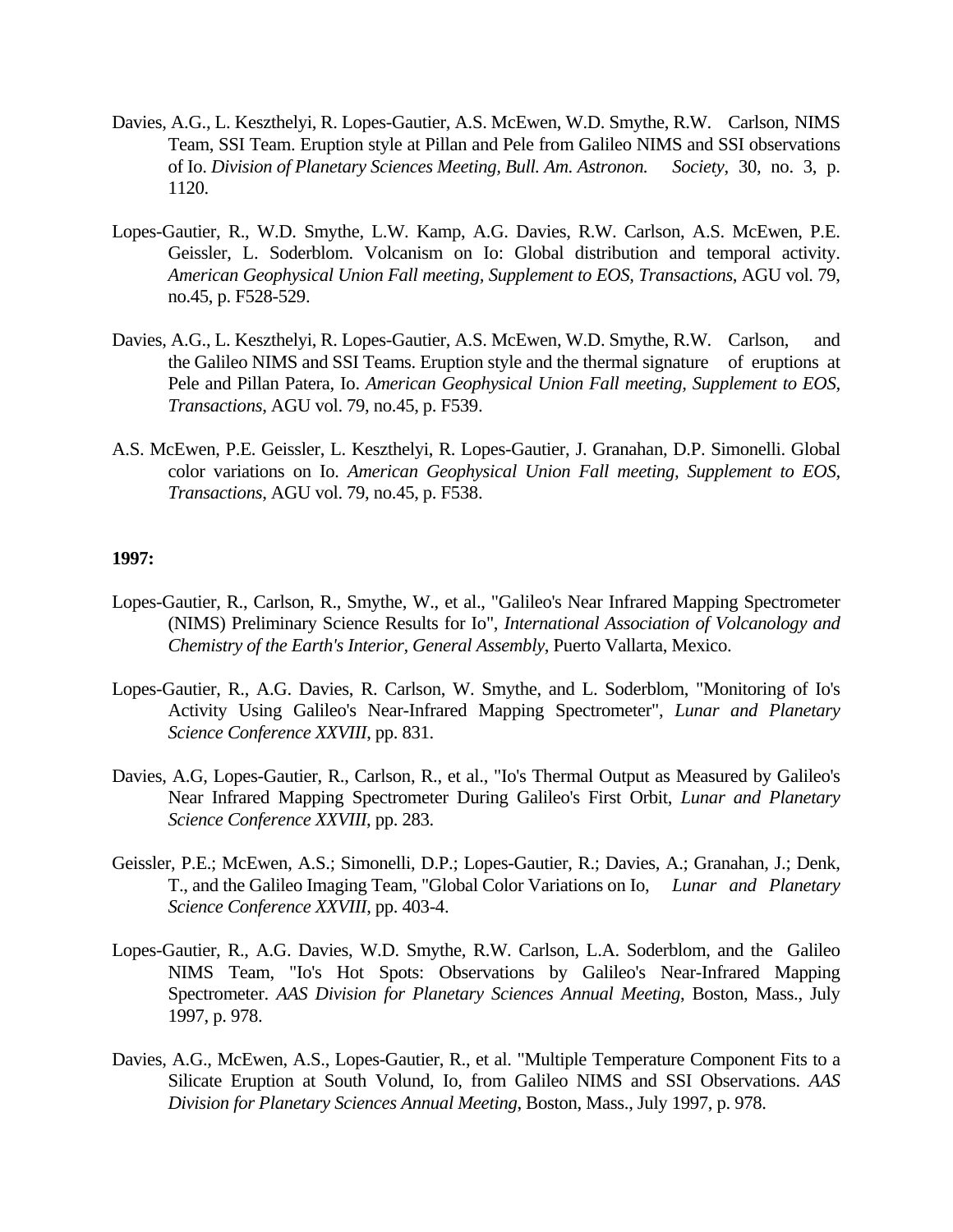- Davies, A.G., L. Keszthelyi, R. Lopes-Gautier, A.S. McEwen, W.D. Smythe, R.W. Carlson, NIMS Team, SSI Team. Eruption style at Pillan and Pele from Galileo NIMS and SSI observations of Io. *Division of Planetary Sciences Meeting, Bull. Am. Astronon. Society*, 30, no. 3, p. 1120.
- Lopes-Gautier, R., W.D. Smythe, L.W. Kamp, A.G. Davies, R.W. Carlson, A.S. McEwen, P.E. Geissler, L. Soderblom. Volcanism on Io: Global distribution and temporal activity. *American Geophysical Union Fall meeting, Supplement to EOS, Transactions*, AGU vol. 79, no.45, p. F528-529.
- Davies, A.G., L. Keszthelyi, R. Lopes-Gautier, A.S. McEwen, W.D. Smythe, R.W. Carlson, and the Galileo NIMS and SSI Teams. Eruption style and the thermal signature of eruptions at Pele and Pillan Patera, Io. *American Geophysical Union Fall meeting, Supplement to EOS, Transactions*, AGU vol. 79, no.45, p. F539.
- A.S. McEwen, P.E. Geissler, L. Keszthelyi, R. Lopes-Gautier, J. Granahan, D.P. Simonelli. Global color variations on Io. *American Geophysical Union Fall meeting, Supplement to EOS, Transactions*, AGU vol. 79, no.45, p. F538.

- Lopes-Gautier, R., Carlson, R., Smythe, W., et al., "Galileo's Near Infrared Mapping Spectrometer (NIMS) Preliminary Science Results for Io", *International Association of Volcanology and Chemistry of the Earth's Interior, General Assembly*, Puerto Vallarta, Mexico.
- Lopes-Gautier, R., A.G. Davies, R. Carlson, W. Smythe, and L. Soderblom, "Monitoring of Io's Activity Using Galileo's Near-Infrared Mapping Spectrometer", *Lunar and Planetary Science Conference XXVIII*, pp. 831.
- Davies, A.G, Lopes-Gautier, R., Carlson, R., et al., "Io's Thermal Output as Measured by Galileo's Near Infrared Mapping Spectrometer During Galileo's First Orbit, *Lunar and Planetary Science Conference XXVIII*, pp. 283.
- Geissler, P.E.; McEwen, A.S.; Simonelli, D.P.; Lopes-Gautier, R.; Davies, A.; Granahan, J.; Denk, T., and the Galileo Imaging Team, "Global Color Variations on Io, *Lunar and Planetary Science Conference XXVIII*, pp. 403-4.
- Lopes-Gautier, R., A.G. Davies, W.D. Smythe, R.W. Carlson, L.A. Soderblom, and the Galileo NIMS Team, "Io's Hot Spots: Observations by Galileo's Near-Infrared Mapping Spectrometer. *AAS Division for Planetary Sciences Annual Meeting*, Boston, Mass., July 1997, p. 978.
- Davies, A.G., McEwen, A.S., Lopes-Gautier, R., et al. "Multiple Temperature Component Fits to a Silicate Eruption at South Volund, Io, from Galileo NIMS and SSI Observations. *AAS Division for Planetary Sciences Annual Meeting*, Boston, Mass., July 1997, p. 978.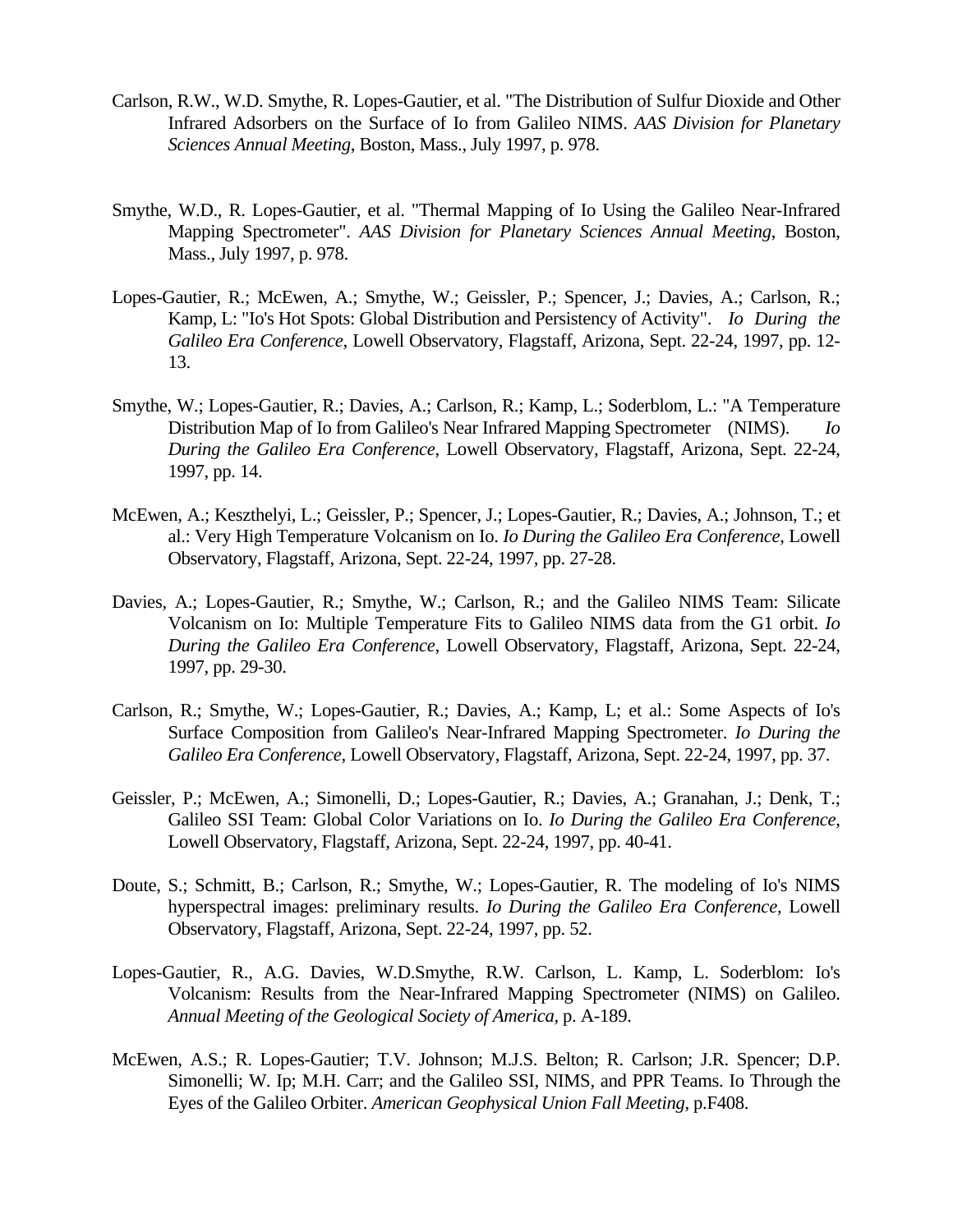- Carlson, R.W., W.D. Smythe, R. Lopes-Gautier, et al. "The Distribution of Sulfur Dioxide and Other Infrared Adsorbers on the Surface of Io from Galileo NIMS. *AAS Division for Planetary Sciences Annual Meeting*, Boston, Mass., July 1997, p. 978.
- Smythe, W.D., R. Lopes-Gautier, et al. "Thermal Mapping of Io Using the Galileo Near-Infrared Mapping Spectrometer". *AAS Division for Planetary Sciences Annual Meeting*, Boston, Mass., July 1997, p. 978.
- Lopes-Gautier, R.; McEwen, A.; Smythe, W.; Geissler, P.; Spencer, J.; Davies, A.; Carlson, R.; Kamp, L: "Io's Hot Spots: Global Distribution and Persistency of Activity". *Io During the Galileo Era Conference*, Lowell Observatory, Flagstaff, Arizona, Sept. 22-24, 1997, pp. 12- 13.
- Smythe, W.; Lopes-Gautier, R.; Davies, A.; Carlson, R.; Kamp, L.; Soderblom, L.: "A Temperature Distribution Map of Io from Galileo's Near Infrared Mapping Spectrometer (NIMS). *Io During the Galileo Era Conference*, Lowell Observatory, Flagstaff, Arizona, Sept. 22-24, 1997, pp. 14.
- McEwen, A.; Keszthelyi, L.; Geissler, P.; Spencer, J.; Lopes-Gautier, R.; Davies, A.; Johnson, T.; et al.: Very High Temperature Volcanism on Io. *Io During the Galileo Era Conference*, Lowell Observatory, Flagstaff, Arizona, Sept. 22-24, 1997, pp. 27-28.
- Davies, A.; Lopes-Gautier, R.; Smythe, W.; Carlson, R.; and the Galileo NIMS Team: Silicate Volcanism on Io: Multiple Temperature Fits to Galileo NIMS data from the G1 orbit. *Io During the Galileo Era Conference*, Lowell Observatory, Flagstaff, Arizona, Sept. 22-24, 1997, pp. 29-30.
- Carlson, R.; Smythe, W.; Lopes-Gautier, R.; Davies, A.; Kamp, L; et al.: Some Aspects of Io's Surface Composition from Galileo's Near-Infrared Mapping Spectrometer. *Io During the Galileo Era Conference*, Lowell Observatory, Flagstaff, Arizona, Sept. 22-24, 1997, pp. 37.
- Geissler, P.; McEwen, A.; Simonelli, D.; Lopes-Gautier, R.; Davies, A.; Granahan, J.; Denk, T.; Galileo SSI Team: Global Color Variations on Io. *Io During the Galileo Era Conference*, Lowell Observatory, Flagstaff, Arizona, Sept. 22-24, 1997, pp. 40-41.
- Doute, S.; Schmitt, B.; Carlson, R.; Smythe, W.; Lopes-Gautier, R. The modeling of Io's NIMS hyperspectral images: preliminary results. *Io During the Galileo Era Conference*, Lowell Observatory, Flagstaff, Arizona, Sept. 22-24, 1997, pp. 52.
- Lopes-Gautier, R., A.G. Davies, W.D.Smythe, R.W. Carlson, L. Kamp, L. Soderblom: Io's Volcanism: Results from the Near-Infrared Mapping Spectrometer (NIMS) on Galileo. *Annual Meeting of the Geological Society of America*, p. A-189.
- McEwen, A.S.; R. Lopes-Gautier; T.V. Johnson; M.J.S. Belton; R. Carlson; J.R. Spencer; D.P. Simonelli; W. Ip; M.H. Carr; and the Galileo SSI, NIMS, and PPR Teams. Io Through the Eyes of the Galileo Orbiter. *American Geophysical Union Fall Meeting*, p.F408.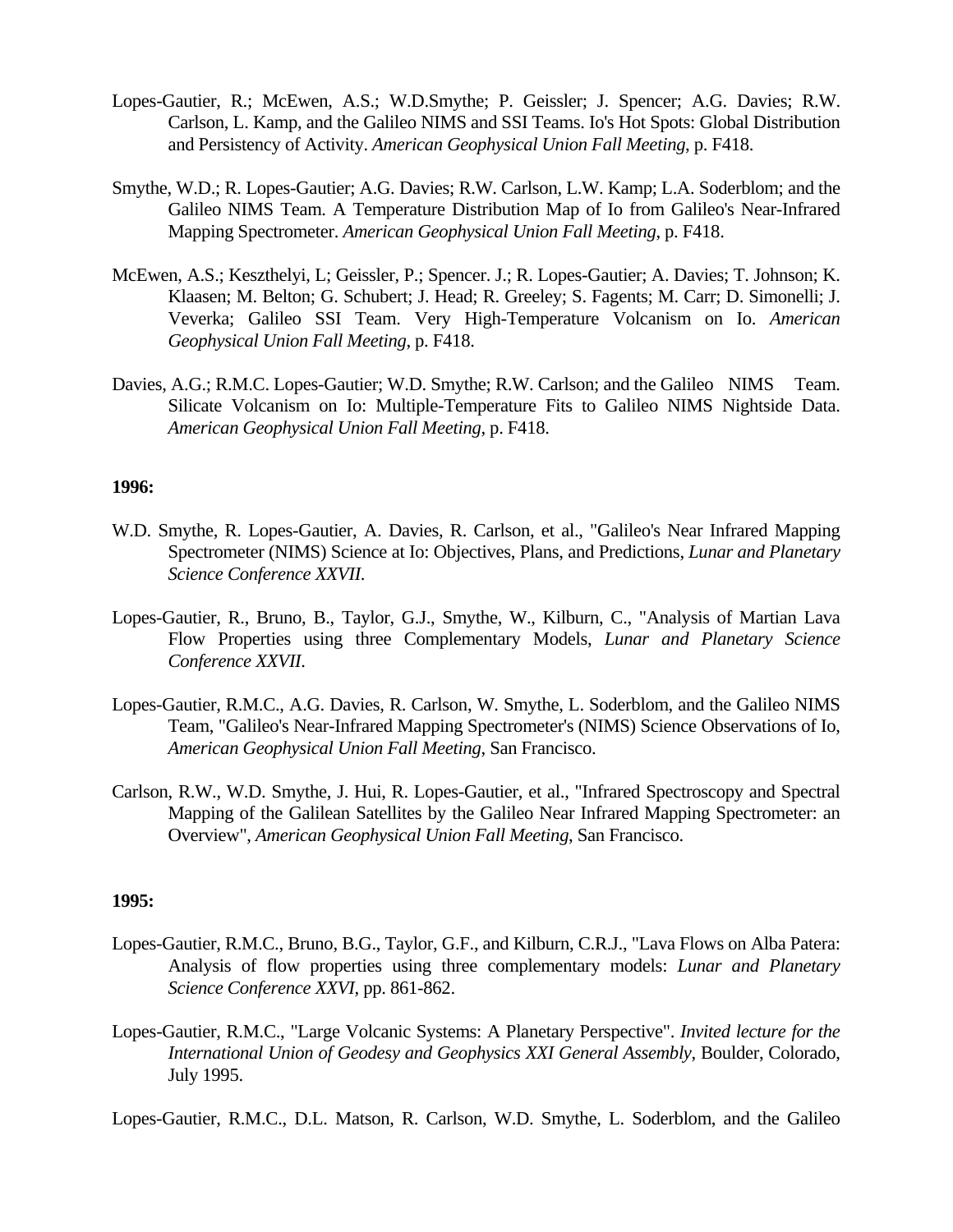- Lopes-Gautier, R.; McEwen, A.S.; W.D.Smythe; P. Geissler; J. Spencer; A.G. Davies; R.W. Carlson, L. Kamp, and the Galileo NIMS and SSI Teams. Io's Hot Spots: Global Distribution and Persistency of Activity. *American Geophysical Union Fall Meeting*, p. F418.
- Smythe, W.D.; R. Lopes-Gautier; A.G. Davies; R.W. Carlson, L.W. Kamp; L.A. Soderblom; and the Galileo NIMS Team. A Temperature Distribution Map of Io from Galileo's Near-Infrared Mapping Spectrometer. *American Geophysical Union Fall Meeting*, p. F418.
- McEwen, A.S.; Keszthelyi, L; Geissler, P.; Spencer. J.; R. Lopes-Gautier; A. Davies; T. Johnson; K. Klaasen; M. Belton; G. Schubert; J. Head; R. Greeley; S. Fagents; M. Carr; D. Simonelli; J. Veverka; Galileo SSI Team. Very High-Temperature Volcanism on Io. *American Geophysical Union Fall Meeting*, p. F418.
- Davies, A.G.; R.M.C. Lopes-Gautier; W.D. Smythe; R.W. Carlson; and the Galileo NIMS Team. Silicate Volcanism on Io: Multiple-Temperature Fits to Galileo NIMS Nightside Data. *American Geophysical Union Fall Meeting*, p. F418.

- W.D. Smythe, R. Lopes-Gautier, A. Davies, R. Carlson, et al., "Galileo's Near Infrared Mapping Spectrometer (NIMS) Science at Io: Objectives, Plans, and Predictions, *Lunar and Planetary Science Conference XXVII*.
- Lopes-Gautier, R., Bruno, B., Taylor, G.J., Smythe, W., Kilburn, C., "Analysis of Martian Lava Flow Properties using three Complementary Models, *Lunar and Planetary Science Conference XXVII*.
- Lopes-Gautier, R.M.C., A.G. Davies, R. Carlson, W. Smythe, L. Soderblom, and the Galileo NIMS Team, "Galileo's Near-Infrared Mapping Spectrometer's (NIMS) Science Observations of Io, *American Geophysical Union Fall Meeting*, San Francisco.
- Carlson, R.W., W.D. Smythe, J. Hui, R. Lopes-Gautier, et al., "Infrared Spectroscopy and Spectral Mapping of the Galilean Satellites by the Galileo Near Infrared Mapping Spectrometer: an Overview", *American Geophysical Union Fall Meeting*, San Francisco.

#### **1995:**

- Lopes-Gautier, R.M.C., Bruno, B.G., Taylor, G.F., and Kilburn, C.R.J., "Lava Flows on Alba Patera: Analysis of flow properties using three complementary models: *Lunar and Planetary Science Conference XXVI*, pp. 861-862.
- Lopes-Gautier, R.M.C., "Large Volcanic Systems: A Planetary Perspective". *Invited lecture for the International Union of Geodesy and Geophysics XXI General Assembly*, Boulder, Colorado, July 1995.

Lopes-Gautier, R.M.C., D.L. Matson, R. Carlson, W.D. Smythe, L. Soderblom, and the Galileo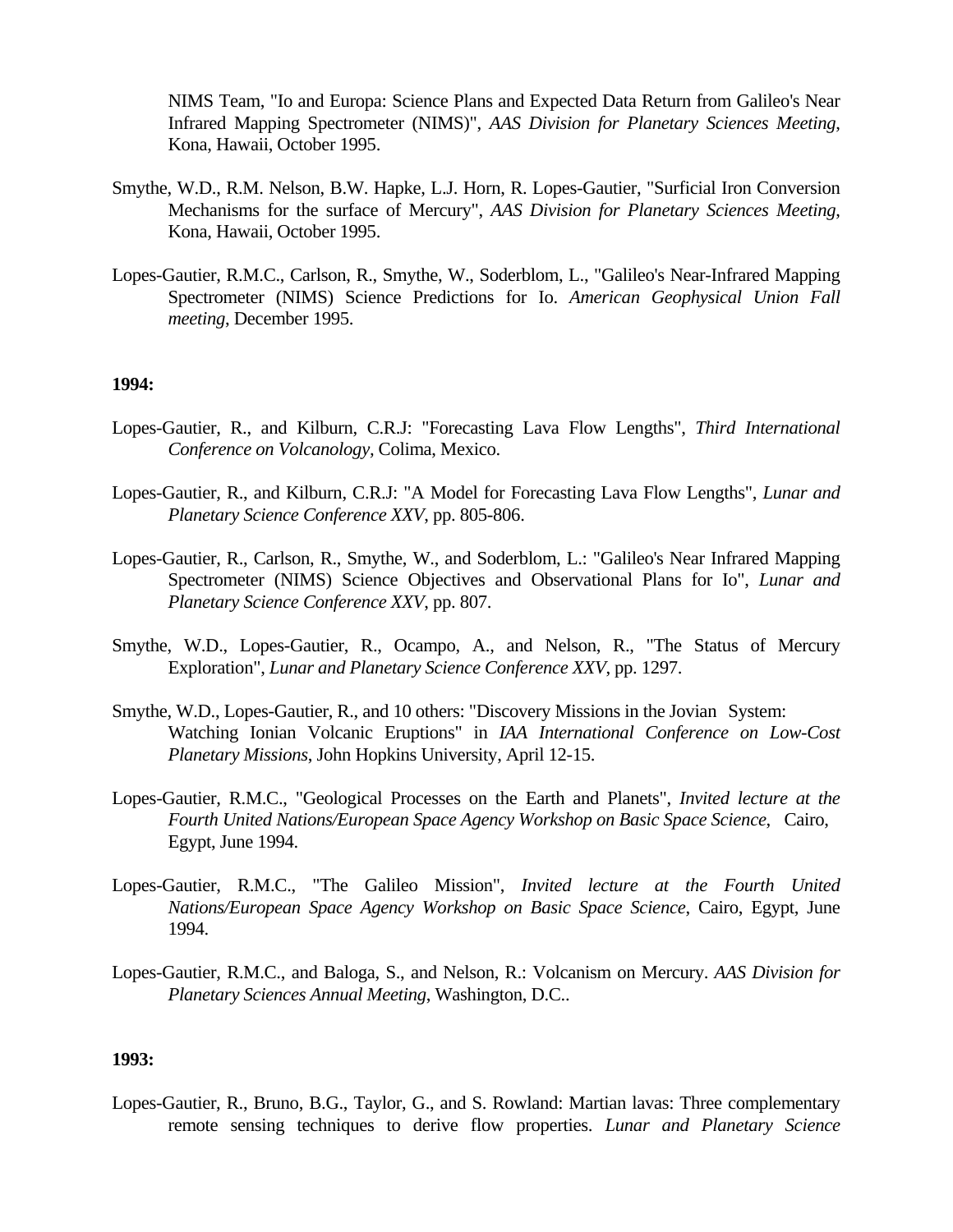NIMS Team, "Io and Europa: Science Plans and Expected Data Return from Galileo's Near Infrared Mapping Spectrometer (NIMS)", *AAS Division for Planetary Sciences Meeting*, Kona, Hawaii, October 1995.

- Smythe, W.D., R.M. Nelson, B.W. Hapke, L.J. Horn, R. Lopes-Gautier, "Surficial Iron Conversion Mechanisms for the surface of Mercury", *AAS Division for Planetary Sciences Meeting*, Kona, Hawaii, October 1995.
- Lopes-Gautier, R.M.C., Carlson, R., Smythe, W., Soderblom, L., "Galileo's Near-Infrared Mapping Spectrometer (NIMS) Science Predictions for Io. *American Geophysical Union Fall meeting*, December 1995.

#### **1994:**

- Lopes-Gautier, R., and Kilburn, C.R.J: "Forecasting Lava Flow Lengths", *Third International Conference on Volcanology,* Colima, Mexico.
- Lopes-Gautier, R., and Kilburn, C.R.J: "A Model for Forecasting Lava Flow Lengths", *Lunar and Planetary Science Conference XXV*, pp. 805-806.
- Lopes-Gautier, R., Carlson, R., Smythe, W., and Soderblom, L.: "Galileo's Near Infrared Mapping Spectrometer (NIMS) Science Objectives and Observational Plans for Io", *Lunar and Planetary Science Conference XXV*, pp. 807.
- Smythe, W.D., Lopes-Gautier, R., Ocampo, A., and Nelson, R., "The Status of Mercury Exploration", *Lunar and Planetary Science Conference XXV*, pp. 1297.
- Smythe, W.D., Lopes-Gautier, R., and 10 others: "Discovery Missions in the Jovian System: Watching Ionian Volcanic Eruptions" in *IAA International Conference on Low-Cost Planetary Missions*, John Hopkins University, April 12-15.
- Lopes-Gautier, R.M.C., "Geological Processes on the Earth and Planets", *Invited lecture at the Fourth United Nations/European Space Agency Workshop on Basic Space Science*, Cairo, Egypt, June 1994.
- Lopes-Gautier, R.M.C., "The Galileo Mission", *Invited lecture at the Fourth United Nations/European Space Agency Workshop on Basic Space Science*, Cairo, Egypt, June 1994.
- Lopes-Gautier, R.M.C., and Baloga, S., and Nelson, R.: Volcanism on Mercury. *AAS Division for Planetary Sciences Annual Meeting*, Washington, D.C..

#### **1993:**

Lopes-Gautier, R., Bruno, B.G., Taylor, G., and S. Rowland: Martian lavas: Three complementary remote sensing techniques to derive flow properties. *Lunar and Planetary Science*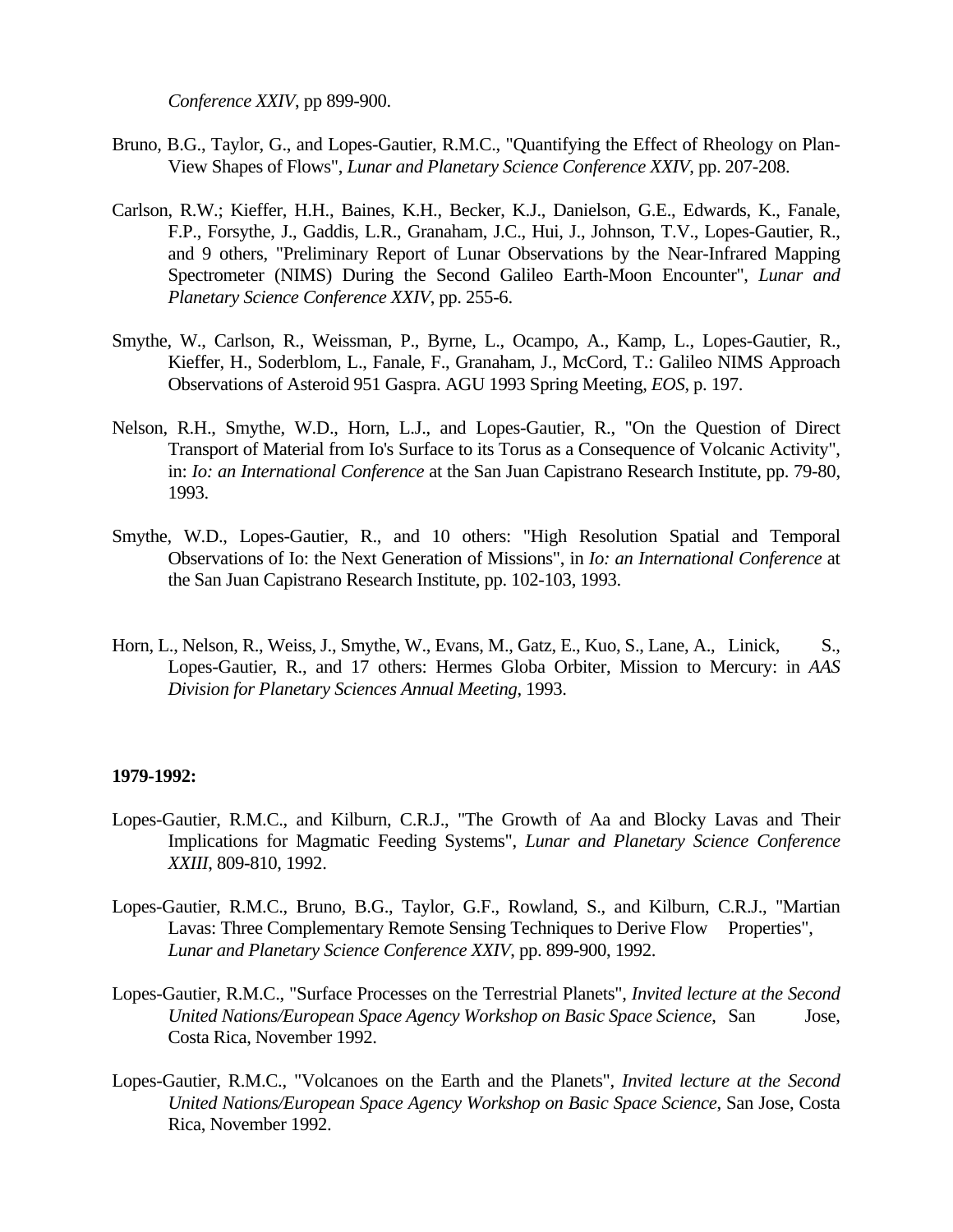*Conference XXIV*, pp 899-900.

- Bruno, B.G., Taylor, G., and Lopes-Gautier, R.M.C., "Quantifying the Effect of Rheology on Plan-View Shapes of Flows", *Lunar and Planetary Science Conference XXIV*, pp. 207-208.
- Carlson, R.W.; Kieffer, H.H., Baines, K.H., Becker, K.J., Danielson, G.E., Edwards, K., Fanale, F.P., Forsythe, J., Gaddis, L.R., Granaham, J.C., Hui, J., Johnson, T.V., Lopes-Gautier, R., and 9 others, "Preliminary Report of Lunar Observations by the Near-Infrared Mapping Spectrometer (NIMS) During the Second Galileo Earth-Moon Encounter", *Lunar and Planetary Science Conference XXIV*, pp. 255-6.
- Smythe, W., Carlson, R., Weissman, P., Byrne, L., Ocampo, A., Kamp, L., Lopes-Gautier, R., Kieffer, H., Soderblom, L., Fanale, F., Granaham, J., McCord, T.: Galileo NIMS Approach Observations of Asteroid 951 Gaspra. AGU 1993 Spring Meeting, *EOS*, p. 197.
- Nelson, R.H., Smythe, W.D., Horn, L.J., and Lopes-Gautier, R., "On the Question of Direct Transport of Material from Io's Surface to its Torus as a Consequence of Volcanic Activity", in: *Io: an International Conference* at the San Juan Capistrano Research Institute, pp. 79-80, 1993.
- Smythe, W.D., Lopes-Gautier, R., and 10 others: "High Resolution Spatial and Temporal Observations of Io: the Next Generation of Missions", in *Io: an International Conference* at the San Juan Capistrano Research Institute, pp. 102-103, 1993.
- Horn, L., Nelson, R., Weiss, J., Smythe, W., Evans, M., Gatz, E., Kuo, S., Lane, A., Linick, S., Lopes-Gautier, R., and 17 others: Hermes Globa Orbiter, Mission to Mercury: in *AAS Division for Planetary Sciences Annual Meeting*, 1993.

#### **1979-1992:**

- Lopes-Gautier, R.M.C., and Kilburn, C.R.J., "The Growth of Aa and Blocky Lavas and Their Implications for Magmatic Feeding Systems", *Lunar and Planetary Science Conference XXIII*, 809-810, 1992.
- Lopes-Gautier, R.M.C., Bruno, B.G., Taylor, G.F., Rowland, S., and Kilburn, C.R.J., "Martian Lavas: Three Complementary Remote Sensing Techniques to Derive Flow Properties", *Lunar and Planetary Science Conference XXIV*, pp. 899-900, 1992.
- Lopes-Gautier, R.M.C., "Surface Processes on the Terrestrial Planets", *Invited lecture at the Second United Nations/European Space Agency Workshop on Basic Space Science*, San Jose, Costa Rica, November 1992.
- Lopes-Gautier, R.M.C., "Volcanoes on the Earth and the Planets", *Invited lecture at the Second United Nations/European Space Agency Workshop on Basic Space Science*, San Jose, Costa Rica, November 1992.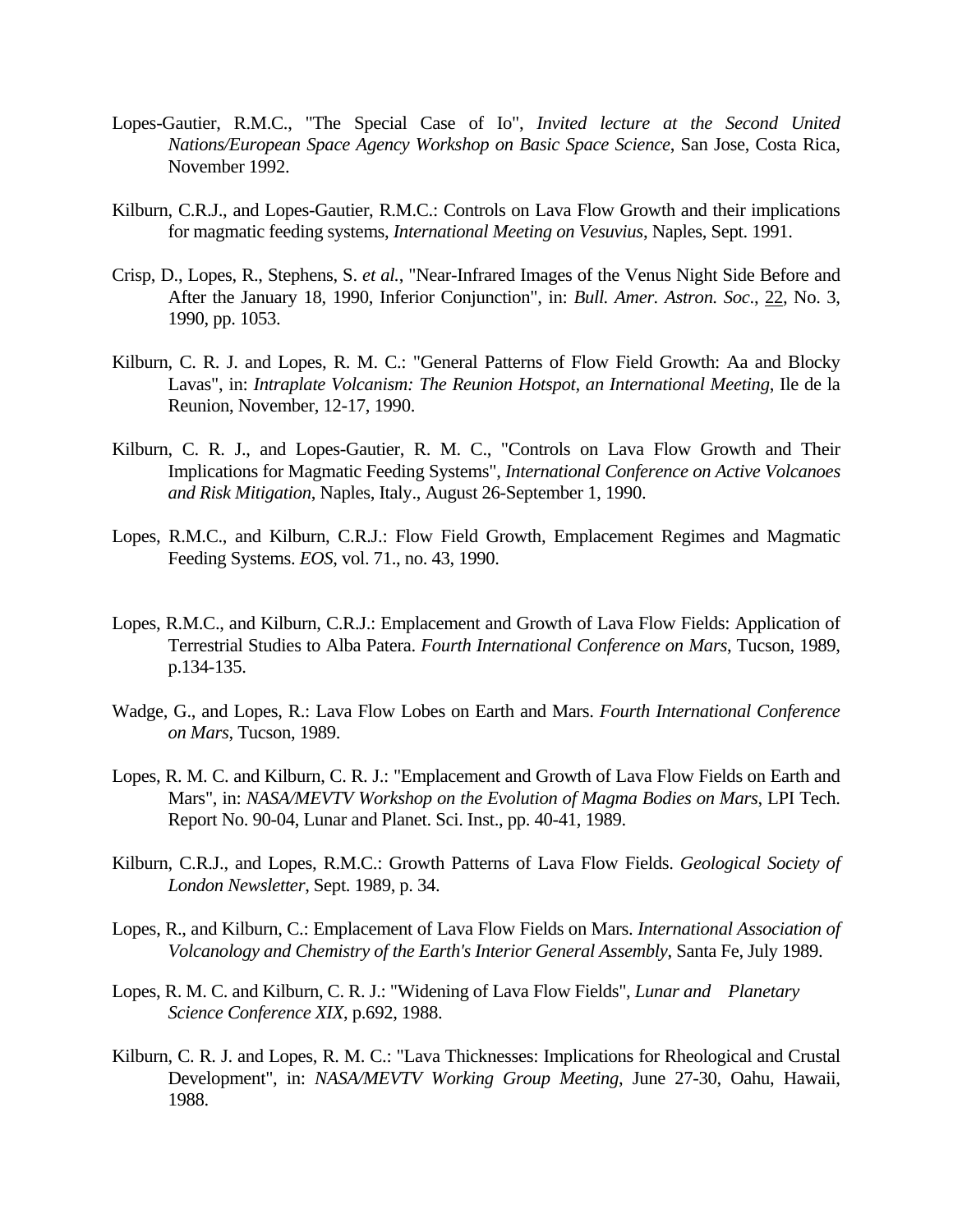- Lopes-Gautier, R.M.C., "The Special Case of Io", *Invited lecture at the Second United Nations/European Space Agency Workshop on Basic Space Science*, San Jose, Costa Rica, November 1992.
- Kilburn, C.R.J., and Lopes-Gautier, R.M.C.: Controls on Lava Flow Growth and their implications for magmatic feeding systems, *International Meeting on Vesuvius*, Naples, Sept. 1991.
- Crisp, D., Lopes, R., Stephens, S. *et al.*, "Near-Infrared Images of the Venus Night Side Before and After the January 18, 1990, Inferior Conjunction", in: *Bull. Amer. Astron. Soc*., 22, No. 3, 1990, pp. 1053.
- Kilburn, C. R. J. and Lopes, R. M. C.: "General Patterns of Flow Field Growth: Aa and Blocky Lavas", in: *Intraplate Volcanism: The Reunion Hotspot, an International Meeting*, Ile de la Reunion, November, 12-17, 1990.
- Kilburn, C. R. J., and Lopes-Gautier, R. M. C., "Controls on Lava Flow Growth and Their Implications for Magmatic Feeding Systems", *International Conference on Active Volcanoes and Risk Mitigation*, Naples, Italy., August 26-September 1, 1990.
- Lopes, R.M.C., and Kilburn, C.R.J.: Flow Field Growth, Emplacement Regimes and Magmatic Feeding Systems. *EOS*, vol. 71., no. 43, 1990.
- Lopes, R.M.C., and Kilburn, C.R.J.: Emplacement and Growth of Lava Flow Fields: Application of Terrestrial Studies to Alba Patera. *Fourth International Conference on Mars*, Tucson, 1989, p.134-135.
- Wadge, G., and Lopes, R.: Lava Flow Lobes on Earth and Mars. *Fourth International Conference on Mars*, Tucson, 1989.
- Lopes, R. M. C. and Kilburn, C. R. J.: "Emplacement and Growth of Lava Flow Fields on Earth and Mars", in: *NASA/MEVTV Workshop on the Evolution of Magma Bodies on Mars*, LPI Tech. Report No. 90-04, Lunar and Planet. Sci. Inst., pp. 40-41, 1989.
- Kilburn, C.R.J., and Lopes, R.M.C.: Growth Patterns of Lava Flow Fields. *Geological Society of London Newsletter*, Sept. 1989, p. 34.
- Lopes, R., and Kilburn, C.: Emplacement of Lava Flow Fields on Mars. *International Association of Volcanology and Chemistry of the Earth's Interior General Assembly*, Santa Fe, July 1989.
- Lopes, R. M. C. and Kilburn, C. R. J.: "Widening of Lava Flow Fields", *Lunar and Planetary Science Conference XIX*, p.692, 1988.
- Kilburn, C. R. J. and Lopes, R. M. C.: "Lava Thicknesses: Implications for Rheological and Crustal Development", in: *NASA/MEVTV Working Group Meeting*, June 27-30, Oahu, Hawaii, 1988.